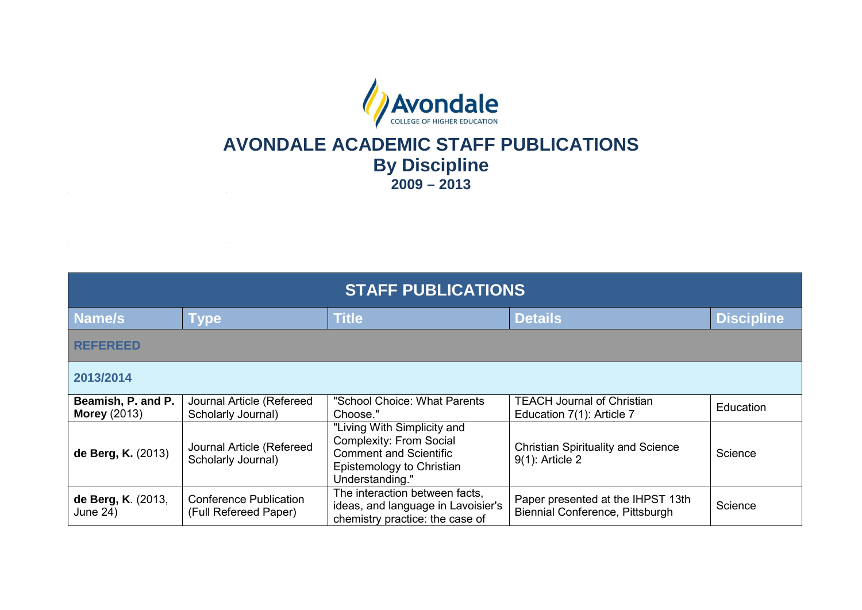

## **AVONDALE ACADEMIC STAFF PUBLICATIONS By Discipline 2009 – 2013**

 $\sim$ 

 $\sim 10^{-1}$ 

and the state of the state of the state

| <b>STAFF PUBLICATIONS</b>                 |                                                        |                                                                                                                                                |                                                                      |                   |
|-------------------------------------------|--------------------------------------------------------|------------------------------------------------------------------------------------------------------------------------------------------------|----------------------------------------------------------------------|-------------------|
| Name/s                                    | <b>Type</b>                                            | <b>Title</b>                                                                                                                                   | <b>Details</b>                                                       | <b>Discipline</b> |
| <b>REFEREED</b>                           |                                                        |                                                                                                                                                |                                                                      |                   |
| 2013/2014                                 |                                                        |                                                                                                                                                |                                                                      |                   |
| Beamish, P. and P.<br><b>Morey (2013)</b> | Journal Article (Refereed<br>Scholarly Journal)        | "School Choice: What Parents<br>Choose."                                                                                                       | <b>TEACH Journal of Christian</b><br>Education 7(1): Article 7       | Education         |
| de Berg, K. (2013)                        | Journal Article (Refereed<br>Scholarly Journal)        | "Living With Simplicity and<br><b>Complexity: From Social</b><br><b>Comment and Scientific</b><br>Epistemology to Christian<br>Understanding." | <b>Christian Spirituality and Science</b><br>9(1): Article 2         | Science           |
| de Berg, K. (2013,<br>June 24)            | <b>Conference Publication</b><br>(Full Refereed Paper) | The interaction between facts,<br>ideas, and language in Lavoisier's<br>chemistry practice: the case of                                        | Paper presented at the IHPST 13th<br>Biennial Conference, Pittsburgh | Science           |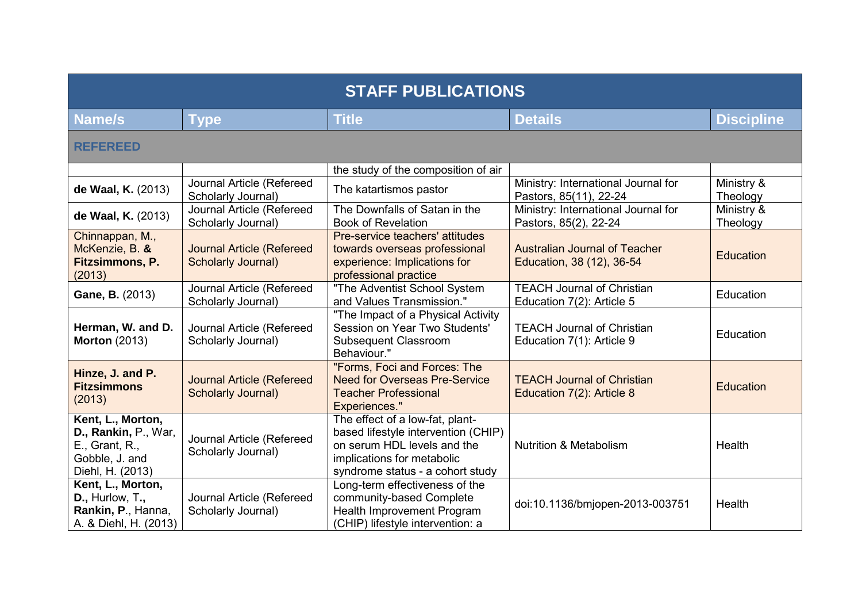| <b>STAFF PUBLICATIONS</b>                                                                         |                                                               |                                                                                                                                                                         |                                                                   |                        |
|---------------------------------------------------------------------------------------------------|---------------------------------------------------------------|-------------------------------------------------------------------------------------------------------------------------------------------------------------------------|-------------------------------------------------------------------|------------------------|
| <b>Name/s</b>                                                                                     | Type                                                          | <b>Title</b>                                                                                                                                                            | <b>Details</b>                                                    | <b>Discipline</b>      |
| <b>REFEREED</b>                                                                                   |                                                               |                                                                                                                                                                         |                                                                   |                        |
|                                                                                                   |                                                               | the study of the composition of air                                                                                                                                     |                                                                   |                        |
| de Waal, K. (2013)                                                                                | Journal Article (Refereed<br>Scholarly Journal)               | The katartismos pastor                                                                                                                                                  | Ministry: International Journal for<br>Pastors, 85(11), 22-24     | Ministry &<br>Theology |
| de Waal, K. (2013)                                                                                | Journal Article (Refereed<br>Scholarly Journal)               | The Downfalls of Satan in the<br><b>Book of Revelation</b>                                                                                                              | Ministry: International Journal for<br>Pastors, 85(2), 22-24      | Ministry &<br>Theology |
| Chinnappan, M.,<br>McKenzie, B. &<br>Fitzsimmons, P.<br>(2013)                                    | <b>Journal Article (Refereed</b><br><b>Scholarly Journal)</b> | Pre-service teachers' attitudes<br>towards overseas professional<br>experience: Implications for<br>professional practice                                               | <b>Australian Journal of Teacher</b><br>Education, 38 (12), 36-54 | Education              |
| Gane, B. (2013)                                                                                   | Journal Article (Refereed<br>Scholarly Journal)               | "The Adventist School System<br>and Values Transmission."                                                                                                               | <b>TEACH Journal of Christian</b><br>Education 7(2): Article 5    | Education              |
| Herman, W. and D.<br><b>Morton (2013)</b>                                                         | Journal Article (Refereed<br>Scholarly Journal)               | "The Impact of a Physical Activity<br>Session on Year Two Students'<br><b>Subsequent Classroom</b><br>Behaviour."                                                       | <b>TEACH Journal of Christian</b><br>Education 7(1): Article 9    | Education              |
| Hinze, J. and P.<br><b>Fitzsimmons</b><br>(2013)                                                  | <b>Journal Article (Refereed</b><br><b>Scholarly Journal)</b> | "Forms, Foci and Forces: The<br><b>Need for Overseas Pre-Service</b><br><b>Teacher Professional</b><br><b>Experiences."</b>                                             | <b>TEACH Journal of Christian</b><br>Education 7(2): Article 8    | <b>Education</b>       |
| Kent, L., Morton,<br>D., Rankin, P., War,<br>E., Grant, R.,<br>Gobble, J. and<br>Diehl, H. (2013) | Journal Article (Refereed<br>Scholarly Journal)               | The effect of a low-fat, plant-<br>based lifestyle intervention (CHIP)<br>on serum HDL levels and the<br>implications for metabolic<br>syndrome status - a cohort study | <b>Nutrition &amp; Metabolism</b>                                 | Health                 |
| Kent, L., Morton,<br>D., Hurlow, T.,<br>Rankin, P., Hanna,<br>A. & Diehl, H. (2013)               | Journal Article (Refereed<br>Scholarly Journal)               | Long-term effectiveness of the<br>community-based Complete<br>Health Improvement Program<br>(CHIP) lifestyle intervention: a                                            | doi:10.1136/bmjopen-2013-003751                                   | Health                 |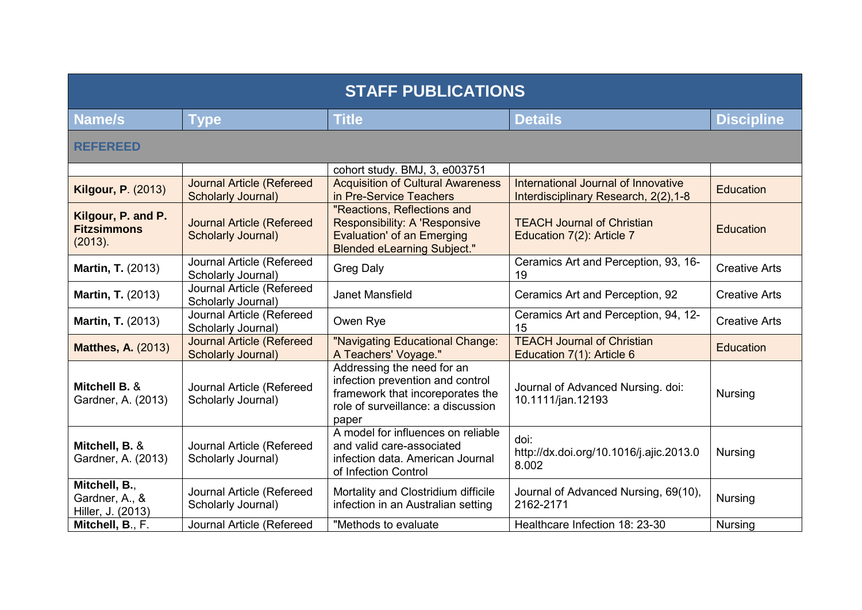| <b>STAFF PUBLICATIONS</b>                            |                                                               |                                                                                                                                                   |                                                                              |                      |  |
|------------------------------------------------------|---------------------------------------------------------------|---------------------------------------------------------------------------------------------------------------------------------------------------|------------------------------------------------------------------------------|----------------------|--|
| <b>Name/s</b>                                        | <b>Type</b>                                                   | <b>Title</b>                                                                                                                                      | <b>Details</b>                                                               | <b>Discipline</b>    |  |
| <b>REFEREED</b>                                      |                                                               |                                                                                                                                                   |                                                                              |                      |  |
| <b>Kilgour, P. (2013)</b>                            | <b>Journal Article (Refereed</b><br><b>Scholarly Journal)</b> | cohort study. BMJ, 3, e003751<br><b>Acquisition of Cultural Awareness</b><br>in Pre-Service Teachers                                              | International Journal of Innovative<br>Interdisciplinary Research, 2(2), 1-8 | <b>Education</b>     |  |
| Kilgour, P. and P.<br><b>Fitzsimmons</b><br>(2013).  | <b>Journal Article (Refereed</b><br><b>Scholarly Journal)</b> | "Reactions, Reflections and<br>Responsibility: A 'Responsive<br><b>Evaluation' of an Emerging</b><br><b>Blended eLearning Subject."</b>           | <b>TEACH Journal of Christian</b><br>Education 7(2): Article 7               | <b>Education</b>     |  |
| <b>Martin, T. (2013)</b>                             | Journal Article (Refereed<br>Scholarly Journal)               | <b>Greg Daly</b>                                                                                                                                  | Ceramics Art and Perception, 93, 16-<br>19                                   | <b>Creative Arts</b> |  |
| <b>Martin, T. (2013)</b>                             | Journal Article (Refereed<br>Scholarly Journal)               | Janet Mansfield                                                                                                                                   | Ceramics Art and Perception, 92                                              | <b>Creative Arts</b> |  |
| <b>Martin, T. (2013)</b>                             | Journal Article (Refereed<br>Scholarly Journal)               | Owen Rye                                                                                                                                          | Ceramics Art and Perception, 94, 12-<br>15                                   | <b>Creative Arts</b> |  |
| <b>Matthes, A. (2013)</b>                            | <b>Journal Article (Refereed</b><br><b>Scholarly Journal)</b> | "Navigating Educational Change:<br>A Teachers' Voyage."                                                                                           | <b>TEACH Journal of Christian</b><br>Education 7(1): Article 6               | Education            |  |
| Mitchell B. &<br>Gardner, A. (2013)                  | Journal Article (Refereed<br>Scholarly Journal)               | Addressing the need for an<br>infection prevention and control<br>framework that incoreporates the<br>role of surveillance: a discussion<br>paper | Journal of Advanced Nursing. doi:<br>10.1111/jan.12193                       | <b>Nursing</b>       |  |
| Mitchell, B. &<br>Gardner, A. (2013)                 | Journal Article (Refereed<br>Scholarly Journal)               | A model for influences on reliable<br>and valid care-associated<br>infection data. American Journal<br>of Infection Control                       | doi:<br>http://dx.doi.org/10.1016/j.ajic.2013.0<br>8.002                     | <b>Nursing</b>       |  |
| Mitchell, B.,<br>Gardner, A., &<br>Hiller, J. (2013) | Journal Article (Refereed<br>Scholarly Journal)               | Mortality and Clostridium difficile<br>infection in an Australian setting                                                                         | Journal of Advanced Nursing, 69(10),<br>2162-2171                            | <b>Nursing</b>       |  |
| Mitchell, B., F.                                     | Journal Article (Refereed                                     | "Methods to evaluate                                                                                                                              | Healthcare Infection 18: 23-30                                               | <b>Nursing</b>       |  |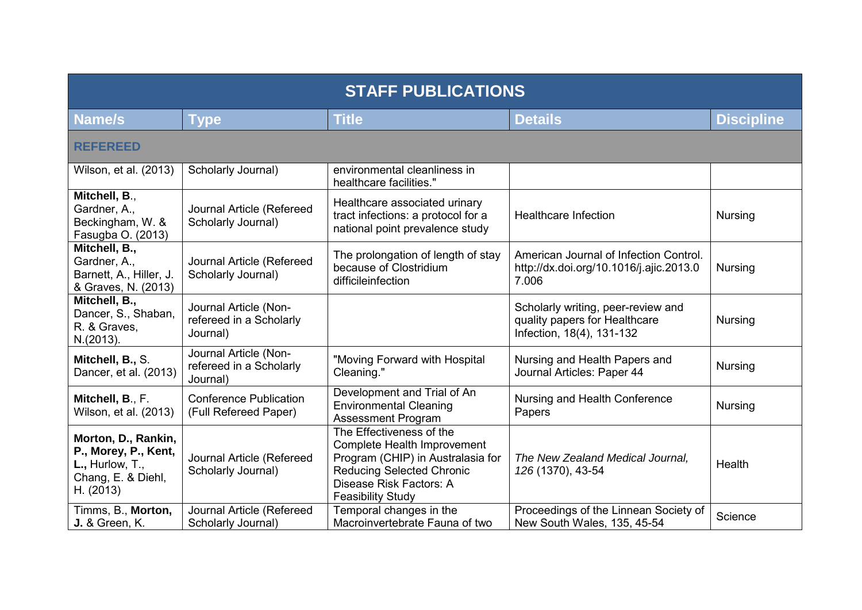| <b>STAFF PUBLICATIONS</b>                                                                               |                                                              |                                                                                                                                                                                         |                                                                                                  |                   |  |
|---------------------------------------------------------------------------------------------------------|--------------------------------------------------------------|-----------------------------------------------------------------------------------------------------------------------------------------------------------------------------------------|--------------------------------------------------------------------------------------------------|-------------------|--|
| <b>Name/s</b>                                                                                           | <b>Type</b>                                                  | <b>Title</b>                                                                                                                                                                            | <b>Details</b>                                                                                   | <b>Discipline</b> |  |
| <b>REFEREED</b>                                                                                         |                                                              |                                                                                                                                                                                         |                                                                                                  |                   |  |
| Wilson, et al. (2013)                                                                                   | Scholarly Journal)                                           | environmental cleanliness in<br>healthcare facilities."                                                                                                                                 |                                                                                                  |                   |  |
| Mitchell, B.,<br>Gardner, A.,<br>Beckingham, W. &<br>Fasugba O. (2013)                                  | Journal Article (Refereed<br>Scholarly Journal)              | Healthcare associated urinary<br>tract infections: a protocol for a<br>national point prevalence study                                                                                  | <b>Healthcare Infection</b>                                                                      | <b>Nursing</b>    |  |
| Mitchell, B.,<br>Gardner, A.,<br>Barnett, A., Hiller, J.<br>& Graves, N. (2013)                         | Journal Article (Refereed<br>Scholarly Journal)              | The prolongation of length of stay<br>because of Clostridium<br>difficileinfection                                                                                                      | American Journal of Infection Control.<br>http://dx.doi.org/10.1016/j.ajic.2013.0<br>7.006       | <b>Nursing</b>    |  |
| Mitchell, B.,<br>Dancer, S., Shaban,<br>R. & Graves,<br>N.(2013).                                       | Journal Article (Non-<br>refereed in a Scholarly<br>Journal) |                                                                                                                                                                                         | Scholarly writing, peer-review and<br>quality papers for Healthcare<br>Infection, 18(4), 131-132 | <b>Nursing</b>    |  |
| Mitchell, B., S.<br>Dancer, et al. (2013)                                                               | Journal Article (Non-<br>refereed in a Scholarly<br>Journal) | "Moving Forward with Hospital<br>Cleaning."                                                                                                                                             | Nursing and Health Papers and<br>Journal Articles: Paper 44                                      | <b>Nursing</b>    |  |
| Mitchell, B., F.<br>Wilson, et al. (2013)                                                               | <b>Conference Publication</b><br>(Full Refereed Paper)       | Development and Trial of An<br><b>Environmental Cleaning</b><br><b>Assessment Program</b>                                                                                               | Nursing and Health Conference<br>Papers                                                          | <b>Nursing</b>    |  |
| Morton, D., Rankin,<br>P., Morey, P., Kent,<br>$L_{1}$ , Hurlow, T.,<br>Chang, E. & Diehl,<br>H. (2013) | Journal Article (Refereed<br>Scholarly Journal)              | The Effectiveness of the<br>Complete Health Improvement<br>Program (CHIP) in Australasia for<br><b>Reducing Selected Chronic</b><br>Disease Risk Factors: A<br><b>Feasibility Study</b> | The New Zealand Medical Journal,<br>126 (1370), 43-54                                            | Health            |  |
| Timms, B., Morton,<br><b>J.</b> & Green, K.                                                             | Journal Article (Refereed<br>Scholarly Journal)              | Temporal changes in the<br>Macroinvertebrate Fauna of two                                                                                                                               | Proceedings of the Linnean Society of<br>New South Wales, 135, 45-54                             | Science           |  |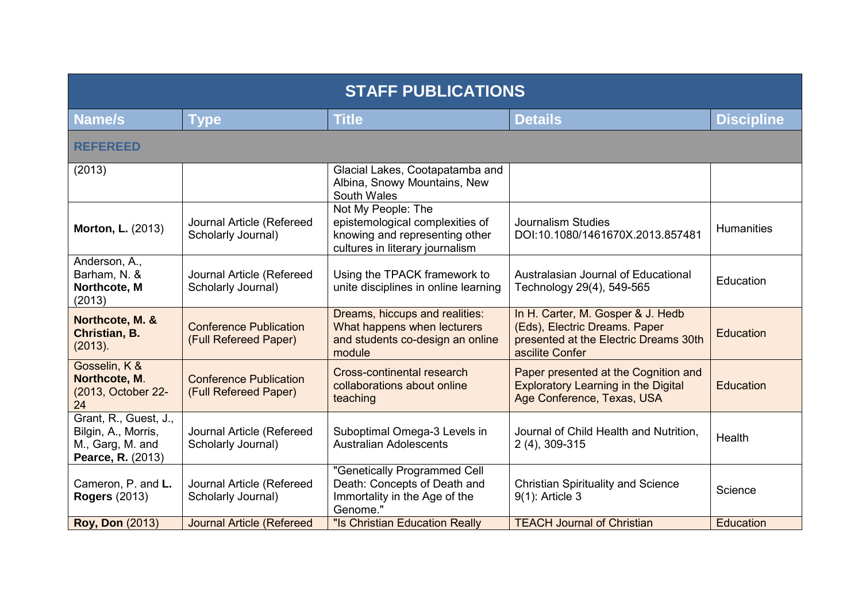| <b>STAFF PUBLICATIONS</b>                                                             |                                                        |                                                                                                                            |                                                                                                                                |                   |  |
|---------------------------------------------------------------------------------------|--------------------------------------------------------|----------------------------------------------------------------------------------------------------------------------------|--------------------------------------------------------------------------------------------------------------------------------|-------------------|--|
| Name/s                                                                                | Type                                                   | <b>Title</b>                                                                                                               | <b>Details</b>                                                                                                                 | <b>Discipline</b> |  |
| <b>REFEREED</b>                                                                       |                                                        |                                                                                                                            |                                                                                                                                |                   |  |
| (2013)                                                                                |                                                        | Glacial Lakes, Cootapatamba and<br>Albina, Snowy Mountains, New<br>South Wales                                             |                                                                                                                                |                   |  |
| <b>Morton, L. (2013)</b>                                                              | Journal Article (Refereed<br>Scholarly Journal)        | Not My People: The<br>epistemological complexities of<br>knowing and representing other<br>cultures in literary journalism | <b>Journalism Studies</b><br>DOI:10.1080/1461670X.2013.857481                                                                  | <b>Humanities</b> |  |
| Anderson, A.,<br>Barham, N. &<br>Northcote, M<br>(2013)                               | Journal Article (Refereed<br>Scholarly Journal)        | Using the TPACK framework to<br>unite disciplines in online learning                                                       | Australasian Journal of Educational<br>Technology 29(4), 549-565                                                               | Education         |  |
| Northcote, M. &<br>Christian, B.<br>(2013).                                           | <b>Conference Publication</b><br>(Full Refereed Paper) | Dreams, hiccups and realities:<br>What happens when lecturers<br>and students co-design an online<br>module                | In H. Carter, M. Gosper & J. Hedb<br>(Eds), Electric Dreams. Paper<br>presented at the Electric Dreams 30th<br>ascilite Confer | Education         |  |
| Gosselin, K &<br>Northcote, M.<br>(2013, October 22-<br>24                            | <b>Conference Publication</b><br>(Full Refereed Paper) | Cross-continental research<br>collaborations about online<br>teaching                                                      | Paper presented at the Cognition and<br><b>Exploratory Learning in the Digital</b><br>Age Conference, Texas, USA               | Education         |  |
| Grant, R., Guest, J.,<br>Bilgin, A., Morris,<br>M., Garg, M. and<br>Pearce, R. (2013) | Journal Article (Refereed<br>Scholarly Journal)        | Suboptimal Omega-3 Levels in<br><b>Australian Adolescents</b>                                                              | Journal of Child Health and Nutrition,<br>2 (4), 309-315                                                                       | Health            |  |
| Cameron, P. and L.<br><b>Rogers (2013)</b>                                            | Journal Article (Refereed<br>Scholarly Journal)        | "Genetically Programmed Cell<br>Death: Concepts of Death and<br>Immortality in the Age of the<br>Genome."                  | <b>Christian Spirituality and Science</b><br>9(1): Article 3                                                                   | Science           |  |
| <b>Roy, Don (2013)</b>                                                                | <b>Journal Article (Refereed</b>                       | "Is Christian Education Really                                                                                             | <b>TEACH Journal of Christian</b>                                                                                              | Education         |  |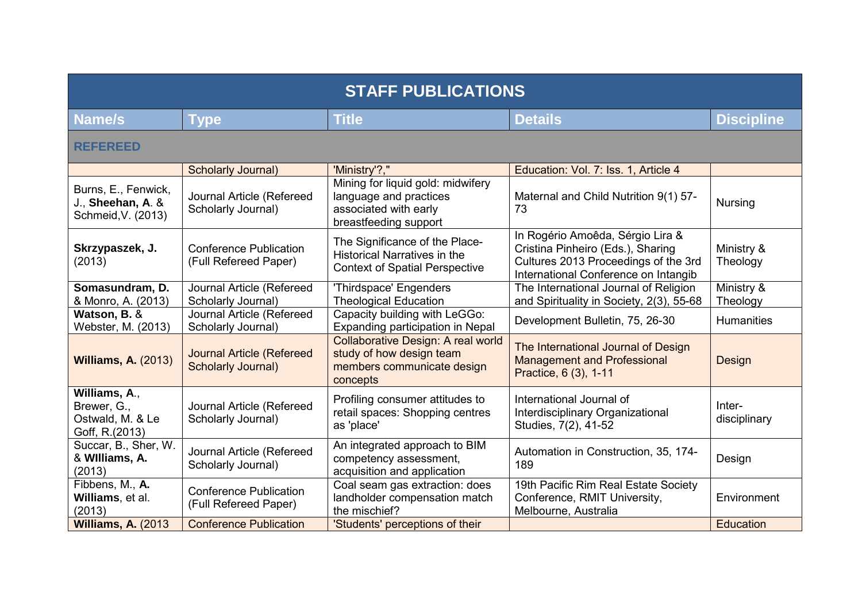| <b>STAFF PUBLICATIONS</b>                                          |                                                               |                                                                                                                |                                                                                                                                                       |                        |  |
|--------------------------------------------------------------------|---------------------------------------------------------------|----------------------------------------------------------------------------------------------------------------|-------------------------------------------------------------------------------------------------------------------------------------------------------|------------------------|--|
| <b>Name/s</b>                                                      | <b>Type</b>                                                   | <b>Title</b>                                                                                                   | <b>Details</b>                                                                                                                                        | <b>Discipline</b>      |  |
| <b>REFEREED</b>                                                    |                                                               |                                                                                                                |                                                                                                                                                       |                        |  |
|                                                                    | <b>Scholarly Journal)</b>                                     | 'Ministry'?,"                                                                                                  | Education: Vol. 7: Iss. 1, Article 4                                                                                                                  |                        |  |
| Burns, E., Fenwick,<br>J., Sheehan, A. &<br>Schmeid, V. (2013)     | Journal Article (Refereed<br>Scholarly Journal)               | Mining for liquid gold: midwifery<br>language and practices<br>associated with early<br>breastfeeding support  | Maternal and Child Nutrition 9(1) 57-<br>73                                                                                                           | <b>Nursing</b>         |  |
| Skrzypaszek, J.<br>(2013)                                          | <b>Conference Publication</b><br>(Full Refereed Paper)        | The Significance of the Place-<br><b>Historical Narratives in the</b><br><b>Context of Spatial Perspective</b> | In Rogério Amoêda, Sérgio Lira &<br>Cristina Pinheiro (Eds.), Sharing<br>Cultures 2013 Proceedings of the 3rd<br>International Conference on Intangib | Ministry &<br>Theology |  |
| Somasundram, D.<br>& Monro, A. (2013)                              | Journal Article (Refereed<br>Scholarly Journal)               | 'Thirdspace' Engenders<br><b>Theological Education</b>                                                         | The International Journal of Religion<br>and Spirituality in Society, 2(3), 55-68                                                                     | Ministry &<br>Theology |  |
| Watson, B. &<br>Webster, M. (2013)                                 | Journal Article (Refereed<br>Scholarly Journal)               | Capacity building with LeGGo:<br>Expanding participation in Nepal                                              | Development Bulletin, 75, 26-30                                                                                                                       | Humanities             |  |
| <b>Williams, A. (2013)</b>                                         | <b>Journal Article (Refereed</b><br><b>Scholarly Journal)</b> | Collaborative Design: A real world<br>study of how design team<br>members communicate design<br>concepts       | The International Journal of Design<br><b>Management and Professional</b><br>Practice, 6 (3), 1-11                                                    | Design                 |  |
| Williams, A.,<br>Brewer, G.,<br>Ostwald, M. & Le<br>Goff, R.(2013) | Journal Article (Refereed<br>Scholarly Journal)               | Profiling consumer attitudes to<br>retail spaces: Shopping centres<br>as 'place'                               | International Journal of<br>Interdisciplinary Organizational<br>Studies, 7(2), 41-52                                                                  | Inter-<br>disciplinary |  |
| Succar, B., Sher, W.<br>& Williams, A.<br>(2013)                   | Journal Article (Refereed<br>Scholarly Journal)               | An integrated approach to BIM<br>competency assessment,<br>acquisition and application                         | Automation in Construction, 35, 174-<br>189                                                                                                           | Design                 |  |
| Fibbens, M., A.<br>Williams, et al.<br>(2013)                      | <b>Conference Publication</b><br>(Full Refereed Paper)        | Coal seam gas extraction: does<br>landholder compensation match<br>the mischief?                               | 19th Pacific Rim Real Estate Society<br>Conference, RMIT University,<br>Melbourne, Australia                                                          | Environment            |  |
| Williams, A. (2013)                                                | <b>Conference Publication</b>                                 | 'Students' perceptions of their                                                                                |                                                                                                                                                       | <b>Education</b>       |  |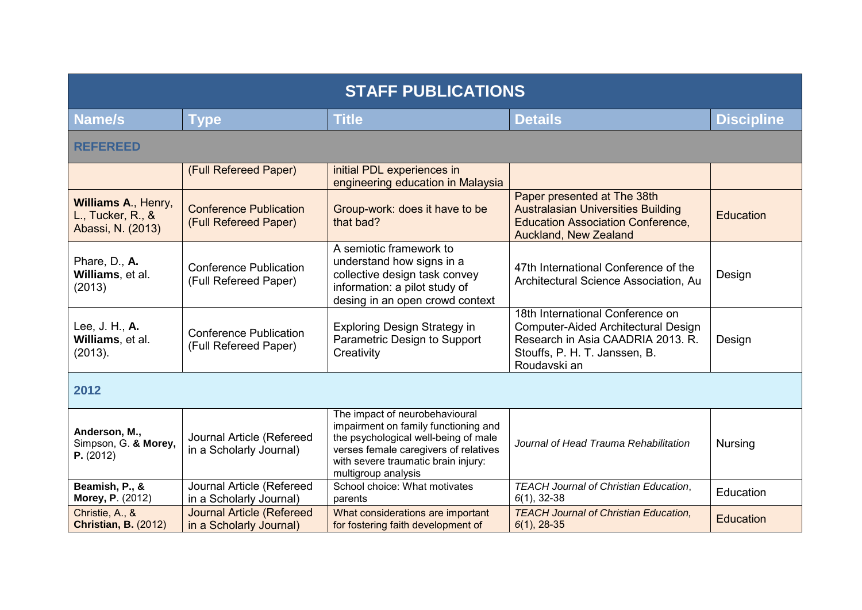| <b>STAFF PUBLICATIONS</b>                                     |                                                             |                                                                                                                                                                                                                       |                                                                                                                                                               |                   |
|---------------------------------------------------------------|-------------------------------------------------------------|-----------------------------------------------------------------------------------------------------------------------------------------------------------------------------------------------------------------------|---------------------------------------------------------------------------------------------------------------------------------------------------------------|-------------------|
| Name/s                                                        | <b>Type</b>                                                 | <b>Title</b>                                                                                                                                                                                                          | <b>Details</b>                                                                                                                                                | <b>Discipline</b> |
| <b>REFEREED</b>                                               |                                                             |                                                                                                                                                                                                                       |                                                                                                                                                               |                   |
|                                                               | (Full Refereed Paper)                                       | initial PDL experiences in<br>engineering education in Malaysia                                                                                                                                                       |                                                                                                                                                               |                   |
| Williams A., Henry,<br>L., Tucker, R., &<br>Abassi, N. (2013) | <b>Conference Publication</b><br>(Full Refereed Paper)      | Group-work: does it have to be<br>that bad?                                                                                                                                                                           | Paper presented at The 38th<br><b>Australasian Universities Building</b><br><b>Education Association Conference,</b><br>Auckland, New Zealand                 | Education         |
| Phare, D., A.<br>Williams, et al.<br>(2013)                   | <b>Conference Publication</b><br>(Full Refereed Paper)      | A semiotic framework to<br>understand how signs in a<br>collective design task convey<br>information: a pilot study of<br>desing in an open crowd context                                                             | 47th International Conference of the<br>Architectural Science Association, Au                                                                                 | Design            |
| Lee, J. H., A.<br>Williams, et al.<br>(2013).                 | <b>Conference Publication</b><br>(Full Refereed Paper)      | <b>Exploring Design Strategy in</b><br>Parametric Design to Support<br>Creativity                                                                                                                                     | 18th International Conference on<br>Computer-Aided Architectural Design<br>Research in Asia CAADRIA 2013. R.<br>Stouffs, P. H. T. Janssen, B.<br>Roudavski an | Design            |
| 2012                                                          |                                                             |                                                                                                                                                                                                                       |                                                                                                                                                               |                   |
| Anderson, M.,<br>Simpson, G. & Morey,<br>P. (2012)            | Journal Article (Refereed<br>in a Scholarly Journal)        | The impact of neurobehavioural<br>impairment on family functioning and<br>the psychological well-being of male<br>verses female caregivers of relatives<br>with severe traumatic brain injury:<br>multigroup analysis | Journal of Head Trauma Rehabilitation                                                                                                                         | <b>Nursing</b>    |
| Beamish, P., &<br><b>Morey, P. (2012)</b>                     | Journal Article (Refereed<br>in a Scholarly Journal)        | School choice: What motivates<br>parents                                                                                                                                                                              | <b>TEACH Journal of Christian Education,</b><br>$6(1), 32-38$                                                                                                 | Education         |
| Christie, A., &<br><b>Christian, B. (2012)</b>                | <b>Journal Article (Refereed</b><br>in a Scholarly Journal) | What considerations are important<br>for fostering faith development of                                                                                                                                               | <b>TEACH Journal of Christian Education,</b><br>$6(1), 28-35$                                                                                                 | Education         |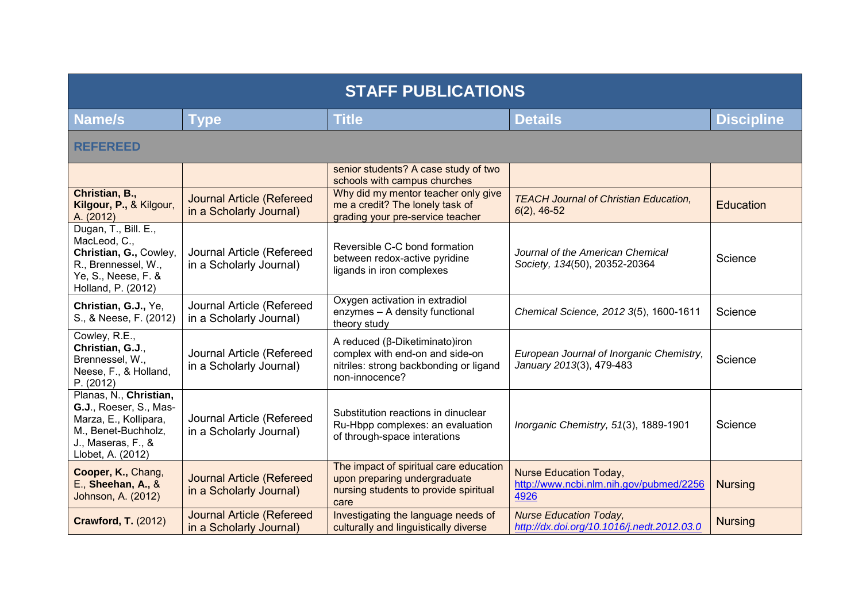| <b>STAFF PUBLICATIONS</b>                                                                                                                   |                                                             |                                                                                                                               |                                                                                  |                   |  |
|---------------------------------------------------------------------------------------------------------------------------------------------|-------------------------------------------------------------|-------------------------------------------------------------------------------------------------------------------------------|----------------------------------------------------------------------------------|-------------------|--|
| Name/s                                                                                                                                      | <b>Type</b>                                                 | <b>Title</b>                                                                                                                  | <b>Details</b>                                                                   | <b>Discipline</b> |  |
| <b>REFEREED</b>                                                                                                                             |                                                             |                                                                                                                               |                                                                                  |                   |  |
|                                                                                                                                             |                                                             | senior students? A case study of two<br>schools with campus churches                                                          |                                                                                  |                   |  |
| Christian, B.,<br>Kilgour, P., & Kilgour,<br>A. (2012)                                                                                      | <b>Journal Article (Refereed</b><br>in a Scholarly Journal) | Why did my mentor teacher only give<br>me a credit? The lonely task of<br>grading your pre-service teacher                    | <b>TEACH Journal of Christian Education,</b><br>$6(2)$ , 46-52                   | <b>Education</b>  |  |
| Dugan, T., Bill. E.,<br>MacLeod, C.,<br>Christian, G., Cowley,<br>R., Brennessel, W.,<br>Ye, S., Neese, F. &<br>Holland, P. (2012)          | Journal Article (Refereed<br>in a Scholarly Journal)        | Reversible C-C bond formation<br>between redox-active pyridine<br>ligands in iron complexes                                   | Journal of the American Chemical<br>Society, 134(50), 20352-20364                | Science           |  |
| Christian, G.J., Ye,<br>S., & Neese, F. (2012)                                                                                              | Journal Article (Refereed<br>in a Scholarly Journal)        | Oxygen activation in extradiol<br>enzymes - A density functional<br>theory study                                              | Chemical Science, 2012 3(5), 1600-1611                                           | Science           |  |
| Cowley, R.E.,<br>Christian, G.J.,<br>Brennessel, W.,<br>Neese, F., & Holland,<br>P. (2012)                                                  | Journal Article (Refereed<br>in a Scholarly Journal)        | A reduced (β-Diketiminato)iron<br>complex with end-on and side-on<br>nitriles: strong backbonding or ligand<br>non-innocence? | European Journal of Inorganic Chemistry,<br>January 2013(3), 479-483             | Science           |  |
| Planas, N., Christian,<br>G.J., Roeser, S., Mas-<br>Marza, E., Kollipara,<br>M., Benet-Buchholz,<br>J., Maseras, F., &<br>Llobet, A. (2012) | Journal Article (Refereed<br>in a Scholarly Journal)        | Substitution reactions in dinuclear<br>Ru-Hbpp complexes: an evaluation<br>of through-space interations                       | Inorganic Chemistry, 51(3), 1889-1901                                            | Science           |  |
| Cooper, K., Chang,<br>E., Sheehan, A., &<br>Johnson, A. (2012)                                                                              | <b>Journal Article (Refereed</b><br>in a Scholarly Journal) | The impact of spiritual care education<br>upon preparing undergraduate<br>nursing students to provide spiritual<br>care       | <b>Nurse Education Today,</b><br>http://www.ncbi.nlm.nih.gov/pubmed/2256<br>4926 | <b>Nursing</b>    |  |
| <b>Crawford, T. (2012)</b>                                                                                                                  | <b>Journal Article (Refereed</b><br>in a Scholarly Journal) | Investigating the language needs of<br>culturally and linguistically diverse                                                  | <b>Nurse Education Today,</b><br>http://dx.doi.org/10.1016/j.nedt.2012.03.0      | <b>Nursing</b>    |  |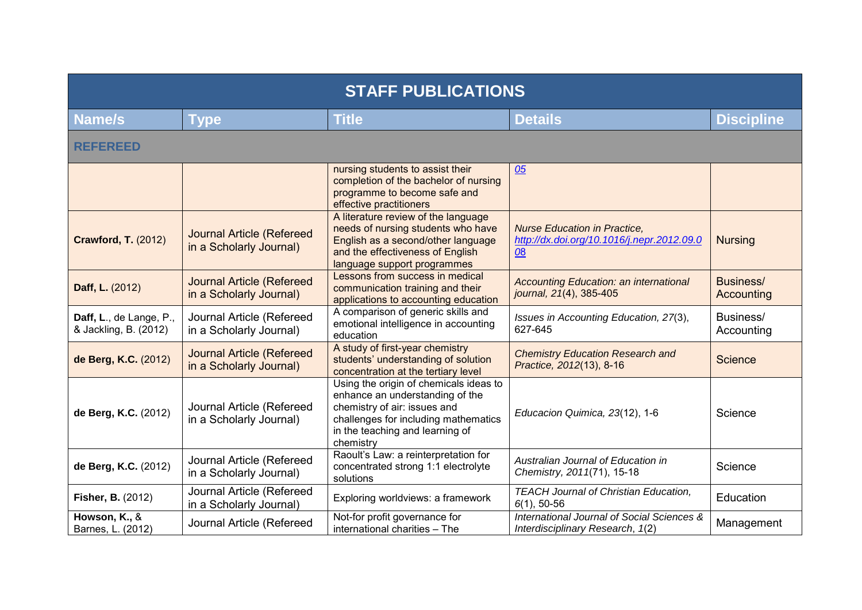| <b>STAFF PUBLICATIONS</b>                        |                                                             |                                                                                                                                                                                                   |                                                                                         |                         |  |
|--------------------------------------------------|-------------------------------------------------------------|---------------------------------------------------------------------------------------------------------------------------------------------------------------------------------------------------|-----------------------------------------------------------------------------------------|-------------------------|--|
| <b>Name/s</b>                                    | <b>Type</b>                                                 | <b>Title</b>                                                                                                                                                                                      | <b>Details</b>                                                                          | <b>Discipline</b>       |  |
| <b>REFEREED</b>                                  |                                                             |                                                                                                                                                                                                   |                                                                                         |                         |  |
|                                                  |                                                             | nursing students to assist their<br>completion of the bachelor of nursing<br>programme to become safe and<br>effective practitioners                                                              | 05                                                                                      |                         |  |
| <b>Crawford, T. (2012)</b>                       | <b>Journal Article (Refereed</b><br>in a Scholarly Journal) | A literature review of the language<br>needs of nursing students who have<br>English as a second/other language<br>and the effectiveness of English<br>language support programmes                | <b>Nurse Education in Practice,</b><br>http://dx.doi.org/10.1016/j.nepr.2012.09.0<br>08 | <b>Nursing</b>          |  |
| Daff, L. (2012)                                  | <b>Journal Article (Refereed</b><br>in a Scholarly Journal) | Lessons from success in medical<br>communication training and their<br>applications to accounting education                                                                                       | Accounting Education: an international<br>journal, 21(4), 385-405                       | Business/<br>Accounting |  |
| Daff, L., de Lange, P.,<br>& Jackling, B. (2012) | Journal Article (Refereed<br>in a Scholarly Journal)        | A comparison of generic skills and<br>emotional intelligence in accounting<br>education                                                                                                           | Issues in Accounting Education, 27(3),<br>627-645                                       | Business/<br>Accounting |  |
| de Berg, K.C. (2012)                             | Journal Article (Refereed<br>in a Scholarly Journal)        | A study of first-year chemistry<br>students' understanding of solution<br>concentration at the tertiary level                                                                                     | <b>Chemistry Education Research and</b><br>Practice, 2012(13), 8-16                     | <b>Science</b>          |  |
| de Berg, K.C. (2012)                             | Journal Article (Refereed<br>in a Scholarly Journal)        | Using the origin of chemicals ideas to<br>enhance an understanding of the<br>chemistry of air: issues and<br>challenges for including mathematics<br>in the teaching and learning of<br>chemistry | Educacion Quimica, 23(12), 1-6                                                          | Science                 |  |
| de Berg, K.C. (2012)                             | Journal Article (Refereed<br>in a Scholarly Journal)        | Raoult's Law: a reinterpretation for<br>concentrated strong 1:1 electrolyte<br>solutions                                                                                                          | Australian Journal of Education in<br>Chemistry, 2011(71), 15-18                        | Science                 |  |
| <b>Fisher, B. (2012)</b>                         | Journal Article (Refereed<br>in a Scholarly Journal)        | Exploring worldviews: a framework                                                                                                                                                                 | <b>TEACH Journal of Christian Education,</b><br>$6(1), 50-56$                           | <b>Education</b>        |  |
| Howson, K., &<br>Barnes, L. (2012)               | Journal Article (Refereed                                   | Not-for profit governance for<br>international charities - The                                                                                                                                    | International Journal of Social Sciences &<br>Interdisciplinary Research, 1(2)          | Management              |  |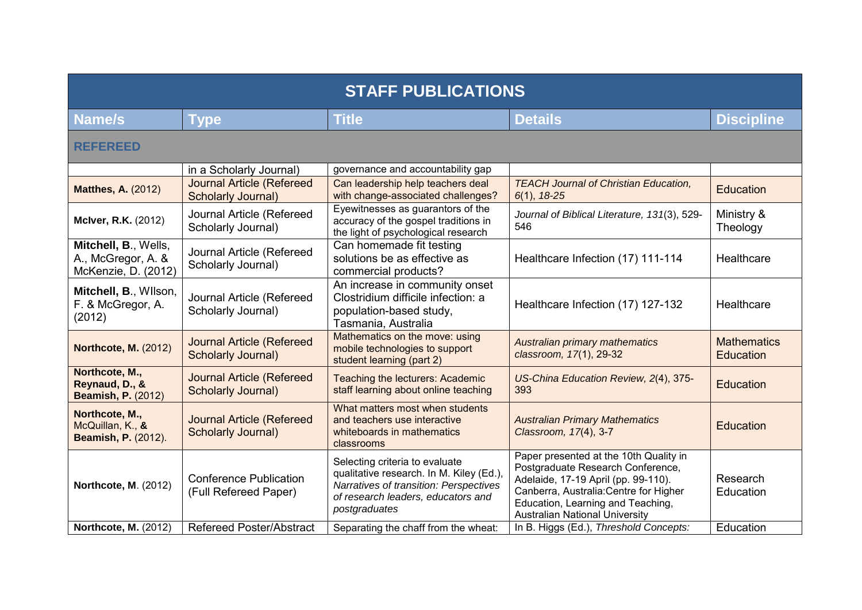| <b>STAFF PUBLICATIONS</b>                                         |                                                               |                                                                                                                                                                             |                                                                                                                                                                                                                                            |                                        |  |
|-------------------------------------------------------------------|---------------------------------------------------------------|-----------------------------------------------------------------------------------------------------------------------------------------------------------------------------|--------------------------------------------------------------------------------------------------------------------------------------------------------------------------------------------------------------------------------------------|----------------------------------------|--|
| <b>Name/s</b>                                                     | <b>Type</b>                                                   | <b>Title</b>                                                                                                                                                                | <b>Details</b>                                                                                                                                                                                                                             | <b>Discipline</b>                      |  |
| <b>REFEREED</b>                                                   |                                                               |                                                                                                                                                                             |                                                                                                                                                                                                                                            |                                        |  |
|                                                                   | in a Scholarly Journal)                                       | governance and accountability gap                                                                                                                                           |                                                                                                                                                                                                                                            |                                        |  |
| <b>Matthes, A. (2012)</b>                                         | <b>Journal Article (Refereed</b><br><b>Scholarly Journal)</b> | Can leadership help teachers deal<br>with change-associated challenges?                                                                                                     | <b>TEACH Journal of Christian Education,</b><br>$6(1), 18-25$                                                                                                                                                                              | Education                              |  |
| <b>McIver, R.K.</b> (2012)                                        | Journal Article (Refereed<br>Scholarly Journal)               | Eyewitnesses as guarantors of the<br>accuracy of the gospel traditions in<br>the light of psychological research                                                            | Journal of Biblical Literature, 131(3), 529-<br>546                                                                                                                                                                                        | Ministry &<br>Theology                 |  |
| Mitchell, B., Wells,<br>A., McGregor, A. &<br>McKenzie, D. (2012) | Journal Article (Refereed<br>Scholarly Journal)               | Can homemade fit testing<br>solutions be as effective as<br>commercial products?                                                                                            | Healthcare Infection (17) 111-114                                                                                                                                                                                                          | Healthcare                             |  |
| Mitchell, B., Wilson,<br>F. & McGregor, A.<br>(2012)              | Journal Article (Refereed<br>Scholarly Journal)               | An increase in community onset<br>Clostridium difficile infection: a<br>population-based study,<br>Tasmania, Australia                                                      | Healthcare Infection (17) 127-132                                                                                                                                                                                                          | Healthcare                             |  |
| <b>Northcote, M. (2012)</b>                                       | <b>Journal Article (Refereed</b><br><b>Scholarly Journal)</b> | Mathematics on the move: using<br>mobile technologies to support<br>student learning (part 2)                                                                               | Australian primary mathematics<br>classroom, 17(1), 29-32                                                                                                                                                                                  | <b>Mathematics</b><br><b>Education</b> |  |
| Northcote, M.,<br>Reynaud, D., &<br><b>Beamish, P. (2012)</b>     | <b>Journal Article (Refereed</b><br><b>Scholarly Journal)</b> | Teaching the lecturers: Academic<br>staff learning about online teaching                                                                                                    | US-China Education Review, 2(4), 375-<br>393                                                                                                                                                                                               | Education                              |  |
| Northcote, M.,<br>McQuillan, K., &<br><b>Beamish, P. (2012).</b>  | <b>Journal Article (Refereed</b><br><b>Scholarly Journal)</b> | What matters most when students<br>and teachers use interactive<br>whiteboards in mathematics<br>classrooms                                                                 | <b>Australian Primary Mathematics</b><br>Classroom, 17(4), 3-7                                                                                                                                                                             | Education                              |  |
| Northcote, M. (2012)                                              | <b>Conference Publication</b><br>(Full Refereed Paper)        | Selecting criteria to evaluate<br>qualitative research. In M. Kiley (Ed.),<br>Narratives of transition: Perspectives<br>of research leaders, educators and<br>postgraduates | Paper presented at the 10th Quality in<br>Postgraduate Research Conference,<br>Adelaide, 17-19 April (pp. 99-110).<br>Canberra, Australia: Centre for Higher<br>Education, Learning and Teaching,<br><b>Australian National University</b> | Research<br>Education                  |  |
| <b>Northcote, M. (2012)</b>                                       | <b>Refereed Poster/Abstract</b>                               | Separating the chaff from the wheat:                                                                                                                                        | In B. Higgs (Ed.), Threshold Concepts:                                                                                                                                                                                                     | Education                              |  |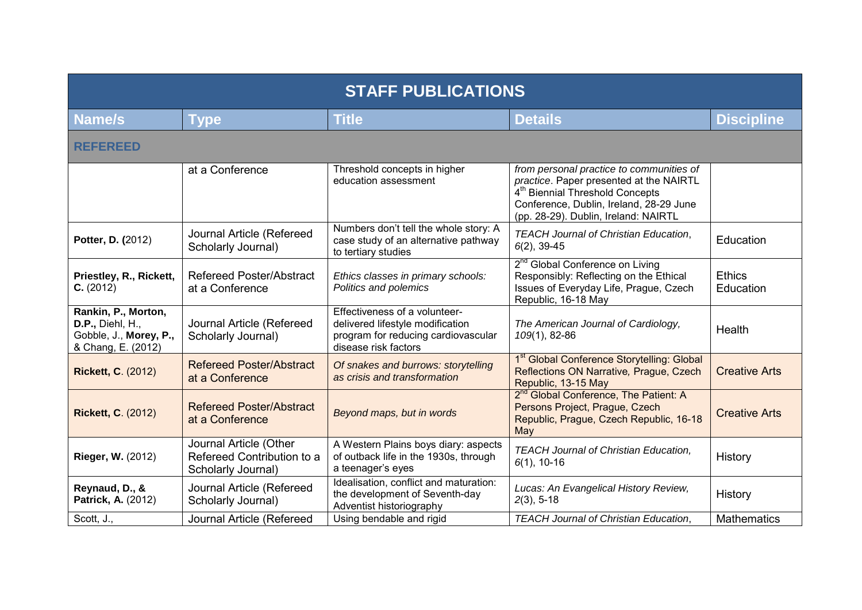| <b>STAFF PUBLICATIONS</b>                                                                      |                                                                            |                                                                                                                                  |                                                                                                                                                                                                                       |                            |
|------------------------------------------------------------------------------------------------|----------------------------------------------------------------------------|----------------------------------------------------------------------------------------------------------------------------------|-----------------------------------------------------------------------------------------------------------------------------------------------------------------------------------------------------------------------|----------------------------|
| Name/s                                                                                         | <b>Type</b>                                                                | <b>Title</b>                                                                                                                     | <b>Details</b>                                                                                                                                                                                                        | <b>Discipline</b>          |
| <b>REFEREED</b>                                                                                |                                                                            |                                                                                                                                  |                                                                                                                                                                                                                       |                            |
|                                                                                                | at a Conference                                                            | Threshold concepts in higher<br>education assessment                                                                             | from personal practice to communities of<br>practice. Paper presented at the NAIRTL<br>4 <sup>th</sup> Biennial Threshold Concepts<br>Conference, Dublin, Ireland, 28-29 June<br>(pp. 28-29). Dublin, Ireland: NAIRTL |                            |
| Potter, D. (2012)                                                                              | Journal Article (Refereed<br>Scholarly Journal)                            | Numbers don't tell the whole story: A<br>case study of an alternative pathway<br>to tertiary studies                             | <b>TEACH Journal of Christian Education,</b><br>$6(2)$ , 39-45                                                                                                                                                        | Education                  |
| Priestley, R., Rickett,<br>C. (2012)                                                           | <b>Refereed Poster/Abstract</b><br>at a Conference                         | Ethics classes in primary schools:<br>Politics and polemics                                                                      | 2 <sup>nd</sup> Global Conference on Living<br>Responsibly: Reflecting on the Ethical<br>Issues of Everyday Life, Prague, Czech<br>Republic, 16-18 May                                                                | <b>Ethics</b><br>Education |
| Rankin, P., Morton,<br><b>D.P., Diehl, H.,</b><br>Gobble, J., Morey, P.,<br>& Chang, E. (2012) | Journal Article (Refereed<br>Scholarly Journal)                            | Effectiveness of a volunteer-<br>delivered lifestyle modification<br>program for reducing cardiovascular<br>disease risk factors | The American Journal of Cardiology,<br>109(1), 82-86                                                                                                                                                                  | Health                     |
| <b>Rickett, C. (2012)</b>                                                                      | <b>Refereed Poster/Abstract</b><br>at a Conference                         | Of snakes and burrows: storytelling<br>as crisis and transformation                                                              | 1 <sup>st</sup> Global Conference Storytelling: Global<br>Reflections ON Narrative, Prague, Czech<br>Republic, 13-15 May                                                                                              | <b>Creative Arts</b>       |
| <b>Rickett, C. (2012)</b>                                                                      | <b>Refereed Poster/Abstract</b><br>at a Conference                         | Beyond maps, but in words                                                                                                        | 2 <sup>nd</sup> Global Conference, The Patient: A<br>Persons Project, Prague, Czech<br>Republic, Prague, Czech Republic, 16-18<br>May                                                                                 | <b>Creative Arts</b>       |
| Rieger, W. (2012)                                                                              | Journal Article (Other<br>Refereed Contribution to a<br>Scholarly Journal) | A Western Plains boys diary: aspects<br>of outback life in the 1930s, through<br>a teenager's eyes                               | <b>TEACH Journal of Christian Education,</b><br>$6(1), 10-16$                                                                                                                                                         | History                    |
| Reynaud, D., &<br>Patrick, A. (2012)                                                           | Journal Article (Refereed<br>Scholarly Journal)                            | Idealisation, conflict and maturation:<br>the development of Seventh-day<br>Adventist historiography                             | Lucas: An Evangelical History Review,<br>$2(3), 5-18$                                                                                                                                                                 | History                    |
| Scott, J.,                                                                                     | Journal Article (Refereed                                                  | Using bendable and rigid                                                                                                         | <b>TEACH Journal of Christian Education,</b>                                                                                                                                                                          | <b>Mathematics</b>         |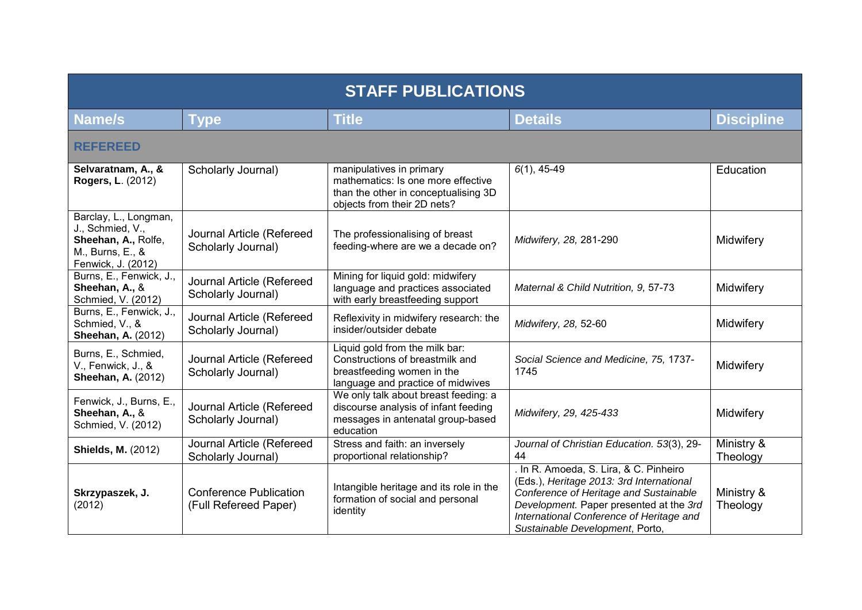| <b>STAFF PUBLICATIONS</b>                                                                                  |                                                        |                                                                                                                                       |                                                                                                                                                                                                                                                      |                        |
|------------------------------------------------------------------------------------------------------------|--------------------------------------------------------|---------------------------------------------------------------------------------------------------------------------------------------|------------------------------------------------------------------------------------------------------------------------------------------------------------------------------------------------------------------------------------------------------|------------------------|
| <b>Name/s</b>                                                                                              | <b>Type</b>                                            | <b>Title</b>                                                                                                                          | <b>Details</b>                                                                                                                                                                                                                                       | <b>Discipline</b>      |
| <b>REFEREED</b>                                                                                            |                                                        |                                                                                                                                       |                                                                                                                                                                                                                                                      |                        |
| Selvaratnam, A., &<br><b>Rogers, L. (2012)</b>                                                             | Scholarly Journal)                                     | manipulatives in primary<br>mathematics: Is one more effective<br>than the other in conceptualising 3D<br>objects from their 2D nets? | $6(1), 45-49$                                                                                                                                                                                                                                        | Education              |
| Barclay, L., Longman,<br>J., Schmied, V.,<br>Sheehan, A., Rolfe,<br>M., Burns, E., &<br>Fenwick, J. (2012) | Journal Article (Refereed<br>Scholarly Journal)        | The professionalising of breast<br>feeding-where are we a decade on?                                                                  | Midwifery, 28, 281-290                                                                                                                                                                                                                               | Midwifery              |
| Burns, E., Fenwick, J.,<br>Sheehan, A., &<br>Schmied, V. (2012)                                            | Journal Article (Refereed<br>Scholarly Journal)        | Mining for liquid gold: midwifery<br>language and practices associated<br>with early breastfeeding support                            | Maternal & Child Nutrition, 9, 57-73                                                                                                                                                                                                                 | Midwifery              |
| Burns, E., Fenwick, J.,<br>Schmied, V., &<br><b>Sheehan, A. (2012)</b>                                     | Journal Article (Refereed<br>Scholarly Journal)        | Reflexivity in midwifery research: the<br>insider/outsider debate                                                                     | Midwifery, 28, 52-60                                                                                                                                                                                                                                 | Midwifery              |
| Burns, E., Schmied,<br>V., Fenwick, J., &<br><b>Sheehan, A. (2012)</b>                                     | Journal Article (Refereed<br>Scholarly Journal)        | Liquid gold from the milk bar:<br>Constructions of breastmilk and<br>breastfeeding women in the<br>language and practice of midwives  | Social Science and Medicine, 75, 1737-<br>1745                                                                                                                                                                                                       | Midwifery              |
| Fenwick, J., Burns, E.,<br>Sheehan, A., &<br>Schmied, V. (2012)                                            | Journal Article (Refereed<br>Scholarly Journal)        | We only talk about breast feeding: a<br>discourse analysis of infant feeding<br>messages in antenatal group-based<br>education        | Midwifery, 29, 425-433                                                                                                                                                                                                                               | Midwifery              |
| <b>Shields, M. (2012)</b>                                                                                  | Journal Article (Refereed<br>Scholarly Journal)        | Stress and faith: an inversely<br>proportional relationship?                                                                          | Journal of Christian Education. 53(3), 29-<br>44                                                                                                                                                                                                     | Ministry &<br>Theology |
| Skrzypaszek, J.<br>(2012)                                                                                  | <b>Conference Publication</b><br>(Full Refereed Paper) | Intangible heritage and its role in the<br>formation of social and personal<br>identity                                               | In R. Amoeda, S. Lira, & C. Pinheiro<br>(Eds.), Heritage 2013: 3rd International<br>Conference of Heritage and Sustainable<br>Development. Paper presented at the 3rd<br>International Conference of Heritage and<br>Sustainable Development, Porto, | Ministry &<br>Theology |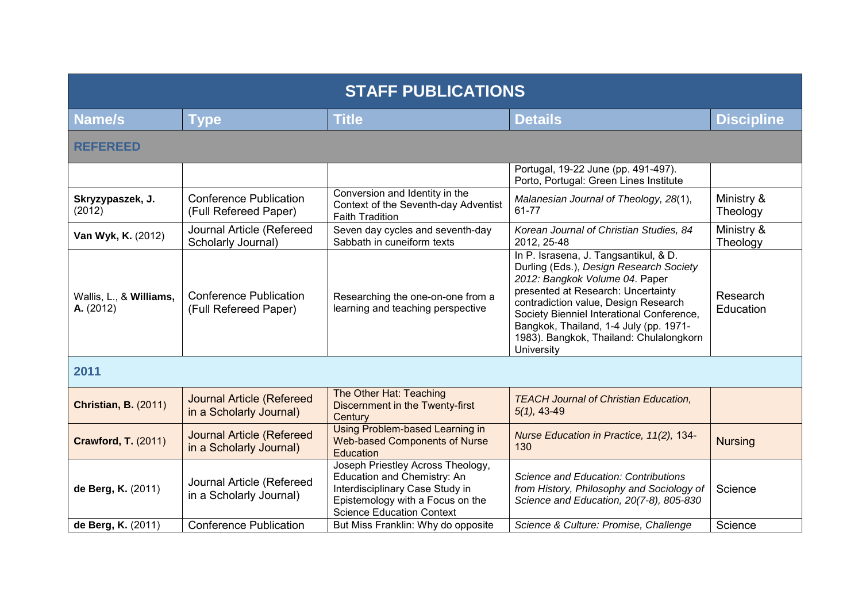| <b>STAFF PUBLICATIONS</b>            |                                                             |                                                                                                                                                                             |                                                                                                                                                                                                                                                                                                                                                  |                        |
|--------------------------------------|-------------------------------------------------------------|-----------------------------------------------------------------------------------------------------------------------------------------------------------------------------|--------------------------------------------------------------------------------------------------------------------------------------------------------------------------------------------------------------------------------------------------------------------------------------------------------------------------------------------------|------------------------|
| <b>Name/s</b>                        | <b>Type</b>                                                 | <b>Title</b>                                                                                                                                                                | <b>Details</b>                                                                                                                                                                                                                                                                                                                                   | <b>Discipline</b>      |
| <b>REFEREED</b>                      |                                                             |                                                                                                                                                                             |                                                                                                                                                                                                                                                                                                                                                  |                        |
|                                      |                                                             |                                                                                                                                                                             | Portugal, 19-22 June (pp. 491-497).<br>Porto, Portugal: Green Lines Institute                                                                                                                                                                                                                                                                    |                        |
| Skryzypaszek, J.<br>(2012)           | <b>Conference Publication</b><br>(Full Refereed Paper)      | Conversion and Identity in the<br>Context of the Seventh-day Adventist<br><b>Faith Tradition</b>                                                                            | Malanesian Journal of Theology, 28(1),<br>61-77                                                                                                                                                                                                                                                                                                  | Ministry &<br>Theology |
| Van Wyk, K. (2012)                   | Journal Article (Refereed<br>Scholarly Journal)             | Seven day cycles and seventh-day<br>Sabbath in cuneiform texts                                                                                                              | Korean Journal of Christian Studies, 84<br>2012, 25-48                                                                                                                                                                                                                                                                                           | Ministry &<br>Theology |
| Wallis, L., & Williams,<br>A. (2012) | <b>Conference Publication</b><br>(Full Refereed Paper)      | Researching the one-on-one from a<br>learning and teaching perspective                                                                                                      | In P. Israsena, J. Tangsantikul, & D.<br>Durling (Eds.), Design Research Society<br>2012: Bangkok Volume 04. Paper<br>presented at Research: Uncertainty<br>contradiction value, Design Research<br>Society Bienniel Interational Conference,<br>Bangkok, Thailand, 1-4 July (pp. 1971-<br>1983). Bangkok, Thailand: Chulalongkorn<br>University | Research<br>Education  |
| 2011                                 |                                                             |                                                                                                                                                                             |                                                                                                                                                                                                                                                                                                                                                  |                        |
| <b>Christian, B. (2011)</b>          | <b>Journal Article (Refereed</b><br>in a Scholarly Journal) | The Other Hat: Teaching<br><b>Discernment in the Twenty-first</b><br>Century                                                                                                | <b>TEACH Journal of Christian Education,</b><br>$5(1), 43-49$                                                                                                                                                                                                                                                                                    |                        |
| <b>Crawford, T. (2011)</b>           | <b>Journal Article (Refereed</b><br>in a Scholarly Journal) | <b>Using Problem-based Learning in</b><br><b>Web-based Components of Nurse</b><br>Education                                                                                 | Nurse Education in Practice, 11(2), 134-<br>130                                                                                                                                                                                                                                                                                                  | <b>Nursing</b>         |
| de Berg, K. (2011)                   | Journal Article (Refereed<br>in a Scholarly Journal)        | Joseph Priestley Across Theology,<br>Education and Chemistry: An<br>Interdisciplinary Case Study in<br>Epistemology with a Focus on the<br><b>Science Education Context</b> | Science and Education: Contributions<br>from History, Philosophy and Sociology of<br>Science and Education, 20(7-8), 805-830                                                                                                                                                                                                                     | Science                |
| de Berg, K. (2011)                   | <b>Conference Publication</b>                               | But Miss Franklin: Why do opposite                                                                                                                                          | Science & Culture: Promise, Challenge                                                                                                                                                                                                                                                                                                            | Science                |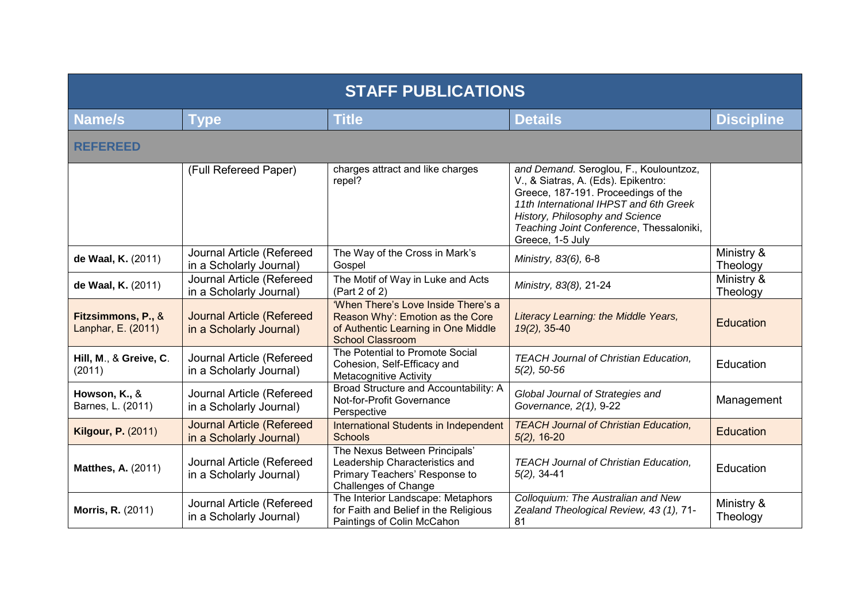| <b>STAFF PUBLICATIONS</b>                |                                                             |                                                                                                                                           |                                                                                                                                                                                                                                                                   |                        |  |
|------------------------------------------|-------------------------------------------------------------|-------------------------------------------------------------------------------------------------------------------------------------------|-------------------------------------------------------------------------------------------------------------------------------------------------------------------------------------------------------------------------------------------------------------------|------------------------|--|
| <b>Name/s</b>                            | <b>Type</b>                                                 | <b>Title</b>                                                                                                                              | <b>Details</b>                                                                                                                                                                                                                                                    | <b>Discipline</b>      |  |
| <b>REFEREED</b>                          |                                                             |                                                                                                                                           |                                                                                                                                                                                                                                                                   |                        |  |
|                                          | (Full Refereed Paper)                                       | charges attract and like charges<br>repel?                                                                                                | and Demand. Seroglou, F., Koulountzoz,<br>V., & Siatras, A. (Eds). Epikentro:<br>Greece, 187-191. Proceedings of the<br>11th International IHPST and 6th Greek<br>History, Philosophy and Science<br>Teaching Joint Conference, Thessaloniki,<br>Greece, 1-5 July |                        |  |
| de Waal, K. (2011)                       | Journal Article (Refereed<br>in a Scholarly Journal)        | The Way of the Cross in Mark's<br>Gospel                                                                                                  | Ministry, 83(6), 6-8                                                                                                                                                                                                                                              | Ministry &<br>Theology |  |
| de Waal, K. (2011)                       | Journal Article (Refereed<br>in a Scholarly Journal)        | The Motif of Way in Luke and Acts<br>(Part 2 of 2)                                                                                        | Ministry, 83(8), 21-24                                                                                                                                                                                                                                            | Ministry &<br>Theology |  |
| Fitzsimmons, P., &<br>Lanphar, E. (2011) | <b>Journal Article (Refereed</b><br>in a Scholarly Journal) | 'When There's Love Inside There's a<br>Reason Why': Emotion as the Core<br>of Authentic Learning in One Middle<br><b>School Classroom</b> | Literacy Learning: the Middle Years,<br>$19(2)$ , 35-40                                                                                                                                                                                                           | Education              |  |
| Hill, M., & Greive, C.<br>(2011)         | Journal Article (Refereed<br>in a Scholarly Journal)        | The Potential to Promote Social<br>Cohesion, Self-Efficacy and<br><b>Metacognitive Activity</b>                                           | <b>TEACH Journal of Christian Education,</b><br>$5(2)$ , 50-56                                                                                                                                                                                                    | Education              |  |
| Howson, K., &<br>Barnes, L. (2011)       | Journal Article (Refereed<br>in a Scholarly Journal)        | Broad Structure and Accountability: A<br>Not-for-Profit Governance<br>Perspective                                                         | Global Journal of Strategies and<br>Governance, 2(1), 9-22                                                                                                                                                                                                        | Management             |  |
| <b>Kilgour, P. (2011)</b>                | <b>Journal Article (Refereed</b><br>in a Scholarly Journal) | International Students in Independent<br><b>Schools</b>                                                                                   | <b>TEACH Journal of Christian Education,</b><br>$5(2)$ , 16-20                                                                                                                                                                                                    | <b>Education</b>       |  |
| <b>Matthes, A. (2011)</b>                | Journal Article (Refereed<br>in a Scholarly Journal)        | The Nexus Between Principals'<br>Leadership Characteristics and<br>Primary Teachers' Response to<br><b>Challenges of Change</b>           | <b>TEACH Journal of Christian Education,</b><br>$5(2)$ , 34-41                                                                                                                                                                                                    | Education              |  |
| <b>Morris, R. (2011)</b>                 | Journal Article (Refereed<br>in a Scholarly Journal)        | The Interior Landscape: Metaphors<br>for Faith and Belief in the Religious<br>Paintings of Colin McCahon                                  | Colloquium: The Australian and New<br>Zealand Theological Review, 43 (1), 71-<br>81                                                                                                                                                                               | Ministry &<br>Theology |  |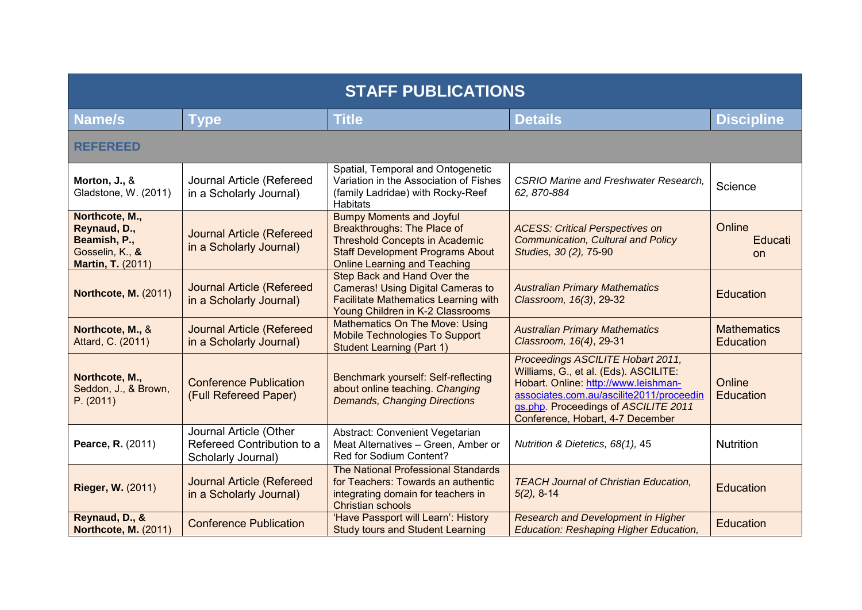| <b>STAFF PUBLICATIONS</b>                                                                     |                                                                            |                                                                                                                                                                                           |                                                                                                                                                                                                                                            |                                        |
|-----------------------------------------------------------------------------------------------|----------------------------------------------------------------------------|-------------------------------------------------------------------------------------------------------------------------------------------------------------------------------------------|--------------------------------------------------------------------------------------------------------------------------------------------------------------------------------------------------------------------------------------------|----------------------------------------|
| <b>Name/s</b>                                                                                 | Type                                                                       | <b>Title</b>                                                                                                                                                                              | <b>Details</b>                                                                                                                                                                                                                             | <b>Discipline</b>                      |
| <b>REFEREED</b>                                                                               |                                                                            |                                                                                                                                                                                           |                                                                                                                                                                                                                                            |                                        |
| Morton, J., &<br>Gladstone, W. (2011)                                                         | Journal Article (Refereed<br>in a Scholarly Journal)                       | Spatial, Temporal and Ontogenetic<br>Variation in the Association of Fishes<br>(family Ladridae) with Rocky-Reef<br><b>Habitats</b>                                                       | <b>CSRIO Marine and Freshwater Research,</b><br>62, 870-884                                                                                                                                                                                | Science                                |
| Northcote, M.,<br>Reynaud, D.,<br>Beamish, P.,<br>Gosselin, K., &<br><b>Martin, T. (2011)</b> | <b>Journal Article (Refereed</b><br>in a Scholarly Journal)                | <b>Bumpy Moments and Joyful</b><br>Breakthroughs: The Place of<br><b>Threshold Concepts in Academic</b><br><b>Staff Development Programs About</b><br><b>Online Learning and Teaching</b> | <b>ACESS: Critical Perspectives on</b><br>Communication, Cultural and Policy<br>Studies, 30 (2), 75-90                                                                                                                                     | Online<br>Educati<br><b>on</b>         |
| <b>Northcote, M. (2011)</b>                                                                   | <b>Journal Article (Refereed</b><br>in a Scholarly Journal)                | Step Back and Hand Over the<br><b>Cameras! Using Digital Cameras to</b><br><b>Facilitate Mathematics Learning with</b><br>Young Children in K-2 Classrooms                                | <b>Australian Primary Mathematics</b><br>Classroom, 16(3), 29-32                                                                                                                                                                           | Education                              |
| Northcote, M., &<br>Attard, C. (2011)                                                         | <b>Journal Article (Refereed</b><br>in a Scholarly Journal)                | <b>Mathematics On The Move: Using</b><br>Mobile Technologies To Support<br><b>Student Learning (Part 1)</b>                                                                               | <b>Australian Primary Mathematics</b><br>Classroom, 16(4), 29-31                                                                                                                                                                           | <b>Mathematics</b><br><b>Education</b> |
| Northcote, M.,<br>Seddon, J., & Brown,<br>P. (2011)                                           | <b>Conference Publication</b><br>(Full Refereed Paper)                     | Benchmark yourself: Self-reflecting<br>about online teaching. Changing<br><b>Demands, Changing Directions</b>                                                                             | Proceedings ASCILITE Hobart 2011,<br>Williams, G., et al. (Eds). ASCILITE:<br>Hobart. Online: http://www.leishman-<br>associates.com.au/ascilite2011/proceedin<br>gs.php. Proceedings of ASCILITE 2011<br>Conference, Hobart, 4-7 December | Online<br>Education                    |
| Pearce, R. (2011)                                                                             | Journal Article (Other<br>Refereed Contribution to a<br>Scholarly Journal) | Abstract: Convenient Vegetarian<br>Meat Alternatives - Green, Amber or<br>Red for Sodium Content?                                                                                         | Nutrition & Dietetics, 68(1), 45                                                                                                                                                                                                           | <b>Nutrition</b>                       |
| <b>Rieger, W. (2011)</b>                                                                      | <b>Journal Article (Refereed</b><br>in a Scholarly Journal)                | The National Professional Standards<br>for Teachers: Towards an authentic<br>integrating domain for teachers in<br><b>Christian schools</b>                                               | <b>TEACH Journal of Christian Education,</b><br>$5(2)$ , 8-14                                                                                                                                                                              | Education                              |
| Reynaud, D., &<br><b>Northcote, M. (2011)</b>                                                 | <b>Conference Publication</b>                                              | 'Have Passport will Learn': History<br><b>Study tours and Student Learning</b>                                                                                                            | <b>Research and Development in Higher</b><br><b>Education: Reshaping Higher Education,</b>                                                                                                                                                 | Education                              |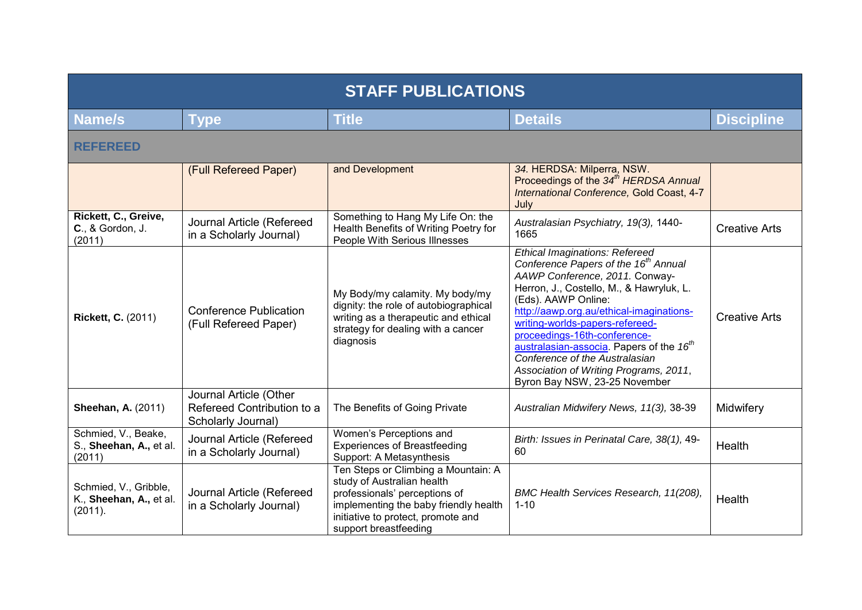| <b>STAFF PUBLICATIONS</b>                                   |                                                                            |                                                                                                                                                                                                            |                                                                                                                                                                                                                                                                                                                                                                                                                                                                             |                      |  |
|-------------------------------------------------------------|----------------------------------------------------------------------------|------------------------------------------------------------------------------------------------------------------------------------------------------------------------------------------------------------|-----------------------------------------------------------------------------------------------------------------------------------------------------------------------------------------------------------------------------------------------------------------------------------------------------------------------------------------------------------------------------------------------------------------------------------------------------------------------------|----------------------|--|
| <b>Name/s</b>                                               | <b>Type</b>                                                                | <b>Title</b>                                                                                                                                                                                               | <b>Details</b>                                                                                                                                                                                                                                                                                                                                                                                                                                                              | <b>Discipline</b>    |  |
| <b>REFEREED</b>                                             |                                                                            |                                                                                                                                                                                                            |                                                                                                                                                                                                                                                                                                                                                                                                                                                                             |                      |  |
|                                                             | (Full Refereed Paper)                                                      | and Development                                                                                                                                                                                            | 34. HERDSA: Milperra, NSW.<br>Proceedings of the 34 <sup>th</sup> HERDSA Annual<br>International Conference, Gold Coast, 4-7<br>July                                                                                                                                                                                                                                                                                                                                        |                      |  |
| Rickett, C., Greive,<br>C., & Gordon, J.<br>(2011)          | Journal Article (Refereed<br>in a Scholarly Journal)                       | Something to Hang My Life On: the<br>Health Benefits of Writing Poetry for<br>People With Serious Illnesses                                                                                                | Australasian Psychiatry, 19(3), 1440-<br>1665                                                                                                                                                                                                                                                                                                                                                                                                                               | <b>Creative Arts</b> |  |
| <b>Rickett, C. (2011)</b>                                   | <b>Conference Publication</b><br>(Full Refereed Paper)                     | My Body/my calamity. My body/my<br>dignity: the role of autobiographical<br>writing as a therapeutic and ethical<br>strategy for dealing with a cancer<br>diagnosis                                        | Ethical Imaginations: Refereed<br>Conference Papers of the 16 <sup>th</sup> Annual<br>AAWP Conference, 2011. Conway-<br>Herron, J., Costello, M., & Hawryluk, L.<br>(Eds). AAWP Online:<br>http://aawp.org.au/ethical-imaginations-<br>writing-worlds-papers-refereed-<br>proceedings-16th-conference-<br>australasian-associa. Papers of the 16 <sup>th</sup><br>Conference of the Australasian<br>Association of Writing Programs, 2011,<br>Byron Bay NSW, 23-25 November | <b>Creative Arts</b> |  |
| <b>Sheehan, A. (2011)</b>                                   | Journal Article (Other<br>Refereed Contribution to a<br>Scholarly Journal) | The Benefits of Going Private                                                                                                                                                                              | Australian Midwifery News, 11(3), 38-39                                                                                                                                                                                                                                                                                                                                                                                                                                     | Midwifery            |  |
| Schmied, V., Beake,<br>S., Sheehan, A., et al.<br>(2011)    | Journal Article (Refereed<br>in a Scholarly Journal)                       | Women's Perceptions and<br><b>Experiences of Breastfeeding</b><br>Support: A Metasynthesis                                                                                                                 | Birth: Issues in Perinatal Care, 38(1), 49-<br>60                                                                                                                                                                                                                                                                                                                                                                                                                           | Health               |  |
| Schmied, V., Gribble,<br>K., Sheehan, A., et al.<br>(2011). | Journal Article (Refereed<br>in a Scholarly Journal)                       | Ten Steps or Climbing a Mountain: A<br>study of Australian health<br>professionals' perceptions of<br>implementing the baby friendly health<br>initiative to protect, promote and<br>support breastfeeding | BMC Health Services Research, 11(208),<br>$1 - 10$                                                                                                                                                                                                                                                                                                                                                                                                                          | Health               |  |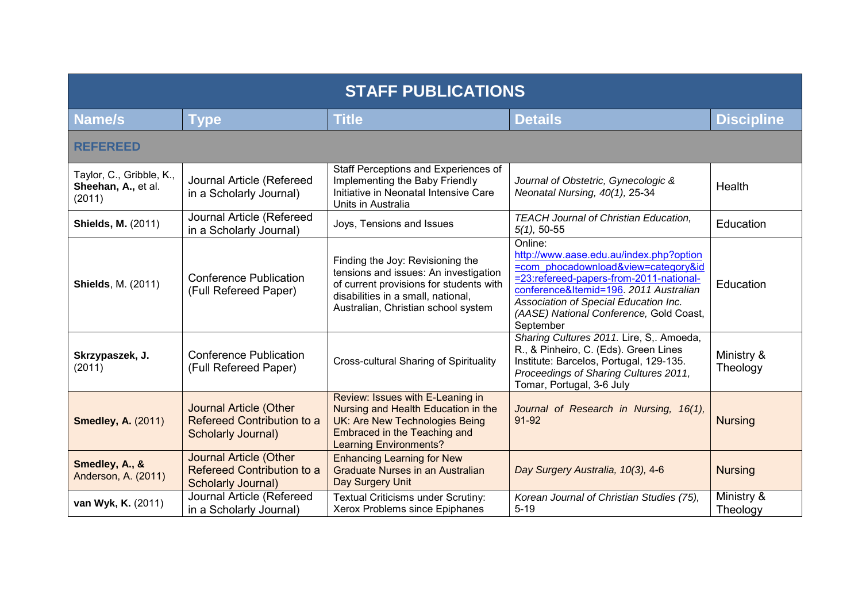| <b>STAFF PUBLICATIONS</b>                                 |                                                                                          |                                                                                                                                                                                                   |                                                                                                                                                                                                                                                                                 |                        |  |
|-----------------------------------------------------------|------------------------------------------------------------------------------------------|---------------------------------------------------------------------------------------------------------------------------------------------------------------------------------------------------|---------------------------------------------------------------------------------------------------------------------------------------------------------------------------------------------------------------------------------------------------------------------------------|------------------------|--|
| <b>Name/s</b>                                             | <b>Type</b>                                                                              | <b>Title</b>                                                                                                                                                                                      | <b>Details</b>                                                                                                                                                                                                                                                                  | <b>Discipline</b>      |  |
| <b>REFEREED</b>                                           |                                                                                          |                                                                                                                                                                                                   |                                                                                                                                                                                                                                                                                 |                        |  |
| Taylor, C., Gribble, K.,<br>Sheehan, A., et al.<br>(2011) | Journal Article (Refereed<br>in a Scholarly Journal)                                     | Staff Perceptions and Experiences of<br>Implementing the Baby Friendly<br>Initiative in Neonatal Intensive Care<br>Units in Australia                                                             | Journal of Obstetric, Gynecologic &<br>Neonatal Nursing, 40(1), 25-34                                                                                                                                                                                                           | Health                 |  |
| <b>Shields, M. (2011)</b>                                 | Journal Article (Refereed<br>in a Scholarly Journal)                                     | Joys, Tensions and Issues                                                                                                                                                                         | <b>TEACH Journal of Christian Education,</b><br>$5(1)$ , 50-55                                                                                                                                                                                                                  | Education              |  |
| <b>Shields, M. (2011)</b>                                 | <b>Conference Publication</b><br>(Full Refereed Paper)                                   | Finding the Joy: Revisioning the<br>tensions and issues: An investigation<br>of current provisions for students with<br>disabilities in a small, national,<br>Australian, Christian school system | Online:<br>http://www.aase.edu.au/index.php?option<br>=com phocadownload&view=category&id<br>=23:refereed-papers-from-2011-national-<br>conference&Itemid=196. 2011 Australian<br>Association of Special Education Inc.<br>(AASE) National Conference, Gold Coast,<br>September | Education              |  |
| Skrzypaszek, J.<br>(2011)                                 | <b>Conference Publication</b><br>(Full Refereed Paper)                                   | Cross-cultural Sharing of Spirituality                                                                                                                                                            | Sharing Cultures 2011. Lire, S,. Amoeda,<br>R., & Pinheiro, C. (Eds). Green Lines<br>Institute: Barcelos, Portugal, 129-135.<br>Proceedings of Sharing Cultures 2011,<br>Tomar, Portugal, 3-6 July                                                                              | Ministry &<br>Theology |  |
| <b>Smedley, A. (2011)</b>                                 | <b>Journal Article (Other</b><br>Refereed Contribution to a<br><b>Scholarly Journal)</b> | Review: Issues with E-Leaning in<br>Nursing and Health Education in the<br><b>UK: Are New Technologies Being</b><br>Embraced in the Teaching and<br><b>Learning Environments?</b>                 | Journal of Research in Nursing, 16(1),<br>91-92                                                                                                                                                                                                                                 | <b>Nursing</b>         |  |
| Smedley, A., &<br>Anderson, A. (2011)                     | <b>Journal Article (Other</b><br>Refereed Contribution to a<br>Scholarly Journal)        | <b>Enhancing Learning for New</b><br>Graduate Nurses in an Australian<br>Day Surgery Unit                                                                                                         | Day Surgery Australia, 10(3), 4-6                                                                                                                                                                                                                                               | <b>Nursing</b>         |  |
| van Wyk, K. (2011)                                        | Journal Article (Refereed<br>in a Scholarly Journal)                                     | Textual Criticisms under Scrutiny:<br>Xerox Problems since Epiphanes                                                                                                                              | Korean Journal of Christian Studies (75),<br>$5 - 19$                                                                                                                                                                                                                           | Ministry &<br>Theology |  |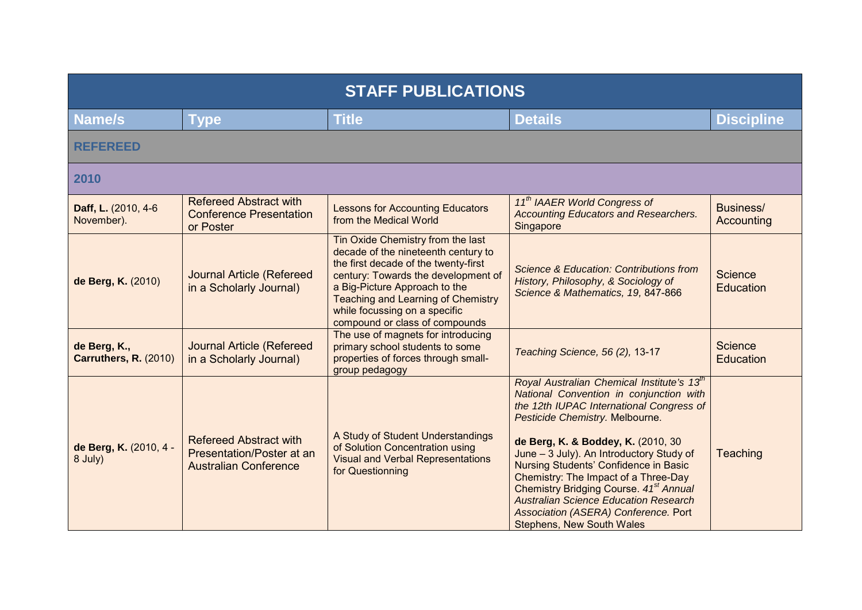| <b>STAFF PUBLICATIONS</b>             |                                                                                            |                                                                                                                                                                                                                                                                                                          |                                                                                                                                                                                                                                                                                                                                                                                                                                                                                                                                       |                             |
|---------------------------------------|--------------------------------------------------------------------------------------------|----------------------------------------------------------------------------------------------------------------------------------------------------------------------------------------------------------------------------------------------------------------------------------------------------------|---------------------------------------------------------------------------------------------------------------------------------------------------------------------------------------------------------------------------------------------------------------------------------------------------------------------------------------------------------------------------------------------------------------------------------------------------------------------------------------------------------------------------------------|-----------------------------|
| <b>Name/s</b>                         | <b>Type</b>                                                                                | <b>Title</b>                                                                                                                                                                                                                                                                                             | <b>Details</b>                                                                                                                                                                                                                                                                                                                                                                                                                                                                                                                        | <b>Discipline</b>           |
| <b>REFEREED</b>                       |                                                                                            |                                                                                                                                                                                                                                                                                                          |                                                                                                                                                                                                                                                                                                                                                                                                                                                                                                                                       |                             |
| 2010                                  |                                                                                            |                                                                                                                                                                                                                                                                                                          |                                                                                                                                                                                                                                                                                                                                                                                                                                                                                                                                       |                             |
| Daff, L. (2010, 4-6<br>November).     | <b>Refereed Abstract with</b><br><b>Conference Presentation</b><br>or Poster               | <b>Lessons for Accounting Educators</b><br>from the Medical World                                                                                                                                                                                                                                        | 11 <sup>th</sup> IAAER World Congress of<br><b>Accounting Educators and Researchers.</b><br>Singapore                                                                                                                                                                                                                                                                                                                                                                                                                                 | Business/<br>Accounting     |
| de Berg, K. (2010)                    | <b>Journal Article (Refereed</b><br>in a Scholarly Journal)                                | Tin Oxide Chemistry from the last<br>decade of the nineteenth century to<br>the first decade of the twenty-first<br>century: Towards the development of<br>a Big-Picture Approach to the<br><b>Teaching and Learning of Chemistry</b><br>while focussing on a specific<br>compound or class of compounds | Science & Education: Contributions from<br>History, Philosophy, & Sociology of<br>Science & Mathematics, 19, 847-866                                                                                                                                                                                                                                                                                                                                                                                                                  | Science<br>Education        |
| de Berg, K.,<br>Carruthers, R. (2010) | <b>Journal Article (Refereed</b><br>in a Scholarly Journal)                                | The use of magnets for introducing<br>primary school students to some<br>properties of forces through small-<br>group pedagogy                                                                                                                                                                           | Teaching Science, 56 (2), 13-17                                                                                                                                                                                                                                                                                                                                                                                                                                                                                                       | Science<br><b>Education</b> |
| de Berg, K. (2010, 4 -<br>8 July)     | <b>Refereed Abstract with</b><br>Presentation/Poster at an<br><b>Australian Conference</b> | A Study of Student Understandings<br>of Solution Concentration using<br><b>Visual and Verbal Representations</b><br>for Questionning                                                                                                                                                                     | Royal Australian Chemical Institute's 13 <sup>th</sup><br>National Convention in conjunction with<br>the 12th IUPAC International Congress of<br>Pesticide Chemistry. Melbourne.<br>de Berg, K. & Boddey, K. (2010, 30<br>June - 3 July). An Introductory Study of<br>Nursing Students' Confidence in Basic<br>Chemistry: The Impact of a Three-Day<br>Chemistry Bridging Course. 41 <sup>st</sup> Annual<br><b>Australian Science Education Research</b><br>Association (ASERA) Conference. Port<br><b>Stephens, New South Wales</b> | Teaching                    |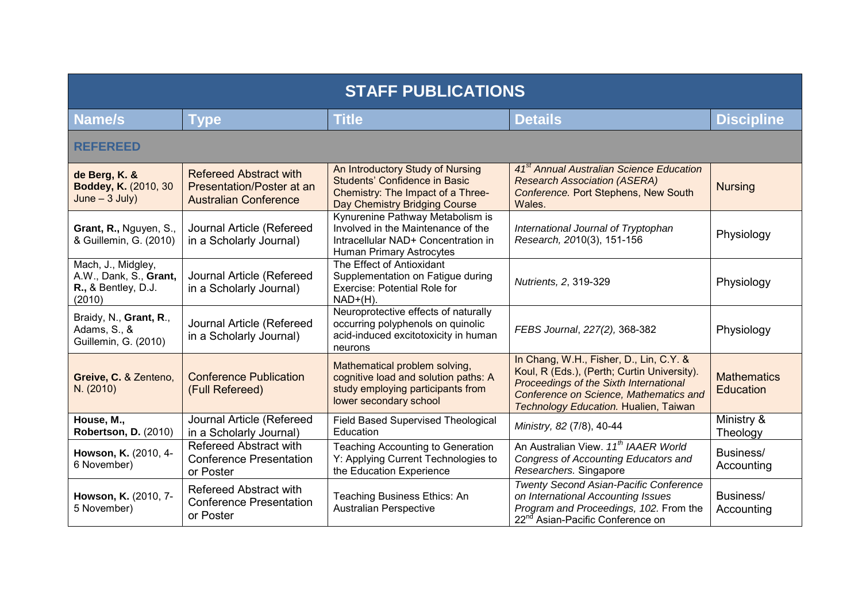| <b>STAFF PUBLICATIONS</b>                                                     |                                                                                            |                                                                                                                                           |                                                                                                                                                                                                                     |                                        |
|-------------------------------------------------------------------------------|--------------------------------------------------------------------------------------------|-------------------------------------------------------------------------------------------------------------------------------------------|---------------------------------------------------------------------------------------------------------------------------------------------------------------------------------------------------------------------|----------------------------------------|
| <b>Name/s</b>                                                                 | <b>Type</b>                                                                                | <b>Title</b>                                                                                                                              | <b>Details</b>                                                                                                                                                                                                      | <b>Discipline</b>                      |
| <b>REFEREED</b>                                                               |                                                                                            |                                                                                                                                           |                                                                                                                                                                                                                     |                                        |
| de Berg, K. &<br>Boddey, K. (2010, 30<br>$June - 3 July)$                     | <b>Refereed Abstract with</b><br>Presentation/Poster at an<br><b>Australian Conference</b> | An Introductory Study of Nursing<br>Students' Confidence in Basic<br>Chemistry: The Impact of a Three-<br>Day Chemistry Bridging Course   | 41 <sup>st</sup> Annual Australian Science Education<br><b>Research Association (ASERA)</b><br>Conference. Port Stephens, New South<br>Wales.                                                                       | <b>Nursing</b>                         |
| Grant, R., Nguyen, S.,<br>& Guillemin, G. (2010)                              | Journal Article (Refereed<br>in a Scholarly Journal)                                       | Kynurenine Pathway Metabolism is<br>Involved in the Maintenance of the<br>Intracellular NAD+ Concentration in<br>Human Primary Astrocytes | International Journal of Tryptophan<br>Research, 2010(3), 151-156                                                                                                                                                   | Physiology                             |
| Mach, J., Midgley,<br>A.W., Dank, S., Grant,<br>R., & Bentley, D.J.<br>(2010) | Journal Article (Refereed<br>in a Scholarly Journal)                                       | The Effect of Antioxidant<br>Supplementation on Fatigue during<br><b>Exercise: Potential Role for</b><br>$NAD+(H)$ .                      | Nutrients, 2, 319-329                                                                                                                                                                                               | Physiology                             |
| Braidy, N., Grant, R.,<br>Adams, S., &<br>Guillemin, G. (2010)                | Journal Article (Refereed<br>in a Scholarly Journal)                                       | Neuroprotective effects of naturally<br>occurring polyphenols on quinolic<br>acid-induced excitotoxicity in human<br>neurons              | FEBS Journal, 227(2), 368-382                                                                                                                                                                                       | Physiology                             |
| Greive, C. & Zenteno,<br>N. (2010)                                            | <b>Conference Publication</b><br>(Full Refereed)                                           | Mathematical problem solving,<br>cognitive load and solution paths: A<br>study employing participants from<br>lower secondary school      | In Chang, W.H., Fisher, D., Lin, C.Y. &<br>Koul, R (Eds.), (Perth; Curtin University).<br>Proceedings of the Sixth International<br>Conference on Science, Mathematics and<br>Technology Education. Hualien, Taiwan | <b>Mathematics</b><br><b>Education</b> |
| House, M.,<br><b>Robertson, D. (2010)</b>                                     | Journal Article (Refereed<br>in a Scholarly Journal)                                       | Field Based Supervised Theological<br>Education                                                                                           | Ministry, 82 (7/8), 40-44                                                                                                                                                                                           | Ministry &<br>Theology                 |
| Howson, K. (2010, 4-<br>6 November)                                           | Refereed Abstract with<br><b>Conference Presentation</b><br>or Poster                      | <b>Teaching Accounting to Generation</b><br>Y: Applying Current Technologies to<br>the Education Experience                               | An Australian View. 11 <sup>th</sup> IAAER World<br>Congress of Accounting Educators and<br>Researchers. Singapore                                                                                                  | Business/<br>Accounting                |
| Howson, K. (2010, 7-<br>5 November)                                           | <b>Refereed Abstract with</b><br><b>Conference Presentation</b><br>or Poster               | Teaching Business Ethics: An<br><b>Australian Perspective</b>                                                                             | Twenty Second Asian-Pacific Conference<br>on International Accounting Issues<br>Program and Proceedings, 102. From the<br>22 <sup>nd</sup> Asian-Pacific Conference on                                              | Business/<br>Accounting                |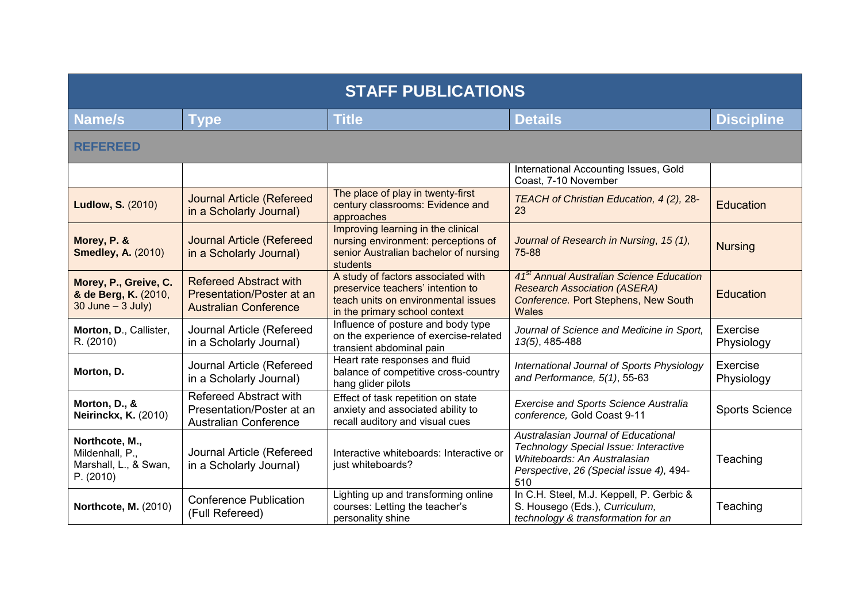| <b>STAFF PUBLICATIONS</b>                                               |                                                                                            |                                                                                                                                                 |                                                                                                                                                                |                        |
|-------------------------------------------------------------------------|--------------------------------------------------------------------------------------------|-------------------------------------------------------------------------------------------------------------------------------------------------|----------------------------------------------------------------------------------------------------------------------------------------------------------------|------------------------|
| <b>Name/s</b>                                                           | <b>Type</b>                                                                                | <b>Title</b>                                                                                                                                    | <b>Details</b>                                                                                                                                                 | <b>Discipline</b>      |
| <b>REFEREED</b>                                                         |                                                                                            |                                                                                                                                                 |                                                                                                                                                                |                        |
|                                                                         |                                                                                            |                                                                                                                                                 | International Accounting Issues, Gold<br>Coast, 7-10 November                                                                                                  |                        |
| <b>Ludlow, S. (2010)</b>                                                | <b>Journal Article (Refereed</b><br>in a Scholarly Journal)                                | The place of play in twenty-first<br>century classrooms: Evidence and<br>approaches                                                             | TEACH of Christian Education, 4 (2), 28-<br>23                                                                                                                 | <b>Education</b>       |
| Morey, P. &<br><b>Smedley, A. (2010)</b>                                | <b>Journal Article (Refereed</b><br>in a Scholarly Journal)                                | Improving learning in the clinical<br>nursing environment: perceptions of<br>senior Australian bachelor of nursing<br>students                  | Journal of Research in Nursing, 15 (1),<br>75-88                                                                                                               | <b>Nursing</b>         |
| Morey, P., Greive, C.<br>& de Berg, K. (2010,<br>$30$ June $-3$ July)   | <b>Refereed Abstract with</b><br>Presentation/Poster at an<br><b>Australian Conference</b> | A study of factors associated with<br>preservice teachers' intention to<br>teach units on environmental issues<br>in the primary school context | 41 <sup>st</sup> Annual Australian Science Education<br><b>Research Association (ASERA)</b><br>Conference. Port Stephens, New South<br><b>Wales</b>            | Education              |
| Morton, D., Callister,<br>R. (2010)                                     | Journal Article (Refereed<br>in a Scholarly Journal)                                       | Influence of posture and body type<br>on the experience of exercise-related<br>transient abdominal pain                                         | Journal of Science and Medicine in Sport,<br>13(5), 485-488                                                                                                    | Exercise<br>Physiology |
| Morton, D.                                                              | Journal Article (Refereed<br>in a Scholarly Journal)                                       | Heart rate responses and fluid<br>balance of competitive cross-country<br>hang glider pilots                                                    | International Journal of Sports Physiology<br>and Performance, $5(1)$ , 55-63                                                                                  | Exercise<br>Physiology |
| Morton, D., &<br><b>Neirinckx, K. (2010)</b>                            | Refereed Abstract with<br>Presentation/Poster at an<br><b>Australian Conference</b>        | Effect of task repetition on state<br>anxiety and associated ability to<br>recall auditory and visual cues                                      | <b>Exercise and Sports Science Australia</b><br>conference, Gold Coast 9-11                                                                                    | <b>Sports Science</b>  |
| Northcote, M.,<br>Mildenhall, P.,<br>Marshall, L., & Swan,<br>P. (2010) | Journal Article (Refereed<br>in a Scholarly Journal)                                       | Interactive whiteboards: Interactive or<br>just whiteboards?                                                                                    | Australasian Journal of Educational<br>Technology Special Issue: Interactive<br>Whiteboards: An Australasian<br>Perspective, 26 (Special issue 4), 494-<br>510 | Teaching               |
| <b>Northcote, M. (2010)</b>                                             | <b>Conference Publication</b><br>(Full Refereed)                                           | Lighting up and transforming online<br>courses: Letting the teacher's<br>personality shine                                                      | In C.H. Steel, M.J. Keppell, P. Gerbic &<br>S. Housego (Eds.), Curriculum,<br>technology & transformation for an                                               | Teaching               |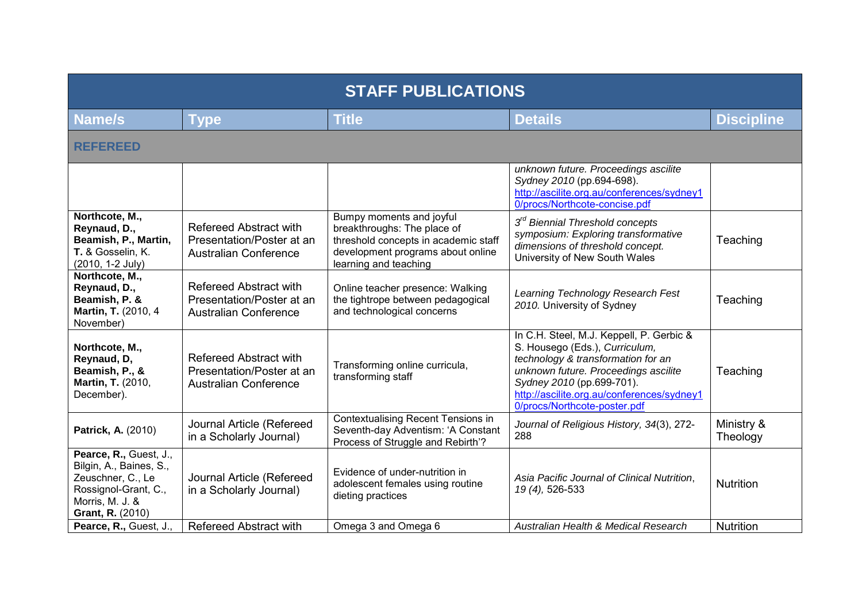| <b>STAFF PUBLICATIONS</b>                                                                                                             |                                                                                     |                                                                                                                                                               |                                                                                                                                                                                                                                                                     |                        |
|---------------------------------------------------------------------------------------------------------------------------------------|-------------------------------------------------------------------------------------|---------------------------------------------------------------------------------------------------------------------------------------------------------------|---------------------------------------------------------------------------------------------------------------------------------------------------------------------------------------------------------------------------------------------------------------------|------------------------|
| <b>Name/s</b>                                                                                                                         | <b>Type</b>                                                                         | <b>Title</b>                                                                                                                                                  | <b>Details</b>                                                                                                                                                                                                                                                      | <b>Discipline</b>      |
| <b>REFEREED</b>                                                                                                                       |                                                                                     |                                                                                                                                                               |                                                                                                                                                                                                                                                                     |                        |
|                                                                                                                                       |                                                                                     |                                                                                                                                                               | unknown future. Proceedings ascilite<br>Sydney 2010 (pp.694-698).<br>http://ascilite.org.au/conferences/sydney1<br>0/procs/Northcote-concise.pdf                                                                                                                    |                        |
| Northcote, M.,<br>Reynaud, D.,<br>Beamish, P., Martin,<br>T. & Gosselin, K.<br>(2010, 1-2 July)                                       | Refereed Abstract with<br>Presentation/Poster at an<br><b>Australian Conference</b> | Bumpy moments and joyful<br>breakthroughs: The place of<br>threshold concepts in academic staff<br>development programs about online<br>learning and teaching | 3 <sup>rd</sup> Biennial Threshold concepts<br>symposium: Exploring transformative<br>dimensions of threshold concept.<br>University of New South Wales                                                                                                             | Teaching               |
| Northcote, M.,<br>Reynaud, D.,<br>Beamish, P. &<br>Martin, T. (2010, 4<br>November)                                                   | Refereed Abstract with<br>Presentation/Poster at an<br><b>Australian Conference</b> | Online teacher presence: Walking<br>the tightrope between pedagogical<br>and technological concerns                                                           | Learning Technology Research Fest<br>2010. University of Sydney                                                                                                                                                                                                     | Teaching               |
| Northcote, M.,<br>Reynaud, D,<br>Beamish, P., &<br><b>Martin, T. (2010,</b><br>December).                                             | Refereed Abstract with<br>Presentation/Poster at an<br><b>Australian Conference</b> | Transforming online curricula,<br>transforming staff                                                                                                          | In C.H. Steel, M.J. Keppell, P. Gerbic &<br>S. Housego (Eds.), Curriculum,<br>technology & transformation for an<br>unknown future. Proceedings ascilite<br>Sydney 2010 (pp.699-701).<br>http://ascilite.org.au/conferences/sydney1<br>0/procs/Northcote-poster.pdf | Teaching               |
| Patrick, A. (2010)                                                                                                                    | Journal Article (Refereed<br>in a Scholarly Journal)                                | <b>Contextualising Recent Tensions in</b><br>Seventh-day Adventism: 'A Constant<br>Process of Struggle and Rebirth'?                                          | Journal of Religious History, 34(3), 272-<br>288                                                                                                                                                                                                                    | Ministry &<br>Theology |
| Pearce, R., Guest, J.,<br>Bilgin, A., Baines, S.,<br>Zeuschner, C., Le<br>Rossignol-Grant, C.,<br>Morris, M. J. &<br>Grant, R. (2010) | Journal Article (Refereed<br>in a Scholarly Journal)                                | Evidence of under-nutrition in<br>adolescent females using routine<br>dieting practices                                                                       | Asia Pacific Journal of Clinical Nutrition,<br>19 (4), 526-533                                                                                                                                                                                                      | <b>Nutrition</b>       |
| Pearce, R., Guest, J.,                                                                                                                | <b>Refereed Abstract with</b>                                                       | Omega 3 and Omega 6                                                                                                                                           | Australian Health & Medical Research                                                                                                                                                                                                                                | <b>Nutrition</b>       |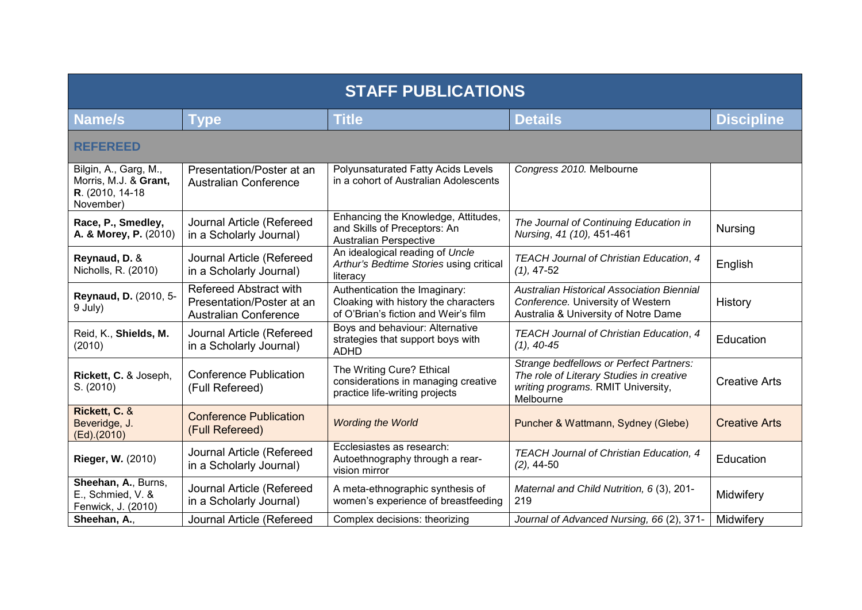| <b>STAFF PUBLICATIONS</b>                                                       |                                                                                     |                                                                                                               |                                                                                                                                        |                      |  |
|---------------------------------------------------------------------------------|-------------------------------------------------------------------------------------|---------------------------------------------------------------------------------------------------------------|----------------------------------------------------------------------------------------------------------------------------------------|----------------------|--|
| <b>Name/s</b>                                                                   | <b>Type</b>                                                                         | <b>Title</b>                                                                                                  | <b>Details</b>                                                                                                                         | <b>Discipline</b>    |  |
| <b>REFEREED</b>                                                                 |                                                                                     |                                                                                                               |                                                                                                                                        |                      |  |
| Bilgin, A., Garg, M.,<br>Morris, M.J. & Grant,<br>R. (2010, 14-18)<br>November) | Presentation/Poster at an<br><b>Australian Conference</b>                           | Polyunsaturated Fatty Acids Levels<br>in a cohort of Australian Adolescents                                   | Congress 2010. Melbourne                                                                                                               |                      |  |
| Race, P., Smedley,<br>A. & Morey, P. (2010)                                     | Journal Article (Refereed<br>in a Scholarly Journal)                                | Enhancing the Knowledge, Attitudes,<br>and Skills of Preceptors: An<br><b>Australian Perspective</b>          | The Journal of Continuing Education in<br>Nursing, 41 (10), 451-461                                                                    | <b>Nursing</b>       |  |
| Reynaud, D. &<br>Nicholls, R. (2010)                                            | Journal Article (Refereed<br>in a Scholarly Journal)                                | An idealogical reading of Uncle<br>Arthur's Bedtime Stories using critical<br>literacy                        | TEACH Journal of Christian Education, 4<br>$(1), 47-52$                                                                                | English              |  |
| Reynaud, D. (2010, 5-<br>9 July)                                                | Refereed Abstract with<br>Presentation/Poster at an<br><b>Australian Conference</b> | Authentication the Imaginary:<br>Cloaking with history the characters<br>of O'Brian's fiction and Weir's film | <b>Australian Historical Association Biennial</b><br>Conference. University of Western<br>Australia & University of Notre Dame         | History              |  |
| Reid, K., Shields, M.<br>(2010)                                                 | Journal Article (Refereed<br>in a Scholarly Journal)                                | Boys and behaviour: Alternative<br>strategies that support boys with<br><b>ADHD</b>                           | TEACH Journal of Christian Education, 4<br>$(1), 40-45$                                                                                | Education            |  |
| Rickett, C. & Joseph,<br>S. (2010)                                              | <b>Conference Publication</b><br>(Full Refereed)                                    | The Writing Cure? Ethical<br>considerations in managing creative<br>practice life-writing projects            | Strange bedfellows or Perfect Partners:<br>The role of Literary Studies in creative<br>writing programs. RMIT University,<br>Melbourne | <b>Creative Arts</b> |  |
| Rickett, C. &<br>Beveridge, J.<br>$(Ed)$ . $(2010)$                             | <b>Conference Publication</b><br>(Full Refereed)                                    | <b>Wording the World</b>                                                                                      | Puncher & Wattmann, Sydney (Glebe)                                                                                                     | <b>Creative Arts</b> |  |
| Rieger, W. (2010)                                                               | Journal Article (Refereed<br>in a Scholarly Journal)                                | Ecclesiastes as research:<br>Autoethnography through a rear-<br>vision mirror                                 | TEACH Journal of Christian Education, 4<br>$(2)$ , 44-50                                                                               | Education            |  |
| Sheehan, A., Burns,<br>E., Schmied, V. &<br>Fenwick, J. (2010)                  | Journal Article (Refereed<br>in a Scholarly Journal)                                | A meta-ethnographic synthesis of<br>women's experience of breastfeeding                                       | Maternal and Child Nutrition, 6(3), 201-<br>219                                                                                        | Midwifery            |  |
| Sheehan, A.,                                                                    | Journal Article (Refereed                                                           | Complex decisions: theorizing                                                                                 | Journal of Advanced Nursing, 66 (2), 371-                                                                                              | Midwifery            |  |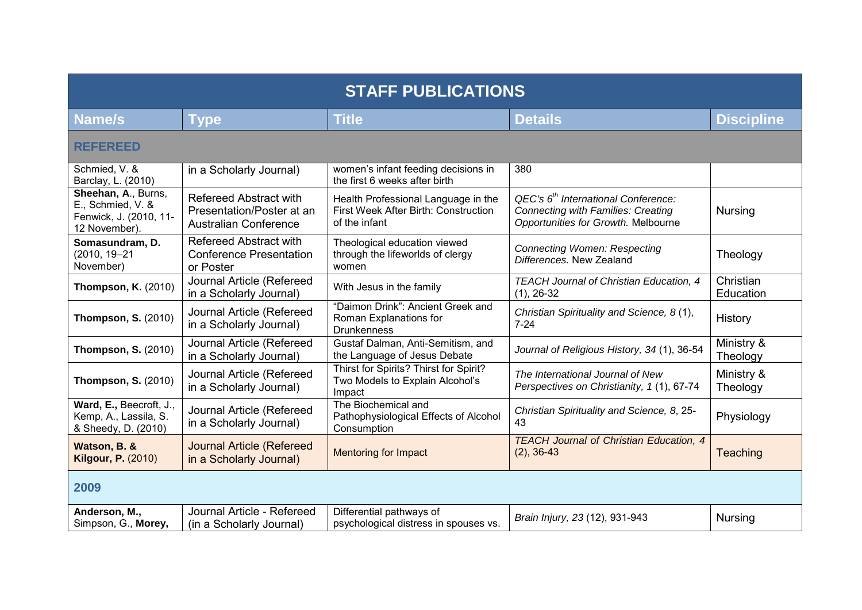| <b>STAFF PUBLICATIONS</b>                                                           |                                                                                            |                                                                                              |                                                                                                                           |                        |  |
|-------------------------------------------------------------------------------------|--------------------------------------------------------------------------------------------|----------------------------------------------------------------------------------------------|---------------------------------------------------------------------------------------------------------------------------|------------------------|--|
| Name/s                                                                              | <b>Type</b>                                                                                | <b>Title</b>                                                                                 | <b>Details</b>                                                                                                            | <b>Discipline</b>      |  |
| <b>REFEREED</b>                                                                     |                                                                                            |                                                                                              |                                                                                                                           |                        |  |
| Schmied, V. &<br>Barclay, L. (2010)                                                 | in a Scholarly Journal)                                                                    | women's infant feeding decisions in<br>the first 6 weeks after birth                         | 380                                                                                                                       |                        |  |
| Sheehan, A., Burns,<br>E., Schmied, V. &<br>Fenwick, J. (2010, 11-<br>12 November). | <b>Refereed Abstract with</b><br>Presentation/Poster at an<br><b>Australian Conference</b> | Health Professional Language in the<br>First Week After Birth: Construction<br>of the infant | $QEC's 6th International Conference:$<br><b>Connecting with Families: Creating</b><br>Opportunities for Growth. Melbourne | <b>Nursing</b>         |  |
| Somasundram, D.<br>$(2010, 19 - 21)$<br>November)                                   | <b>Refereed Abstract with</b><br><b>Conference Presentation</b><br>or Poster               | Theological education viewed<br>through the lifeworlds of clergy<br>women                    | <b>Connecting Women: Respecting</b><br>Differences. New Zealand                                                           | Theology               |  |
| <b>Thompson, K. (2010)</b>                                                          | Journal Article (Refereed<br>in a Scholarly Journal)                                       | With Jesus in the family                                                                     | TEACH Journal of Christian Education, 4<br>$(1), 26-32$                                                                   | Christian<br>Education |  |
| <b>Thompson, S. (2010)</b>                                                          | Journal Article (Refereed<br>in a Scholarly Journal)                                       | "Daimon Drink": Ancient Greek and<br>Roman Explanations for<br><b>Drunkenness</b>            | Christian Spirituality and Science, 8(1),<br>$7 - 24$                                                                     | History                |  |
| <b>Thompson, S. (2010)</b>                                                          | Journal Article (Refereed<br>in a Scholarly Journal)                                       | Gustaf Dalman, Anti-Semitism, and<br>the Language of Jesus Debate                            | Journal of Religious History, 34 (1), 36-54                                                                               | Ministry &<br>Theology |  |
| <b>Thompson, S. (2010)</b>                                                          | Journal Article (Refereed<br>in a Scholarly Journal)                                       | Thirst for Spirits? Thirst for Spirit?<br>Two Models to Explain Alcohol's<br>Impact          | The International Journal of New<br>Perspectives on Christianity, 1(1), 67-74                                             | Ministry &<br>Theology |  |
| Ward, E., Beecroft, J.,<br>Kemp, A., Lassila, S.<br>& Sheedy, D. (2010)             | Journal Article (Refereed<br>in a Scholarly Journal)                                       | The Biochemical and<br>Pathophysiological Effects of Alcohol<br>Consumption                  | Christian Spirituality and Science, 8, 25-<br>43                                                                          | Physiology             |  |
| Watson, B. &<br><b>Kilgour, P. (2010)</b>                                           | <b>Journal Article (Refereed</b><br>in a Scholarly Journal)                                | <b>Mentoring for Impact</b>                                                                  | <b>TEACH Journal of Christian Education, 4</b><br>$(2), 36-43$                                                            | Teaching               |  |
| 2009                                                                                |                                                                                            |                                                                                              |                                                                                                                           |                        |  |
| Anderson, M.,<br>Simpson, G., Morey,                                                | Journal Article - Refereed<br>(in a Scholarly Journal)                                     | Differential pathways of<br>psychological distress in spouses vs.                            | Brain Injury, 23 (12), 931-943                                                                                            | <b>Nursing</b>         |  |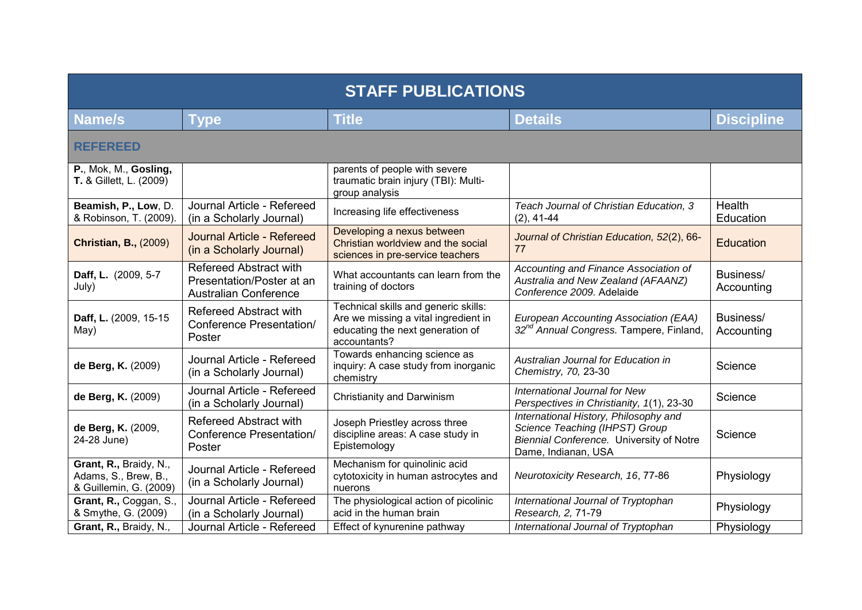| <b>STAFF PUBLICATIONS</b>                                                |                                                                                     |                                                                                                                                  |                                                                                                                                            |                            |
|--------------------------------------------------------------------------|-------------------------------------------------------------------------------------|----------------------------------------------------------------------------------------------------------------------------------|--------------------------------------------------------------------------------------------------------------------------------------------|----------------------------|
| Name/s                                                                   | <b>Type</b>                                                                         | <b>Title</b>                                                                                                                     | <b>Details</b>                                                                                                                             | <b>Discipline</b>          |
| <b>REFEREED</b>                                                          |                                                                                     |                                                                                                                                  |                                                                                                                                            |                            |
| P., Mok, M., Gosling,<br><b>T.</b> & Gillett, L. (2009)                  |                                                                                     | parents of people with severe<br>traumatic brain injury (TBI): Multi-<br>group analysis                                          |                                                                                                                                            |                            |
| Beamish, P., Low, D.<br>& Robinson, T. (2009).                           | Journal Article - Refereed<br>(in a Scholarly Journal)                              | Increasing life effectiveness                                                                                                    | Teach Journal of Christian Education, 3<br>$(2), 41-44$                                                                                    | <b>Health</b><br>Education |
| <b>Christian, B., (2009)</b>                                             | Journal Article - Refereed<br>(in a Scholarly Journal)                              | Developing a nexus between<br>Christian worldview and the social<br>sciences in pre-service teachers                             | Journal of Christian Education, 52(2), 66-<br>77                                                                                           | Education                  |
| Daff, L. (2009, 5-7<br>July)                                             | Refereed Abstract with<br>Presentation/Poster at an<br><b>Australian Conference</b> | What accountants can learn from the<br>training of doctors                                                                       | Accounting and Finance Association of<br>Australia and New Zealand (AFAANZ)<br>Conference 2009. Adelaide                                   | Business/<br>Accounting    |
| Daff, L. (2009, 15-15<br>May)                                            | Refereed Abstract with<br><b>Conference Presentation/</b><br>Poster                 | Technical skills and generic skills:<br>Are we missing a vital ingredient in<br>educating the next generation of<br>accountants? | European Accounting Association (EAA)<br>32 <sup>nd</sup> Annual Congress. Tampere, Finland,                                               | Business/<br>Accounting    |
| de Berg, K. (2009)                                                       | Journal Article - Refereed<br>(in a Scholarly Journal)                              | Towards enhancing science as<br>inquiry: A case study from inorganic<br>chemistry                                                | Australian Journal for Education in<br>Chemistry, 70, 23-30                                                                                | Science                    |
| de Berg, K. (2009)                                                       | Journal Article - Refereed<br>(in a Scholarly Journal)                              | Christianity and Darwinism                                                                                                       | International Journal for New<br>Perspectives in Christianity, 1(1), 23-30                                                                 | Science                    |
| de Berg, K. (2009,<br>24-28 June)                                        | <b>Refereed Abstract with</b><br><b>Conference Presentation/</b><br>Poster          | Joseph Priestley across three<br>discipline areas: A case study in<br>Epistemology                                               | International History, Philosophy and<br>Science Teaching (IHPST) Group<br>Biennial Conference. University of Notre<br>Dame, Indianan, USA | Science                    |
| Grant, R., Braidy, N.,<br>Adams, S., Brew, B.,<br>& Guillemin, G. (2009) | Journal Article - Refereed<br>(in a Scholarly Journal)                              | Mechanism for quinolinic acid<br>cytotoxicity in human astrocytes and<br>nuerons                                                 | Neurotoxicity Research, 16, 77-86                                                                                                          | Physiology                 |
| Grant, R., Coggan, S.,<br>& Smythe, G. (2009)                            | Journal Article - Refereed<br>(in a Scholarly Journal)                              | The physiological action of picolinic<br>acid in the human brain                                                                 | International Journal of Tryptophan<br>Research, 2, 71-79                                                                                  | Physiology                 |
| Grant, R., Braidy, N.,                                                   | Journal Article - Refereed                                                          | Effect of kynurenine pathway                                                                                                     | International Journal of Tryptophan                                                                                                        | Physiology                 |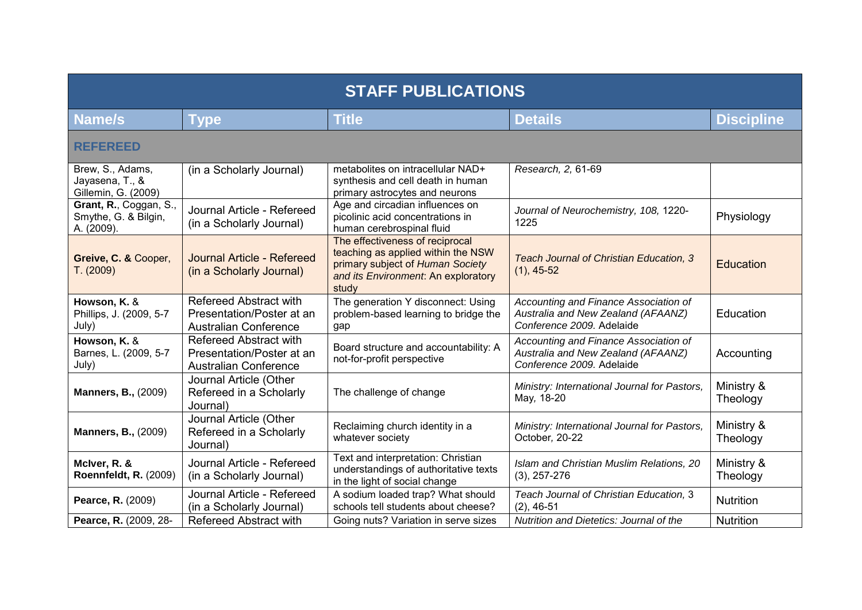| <b>STAFF PUBLICATIONS</b>                                    |                                                                                     |                                                                                                                                                           |                                                                                                          |                        |  |
|--------------------------------------------------------------|-------------------------------------------------------------------------------------|-----------------------------------------------------------------------------------------------------------------------------------------------------------|----------------------------------------------------------------------------------------------------------|------------------------|--|
| <b>Name/s</b>                                                | <b>Type</b>                                                                         | <b>Title</b>                                                                                                                                              | <b>Details</b>                                                                                           | <b>Discipline</b>      |  |
| <b>REFEREED</b>                                              |                                                                                     |                                                                                                                                                           |                                                                                                          |                        |  |
| Brew, S., Adams,<br>Jayasena, T., &<br>Gillemin, G. (2009)   | (in a Scholarly Journal)                                                            | metabolites on intracellular NAD+<br>synthesis and cell death in human<br>primary astrocytes and neurons                                                  | Research, 2, 61-69                                                                                       |                        |  |
| Grant, R., Coggan, S.,<br>Smythe, G. & Bilgin,<br>A. (2009). | Journal Article - Refereed<br>(in a Scholarly Journal)                              | Age and circadian influences on<br>picolinic acid concentrations in<br>human cerebrospinal fluid                                                          | Journal of Neurochemistry, 108, 1220-<br>1225                                                            | Physiology             |  |
| Greive, C. & Cooper,<br>T. (2009)                            | Journal Article - Refereed<br>(in a Scholarly Journal)                              | The effectiveness of reciprocal<br>teaching as applied within the NSW<br>primary subject of Human Society<br>and its Environment. An exploratory<br>study | Teach Journal of Christian Education, 3<br>$(1), 45-52$                                                  | Education              |  |
| Howson, K. &<br>Phillips, J. (2009, 5-7<br>July)             | Refereed Abstract with<br>Presentation/Poster at an<br><b>Australian Conference</b> | The generation Y disconnect: Using<br>problem-based learning to bridge the<br>gap                                                                         | Accounting and Finance Association of<br>Australia and New Zealand (AFAANZ)<br>Conference 2009. Adelaide | Education              |  |
| Howson, K. &<br>Barnes, L. (2009, 5-7<br>July)               | Refereed Abstract with<br>Presentation/Poster at an<br><b>Australian Conference</b> | Board structure and accountability: A<br>not-for-profit perspective                                                                                       | Accounting and Finance Association of<br>Australia and New Zealand (AFAANZ)<br>Conference 2009. Adelaide | Accounting             |  |
| <b>Manners, B., (2009)</b>                                   | Journal Article (Other<br>Refereed in a Scholarly<br>Journal)                       | The challenge of change                                                                                                                                   | Ministry: International Journal for Pastors,<br>May, 18-20                                               | Ministry &<br>Theology |  |
| <b>Manners, B., (2009)</b>                                   | Journal Article (Other<br>Refereed in a Scholarly<br>Journal)                       | Reclaiming church identity in a<br>whatever society                                                                                                       | Ministry: International Journal for Pastors,<br>October, 20-22                                           | Ministry &<br>Theology |  |
| McIver, R. &<br><b>Roennfeldt, R. (2009)</b>                 | Journal Article - Refereed<br>(in a Scholarly Journal)                              | Text and interpretation: Christian<br>understandings of authoritative texts<br>in the light of social change                                              | Islam and Christian Muslim Relations, 20<br>$(3), 257-276$                                               | Ministry &<br>Theology |  |
| Pearce, R. (2009)                                            | Journal Article - Refereed<br>(in a Scholarly Journal)                              | A sodium loaded trap? What should<br>schools tell students about cheese?                                                                                  | Teach Journal of Christian Education, 3<br>$(2), 46-51$                                                  | <b>Nutrition</b>       |  |
| Pearce, R. (2009, 28-                                        | <b>Refereed Abstract with</b>                                                       | Going nuts? Variation in serve sizes                                                                                                                      | Nutrition and Dietetics: Journal of the                                                                  | <b>Nutrition</b>       |  |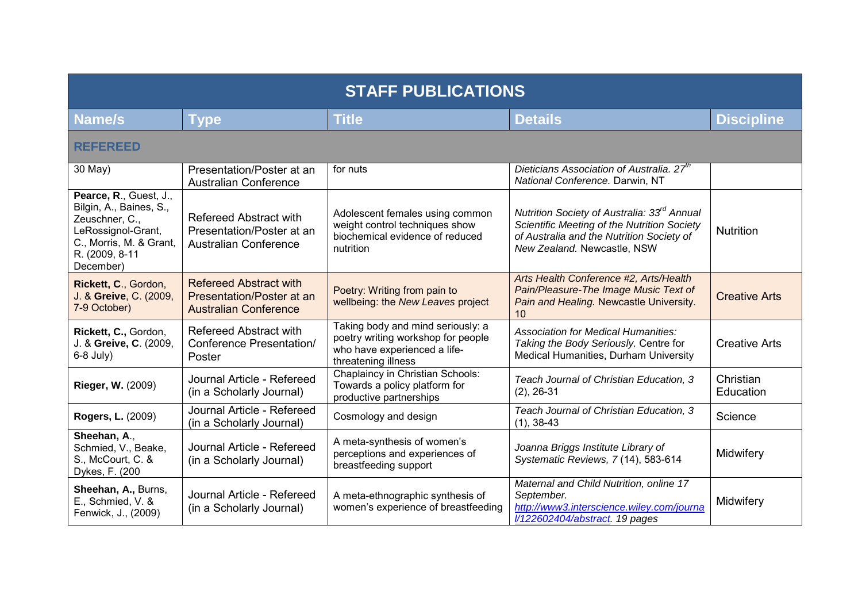| <b>STAFF PUBLICATIONS</b>                                                                                                                           |                                                                                            |                                                                                                                                |                                                                                                                                                                                    |                        |  |
|-----------------------------------------------------------------------------------------------------------------------------------------------------|--------------------------------------------------------------------------------------------|--------------------------------------------------------------------------------------------------------------------------------|------------------------------------------------------------------------------------------------------------------------------------------------------------------------------------|------------------------|--|
| Name/s                                                                                                                                              | <b>Type</b>                                                                                | <b>Title</b>                                                                                                                   | <b>Details</b>                                                                                                                                                                     | <b>Discipline</b>      |  |
| <b>REFEREED</b>                                                                                                                                     |                                                                                            |                                                                                                                                |                                                                                                                                                                                    |                        |  |
| 30 May)                                                                                                                                             | Presentation/Poster at an<br><b>Australian Conference</b>                                  | for nuts                                                                                                                       | Dieticians Association of Australia. 27 <sup>th</sup><br>National Conference. Darwin, NT                                                                                           |                        |  |
| Pearce, R., Guest, J.,<br>Bilgin, A., Baines, S.,<br>Zeuschner, C.,<br>LeRossignol-Grant,<br>C., Morris, M. & Grant,<br>R. (2009, 8-11<br>December) | <b>Refereed Abstract with</b><br>Presentation/Poster at an<br><b>Australian Conference</b> | Adolescent females using common<br>weight control techniques show<br>biochemical evidence of reduced<br>nutrition              | Nutrition Society of Australia: 33 <sup>rd</sup> Annual<br>Scientific Meeting of the Nutrition Society<br>of Australia and the Nutrition Society of<br>New Zealand. Newcastle, NSW | <b>Nutrition</b>       |  |
| Rickett, C., Gordon,<br>J. & Greive, C. (2009,<br>7-9 October)                                                                                      | <b>Refereed Abstract with</b><br>Presentation/Poster at an<br><b>Australian Conference</b> | Poetry: Writing from pain to<br>wellbeing: the New Leaves project                                                              | Arts Health Conference #2, Arts/Health<br>Pain/Pleasure-The Image Music Text of<br>Pain and Healing. Newcastle University.<br>10                                                   | <b>Creative Arts</b>   |  |
| Rickett, C., Gordon,<br>J. & Greive, C. (2009,<br>$6-8$ July)                                                                                       | <b>Refereed Abstract with</b><br><b>Conference Presentation/</b><br>Poster                 | Taking body and mind seriously: a<br>poetry writing workshop for people<br>who have experienced a life-<br>threatening illness | <b>Association for Medical Humanities:</b><br>Taking the Body Seriously. Centre for<br>Medical Humanities, Durham University                                                       | <b>Creative Arts</b>   |  |
| <b>Rieger, W. (2009)</b>                                                                                                                            | Journal Article - Refereed<br>(in a Scholarly Journal)                                     | Chaplaincy in Christian Schools:<br>Towards a policy platform for<br>productive partnerships                                   | Teach Journal of Christian Education, 3<br>$(2), 26-31$                                                                                                                            | Christian<br>Education |  |
| <b>Rogers, L. (2009)</b>                                                                                                                            | Journal Article - Refereed<br>(in a Scholarly Journal)                                     | Cosmology and design                                                                                                           | Teach Journal of Christian Education, 3<br>$(1), 38-43$                                                                                                                            | Science                |  |
| Sheehan, A.,<br>Schmied, V., Beake,<br>S., McCourt, C. &<br>Dykes, F. (200                                                                          | Journal Article - Refereed<br>(in a Scholarly Journal)                                     | A meta-synthesis of women's<br>perceptions and experiences of<br>breastfeeding support                                         | Joanna Briggs Institute Library of<br>Systematic Reviews, 7(14), 583-614                                                                                                           | Midwifery              |  |
| Sheehan, A., Burns,<br>E., Schmied, V. &<br>Fenwick, J., (2009)                                                                                     | Journal Article - Refereed<br>(in a Scholarly Journal)                                     | A meta-ethnographic synthesis of<br>women's experience of breastfeeding                                                        | Maternal and Child Nutrition, online 17<br>September.<br>http://www3.interscience.wiley.com/journa<br>l/122602404/abstract. 19 pages                                               | Midwifery              |  |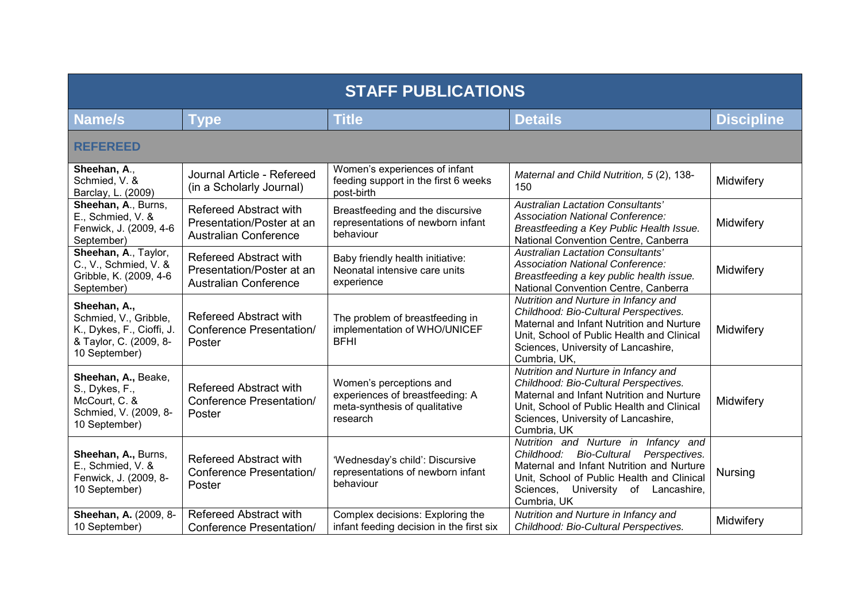| <b>STAFF PUBLICATIONS</b>                                                                                     |                                                                                            |                                                                                                         |                                                                                                                                                                                                                                 |                   |
|---------------------------------------------------------------------------------------------------------------|--------------------------------------------------------------------------------------------|---------------------------------------------------------------------------------------------------------|---------------------------------------------------------------------------------------------------------------------------------------------------------------------------------------------------------------------------------|-------------------|
| Name/s                                                                                                        | Type                                                                                       | <b>Title</b>                                                                                            | <b>Details</b>                                                                                                                                                                                                                  | <b>Discipline</b> |
| <b>REFEREED</b>                                                                                               |                                                                                            |                                                                                                         |                                                                                                                                                                                                                                 |                   |
| Sheehan, A.,<br>Schmied, V. &<br>Barclay, L. (2009)                                                           | Journal Article - Refereed<br>(in a Scholarly Journal)                                     | Women's experiences of infant<br>feeding support in the first 6 weeks<br>post-birth                     | Maternal and Child Nutrition, 5(2), 138-<br>150                                                                                                                                                                                 | Midwifery         |
| Sheehan, A., Burns,<br>E., Schmied, V. &<br>Fenwick, J. (2009, 4-6<br>September)                              | <b>Refereed Abstract with</b><br>Presentation/Poster at an<br><b>Australian Conference</b> | Breastfeeding and the discursive<br>representations of newborn infant<br>behaviour                      | Australian Lactation Consultants'<br><b>Association National Conference:</b><br>Breastfeeding a Key Public Health Issue.<br>National Convention Centre, Canberra                                                                | Midwifery         |
| Sheehan, A., Taylor,<br>C., V., Schmied, V. &<br>Gribble, K. (2009, 4-6<br>September)                         | <b>Refereed Abstract with</b><br>Presentation/Poster at an<br><b>Australian Conference</b> | Baby friendly health initiative:<br>Neonatal intensive care units<br>experience                         | <b>Australian Lactation Consultants'</b><br><b>Association National Conference:</b><br>Breastfeeding a key public health issue.<br>National Convention Centre, Canberra                                                         | Midwifery         |
| Sheehan, A.,<br>Schmied, V., Gribble,<br>K., Dykes, F., Cioffi, J.<br>& Taylor, C. (2009, 8-<br>10 September) | <b>Refereed Abstract with</b><br><b>Conference Presentation/</b><br>Poster                 | The problem of breastfeeding in<br>implementation of WHO/UNICEF<br><b>BFHI</b>                          | Nutrition and Nurture in Infancy and<br>Childhood: Bio-Cultural Perspectives.<br>Maternal and Infant Nutrition and Nurture<br>Unit, School of Public Health and Clinical<br>Sciences, University of Lancashire,<br>Cumbria, UK, | Midwifery         |
| Sheehan, A., Beake,<br>S., Dykes, F.,<br>McCourt, C. &<br>Schmied, V. (2009, 8-<br>10 September)              | <b>Refereed Abstract with</b><br><b>Conference Presentation/</b><br>Poster                 | Women's perceptions and<br>experiences of breastfeeding: A<br>meta-synthesis of qualitative<br>research | Nutrition and Nurture in Infancy and<br>Childhood: Bio-Cultural Perspectives.<br>Maternal and Infant Nutrition and Nurture<br>Unit, School of Public Health and Clinical<br>Sciences, University of Lancashire,<br>Cumbria, UK  | Midwifery         |
| Sheehan, A., Burns,<br>E., Schmied, V. &<br>Fenwick, J. (2009, 8-<br>10 September)                            | <b>Refereed Abstract with</b><br><b>Conference Presentation/</b><br>Poster                 | 'Wednesday's child': Discursive<br>representations of newborn infant<br>behaviour                       | Nutrition and Nurture in Infancy and<br>Childhood: Bio-Cultural Perspectives.<br>Maternal and Infant Nutrition and Nurture<br>Unit, School of Public Health and Clinical<br>Sciences, University of Lancashire,<br>Cumbria, UK  | Nursing           |
| Sheehan, A. (2009, 8-<br>10 September)                                                                        | <b>Refereed Abstract with</b><br><b>Conference Presentation/</b>                           | Complex decisions: Exploring the<br>infant feeding decision in the first six                            | Nutrition and Nurture in Infancy and<br>Childhood: Bio-Cultural Perspectives.                                                                                                                                                   | Midwifery         |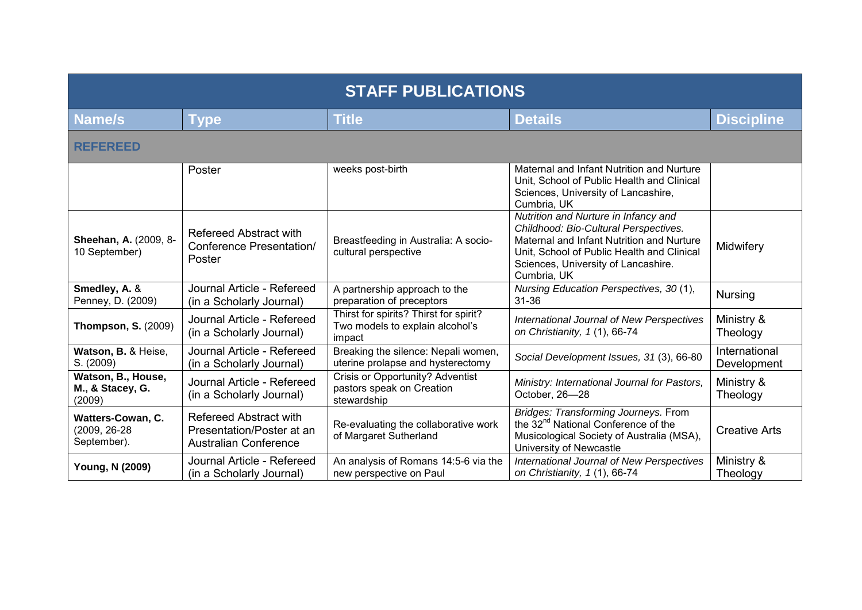| <b>STAFF PUBLICATIONS</b>                        |                                                                                            |                                                                                     |                                                                                                                                                                                                                                |                              |  |
|--------------------------------------------------|--------------------------------------------------------------------------------------------|-------------------------------------------------------------------------------------|--------------------------------------------------------------------------------------------------------------------------------------------------------------------------------------------------------------------------------|------------------------------|--|
| Name/s                                           | <b>Type</b>                                                                                | <b>Title</b>                                                                        | <b>Details</b>                                                                                                                                                                                                                 | <b>Discipline</b>            |  |
| <b>REFEREED</b>                                  |                                                                                            |                                                                                     |                                                                                                                                                                                                                                |                              |  |
|                                                  | Poster                                                                                     | weeks post-birth                                                                    | Maternal and Infant Nutrition and Nurture<br>Unit, School of Public Health and Clinical<br>Sciences, University of Lancashire,<br>Cumbria, UK                                                                                  |                              |  |
| Sheehan, A. (2009, 8-<br>10 September)           | Refereed Abstract with<br><b>Conference Presentation/</b><br>Poster                        | Breastfeeding in Australia: A socio-<br>cultural perspective                        | Nutrition and Nurture in Infancy and<br>Childhood: Bio-Cultural Perspectives.<br>Maternal and Infant Nutrition and Nurture<br>Unit, School of Public Health and Clinical<br>Sciences, University of Lancashire.<br>Cumbria, UK | Midwifery                    |  |
| Smedley, A. &<br>Penney, D. (2009)               | Journal Article - Refereed<br>(in a Scholarly Journal)                                     | A partnership approach to the<br>preparation of preceptors                          | Nursing Education Perspectives, 30 (1),<br>$31 - 36$                                                                                                                                                                           | <b>Nursing</b>               |  |
| <b>Thompson, S. (2009)</b>                       | Journal Article - Refereed<br>(in a Scholarly Journal)                                     | Thirst for spirits? Thirst for spirit?<br>Two models to explain alcohol's<br>impact | International Journal of New Perspectives<br>on Christianity, 1 (1), 66-74                                                                                                                                                     | Ministry &<br>Theology       |  |
| Watson, B. & Heise,<br>S. (2009)                 | Journal Article - Refereed<br>(in a Scholarly Journal)                                     | Breaking the silence: Nepali women,<br>uterine prolapse and hysterectomy            | Social Development Issues, 31 (3), 66-80                                                                                                                                                                                       | International<br>Development |  |
| Watson, B., House,<br>M., & Stacey, G.<br>(2009) | Journal Article - Refereed<br>(in a Scholarly Journal)                                     | Crisis or Opportunity? Adventist<br>pastors speak on Creation<br>stewardship        | Ministry: International Journal for Pastors,<br>October, 26-28                                                                                                                                                                 | Ministry &<br>Theology       |  |
| Watters-Cowan, C.<br>(2009, 26-28<br>September). | <b>Refereed Abstract with</b><br>Presentation/Poster at an<br><b>Australian Conference</b> | Re-evaluating the collaborative work<br>of Margaret Sutherland                      | <b>Bridges: Transforming Journeys. From</b><br>the 32 <sup>nd</sup> National Conference of the<br>Musicological Society of Australia (MSA),<br>University of Newcastle                                                         | <b>Creative Arts</b>         |  |
| Young, N (2009)                                  | Journal Article - Refereed<br>(in a Scholarly Journal)                                     | An analysis of Romans 14:5-6 via the<br>new perspective on Paul                     | <b>International Journal of New Perspectives</b><br>on Christianity, 1 (1), 66-74                                                                                                                                              | Ministry &<br>Theology       |  |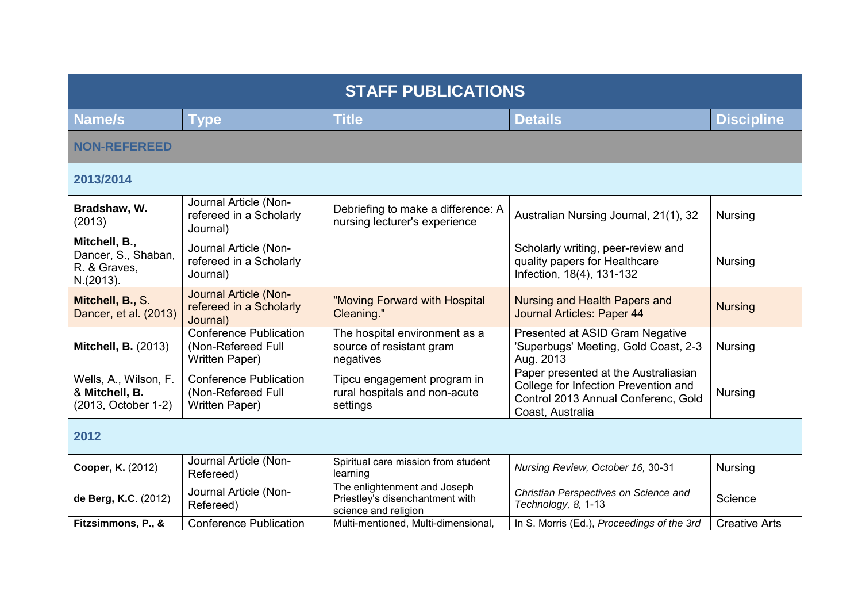| <b>STAFF PUBLICATIONS</b>                                         |                                                                       |                                                                                         |                                                                                                                                         |                      |
|-------------------------------------------------------------------|-----------------------------------------------------------------------|-----------------------------------------------------------------------------------------|-----------------------------------------------------------------------------------------------------------------------------------------|----------------------|
| Name/s                                                            | <b>Type</b>                                                           | <b>Title</b>                                                                            | <b>Details</b>                                                                                                                          | <b>Discipline</b>    |
| <b>NON-REFEREED</b>                                               |                                                                       |                                                                                         |                                                                                                                                         |                      |
| 2013/2014                                                         |                                                                       |                                                                                         |                                                                                                                                         |                      |
| Bradshaw, W.<br>(2013)                                            | Journal Article (Non-<br>refereed in a Scholarly<br>Journal)          | Debriefing to make a difference: A<br>nursing lecturer's experience                     | Australian Nursing Journal, 21(1), 32                                                                                                   | <b>Nursing</b>       |
| Mitchell, B.,<br>Dancer, S., Shaban,<br>R. & Graves,<br>N.(2013). | Journal Article (Non-<br>refereed in a Scholarly<br>Journal)          |                                                                                         | Scholarly writing, peer-review and<br>quality papers for Healthcare<br>Infection, 18(4), 131-132                                        | <b>Nursing</b>       |
| Mitchell, B., S.<br>Dancer, et al. (2013)                         | Journal Article (Non-<br>refereed in a Scholarly<br>Journal)          | "Moving Forward with Hospital<br>Cleaning."                                             | Nursing and Health Papers and<br>Journal Articles: Paper 44                                                                             | <b>Nursing</b>       |
| <b>Mitchell, B. (2013)</b>                                        | <b>Conference Publication</b><br>(Non-Refereed Full<br>Written Paper) | The hospital environment as a<br>source of resistant gram<br>negatives                  | Presented at ASID Gram Negative<br>'Superbugs' Meeting, Gold Coast, 2-3<br>Aug. 2013                                                    | <b>Nursing</b>       |
| Wells, A., Wilson, F.<br>& Mitchell, B.<br>(2013, October 1-2)    | <b>Conference Publication</b><br>(Non-Refereed Full<br>Written Paper) | Tipcu engagement program in<br>rural hospitals and non-acute<br>settings                | Paper presented at the Australiasian<br>College for Infection Prevention and<br>Control 2013 Annual Conferenc, Gold<br>Coast, Australia | <b>Nursing</b>       |
| 2012                                                              |                                                                       |                                                                                         |                                                                                                                                         |                      |
| Cooper, K. (2012)                                                 | Journal Article (Non-<br>Refereed)                                    | Spiritual care mission from student<br>learning                                         | Nursing Review, October 16, 30-31                                                                                                       | <b>Nursing</b>       |
| de Berg, K.C. (2012)                                              | Journal Article (Non-<br>Refereed)                                    | The enlightenment and Joseph<br>Priestley's disenchantment with<br>science and religion | Christian Perspectives on Science and<br>Technology, 8, 1-13                                                                            | Science              |
| Fitzsimmons, P., &                                                | <b>Conference Publication</b>                                         | Multi-mentioned, Multi-dimensional,                                                     | In S. Morris (Ed.), Proceedings of the 3rd                                                                                              | <b>Creative Arts</b> |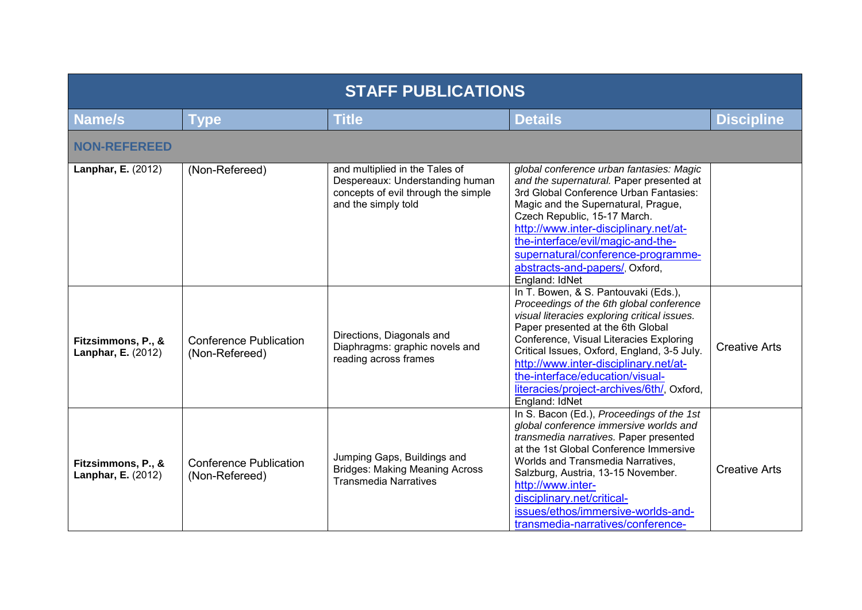| <b>STAFF PUBLICATIONS</b>                       |                                                 |                                                                                                                                 |                                                                                                                                                                                                                                                                                                                                                                                                            |                      |
|-------------------------------------------------|-------------------------------------------------|---------------------------------------------------------------------------------------------------------------------------------|------------------------------------------------------------------------------------------------------------------------------------------------------------------------------------------------------------------------------------------------------------------------------------------------------------------------------------------------------------------------------------------------------------|----------------------|
| Name/s                                          | <b>Type</b>                                     | <b>Title</b>                                                                                                                    | <b>Details</b>                                                                                                                                                                                                                                                                                                                                                                                             | <b>Discipline</b>    |
| <b>NON-REFEREED</b>                             |                                                 |                                                                                                                                 |                                                                                                                                                                                                                                                                                                                                                                                                            |                      |
| Lanphar, E. (2012)                              | (Non-Refereed)                                  | and multiplied in the Tales of<br>Despereaux: Understanding human<br>concepts of evil through the simple<br>and the simply told | global conference urban fantasies: Magic<br>and the supernatural. Paper presented at<br>3rd Global Conference Urban Fantasies:<br>Magic and the Supernatural, Prague,<br>Czech Republic, 15-17 March.<br>http://www.inter-disciplinary.net/at-<br>the-interface/evil/magic-and-the-<br>supernatural/conference-programme-<br>abstracts-and-papers/, Oxford,<br>England: IdNet                              |                      |
| Fitzsimmons, P., &<br><b>Lanphar, E.</b> (2012) | <b>Conference Publication</b><br>(Non-Refereed) | Directions, Diagonals and<br>Diaphragms: graphic novels and<br>reading across frames                                            | In T. Bowen, & S. Pantouvaki (Eds.),<br>Proceedings of the 6th global conference<br>visual literacies exploring critical issues.<br>Paper presented at the 6th Global<br>Conference, Visual Literacies Exploring<br>Critical Issues, Oxford, England, 3-5 July.<br>http://www.inter-disciplinary.net/at-<br>the-interface/education/visual-<br>literacies/project-archives/6th/, Oxford,<br>England: IdNet | <b>Creative Arts</b> |
| Fitzsimmons, P., &<br><b>Lanphar, E.</b> (2012) | <b>Conference Publication</b><br>(Non-Refereed) | Jumping Gaps, Buildings and<br><b>Bridges: Making Meaning Across</b><br><b>Transmedia Narratives</b>                            | In S. Bacon (Ed.), Proceedings of the 1st<br>global conference immersive worlds and<br>transmedia narratives. Paper presented<br>at the 1st Global Conference Immersive<br>Worlds and Transmedia Narratives,<br>Salzburg, Austria, 13-15 November.<br>http://www.inter-<br>disciplinary.net/critical-<br>issues/ethos/immersive-worlds-and-<br>transmedia-narratives/conference-                           | <b>Creative Arts</b> |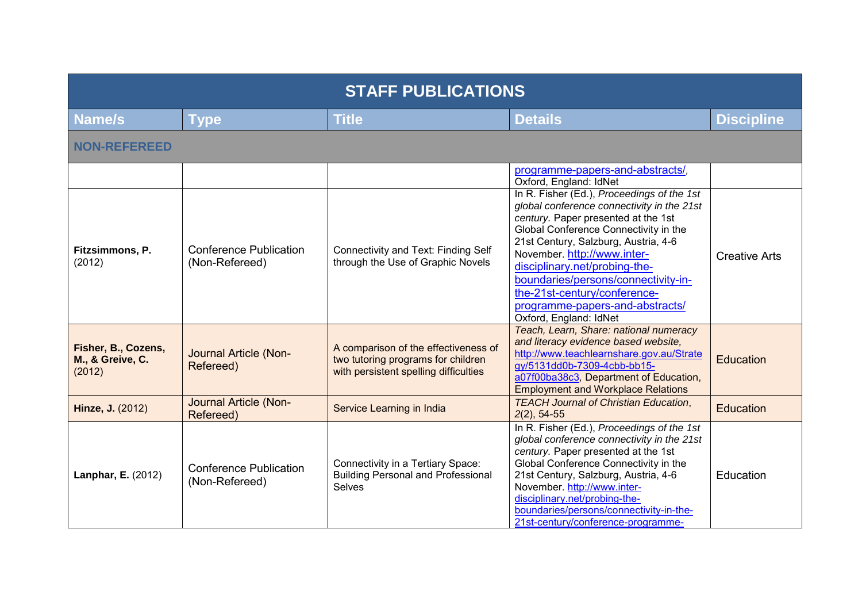| <b>STAFF PUBLICATIONS</b>                         |                                                 |                                                                                                                     |                                                                                                                                                                                                                                                                                                                                                                                                                      |                      |
|---------------------------------------------------|-------------------------------------------------|---------------------------------------------------------------------------------------------------------------------|----------------------------------------------------------------------------------------------------------------------------------------------------------------------------------------------------------------------------------------------------------------------------------------------------------------------------------------------------------------------------------------------------------------------|----------------------|
| <b>Name/s</b>                                     | <b>Type</b>                                     | <b>Title</b>                                                                                                        | <b>Details</b>                                                                                                                                                                                                                                                                                                                                                                                                       | <b>Discipline</b>    |
| <b>NON-REFEREED</b>                               |                                                 |                                                                                                                     |                                                                                                                                                                                                                                                                                                                                                                                                                      |                      |
|                                                   |                                                 |                                                                                                                     | programme-papers-and-abstracts/,<br>Oxford, England: IdNet                                                                                                                                                                                                                                                                                                                                                           |                      |
| Fitzsimmons, P.<br>(2012)                         | <b>Conference Publication</b><br>(Non-Refereed) | Connectivity and Text: Finding Self<br>through the Use of Graphic Novels                                            | In R. Fisher (Ed.), Proceedings of the 1st<br>global conference connectivity in the 21st<br>century. Paper presented at the 1st<br>Global Conference Connectivity in the<br>21st Century, Salzburg, Austria, 4-6<br>November. http://www.inter-<br>disciplinary.net/probing-the-<br>boundaries/persons/connectivity-in-<br>the-21st-century/conference-<br>programme-papers-and-abstracts/<br>Oxford, England: IdNet | <b>Creative Arts</b> |
| Fisher, B., Cozens,<br>M., & Greive, C.<br>(2012) | Journal Article (Non-<br>Refereed)              | A comparison of the effectiveness of<br>two tutoring programs for children<br>with persistent spelling difficulties | Teach, Learn, Share: national numeracy<br>and literacy evidence based website,<br>http://www.teachlearnshare.gov.au/Strate<br>gy/5131dd0b-7309-4cbb-bb15-<br>a07f00ba38c3, Department of Education,<br><b>Employment and Workplace Relations</b>                                                                                                                                                                     | Education            |
| Hinze, J. (2012)                                  | Journal Article (Non-<br>Refereed)              | Service Learning in India                                                                                           | <b>TEACH Journal of Christian Education,</b><br>$2(2)$ , 54-55                                                                                                                                                                                                                                                                                                                                                       | <b>Education</b>     |
| Lanphar, E. (2012)                                | <b>Conference Publication</b><br>(Non-Refereed) | Connectivity in a Tertiary Space:<br><b>Building Personal and Professional</b><br><b>Selves</b>                     | In R. Fisher (Ed.), Proceedings of the 1st<br>global conference connectivity in the 21st<br>century. Paper presented at the 1st<br>Global Conference Connectivity in the<br>21st Century, Salzburg, Austria, 4-6<br>November. http://www.inter-<br>disciplinary.net/probing-the-<br>boundaries/persons/connectivity-in-the-<br>21st-century/conference-programme-                                                    | Education            |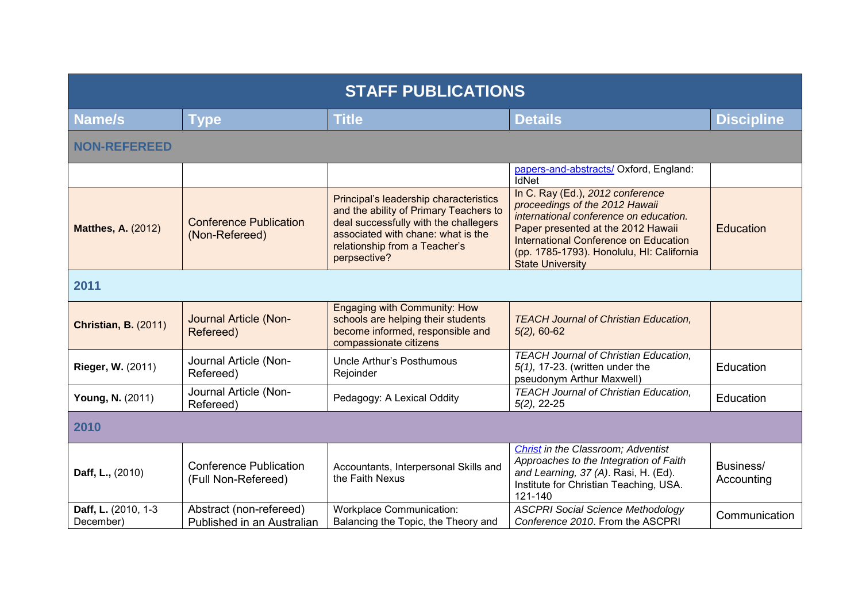| <b>STAFF PUBLICATIONS</b>        |                                                       |                                                                                                                                                                                                                  |                                                                                                                                                                                                                                                                     |                         |
|----------------------------------|-------------------------------------------------------|------------------------------------------------------------------------------------------------------------------------------------------------------------------------------------------------------------------|---------------------------------------------------------------------------------------------------------------------------------------------------------------------------------------------------------------------------------------------------------------------|-------------------------|
| Name/s                           | <b>Type</b>                                           | <b>Title</b>                                                                                                                                                                                                     | <b>Details</b>                                                                                                                                                                                                                                                      | <b>Discipline</b>       |
| <b>NON-REFEREED</b>              |                                                       |                                                                                                                                                                                                                  |                                                                                                                                                                                                                                                                     |                         |
|                                  |                                                       |                                                                                                                                                                                                                  | papers-and-abstracts/ Oxford, England:<br>IdNet                                                                                                                                                                                                                     |                         |
| <b>Matthes, A. (2012)</b>        | <b>Conference Publication</b><br>(Non-Refereed)       | Principal's leadership characteristics<br>and the ability of Primary Teachers to<br>deal successfully with the challegers<br>associated with chane: what is the<br>relationship from a Teacher's<br>perpsective? | In C. Ray (Ed.), 2012 conference<br>proceedings of the 2012 Hawaii<br>international conference on education.<br>Paper presented at the 2012 Hawaii<br>International Conference on Education<br>(pp. 1785-1793). Honolulu, HI: California<br><b>State University</b> | Education               |
| 2011                             |                                                       |                                                                                                                                                                                                                  |                                                                                                                                                                                                                                                                     |                         |
| <b>Christian, B. (2011)</b>      | Journal Article (Non-<br>Refereed)                    | <b>Engaging with Community: How</b><br>schools are helping their students<br>become informed, responsible and<br>compassionate citizens                                                                          | <b>TEACH Journal of Christian Education,</b><br>$5(2)$ , 60-62                                                                                                                                                                                                      |                         |
| Rieger, W. (2011)                | Journal Article (Non-<br>Refereed)                    | <b>Uncle Arthur's Posthumous</b><br>Rejoinder                                                                                                                                                                    | <b>TEACH Journal of Christian Education,</b><br>$5(1)$ , 17-23. (written under the<br>pseudonym Arthur Maxwell)                                                                                                                                                     | Education               |
| Young, N. (2011)                 | Journal Article (Non-<br>Refereed)                    | Pedagogy: A Lexical Oddity                                                                                                                                                                                       | <b>TEACH Journal of Christian Education,</b><br>$5(2)$ , 22-25                                                                                                                                                                                                      | Education               |
| 2010                             |                                                       |                                                                                                                                                                                                                  |                                                                                                                                                                                                                                                                     |                         |
| Daff, L., (2010)                 | <b>Conference Publication</b><br>(Full Non-Refereed)  | Accountants, Interpersonal Skills and<br>the Faith Nexus                                                                                                                                                         | Christ in the Classroom; Adventist<br>Approaches to the Integration of Faith<br>and Learning, 37 (A). Rasi, H. (Ed).<br>Institute for Christian Teaching, USA.<br>121-140                                                                                           | Business/<br>Accounting |
| Daff, L. (2010, 1-3<br>December) | Abstract (non-refereed)<br>Published in an Australian | <b>Workplace Communication:</b><br>Balancing the Topic, the Theory and                                                                                                                                           | <b>ASCPRI Social Science Methodology</b><br>Conference 2010. From the ASCPRI                                                                                                                                                                                        | Communication           |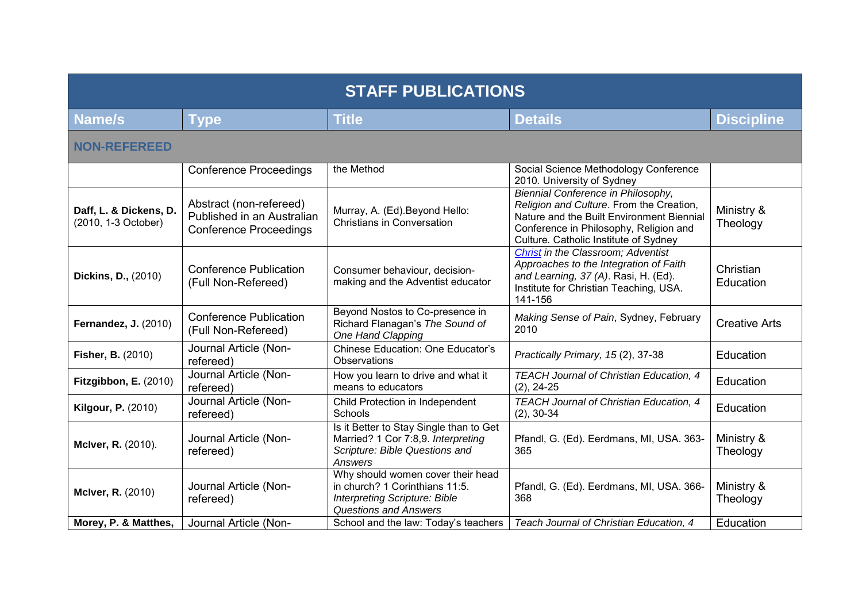| <b>STAFF PUBLICATIONS</b>                     |                                                                                        |                                                                                                                                             |                                                                                                                                                                                                                |                        |  |
|-----------------------------------------------|----------------------------------------------------------------------------------------|---------------------------------------------------------------------------------------------------------------------------------------------|----------------------------------------------------------------------------------------------------------------------------------------------------------------------------------------------------------------|------------------------|--|
| Name/s                                        | <b>Type</b>                                                                            | <b>Title</b>                                                                                                                                | <b>Details</b>                                                                                                                                                                                                 | <b>Discipline</b>      |  |
| <b>NON-REFEREED</b>                           |                                                                                        |                                                                                                                                             |                                                                                                                                                                                                                |                        |  |
|                                               | <b>Conference Proceedings</b>                                                          | the Method                                                                                                                                  | Social Science Methodology Conference<br>2010. University of Sydney                                                                                                                                            |                        |  |
| Daff, L. & Dickens, D.<br>(2010, 1-3 October) | Abstract (non-refereed)<br>Published in an Australian<br><b>Conference Proceedings</b> | Murray, A. (Ed). Beyond Hello:<br><b>Christians in Conversation</b>                                                                         | Biennial Conference in Philosophy,<br>Religion and Culture. From the Creation,<br>Nature and the Built Environment Biennial<br>Conference in Philosophy, Religion and<br>Culture. Catholic Institute of Sydney | Ministry &<br>Theology |  |
| <b>Dickins, D., (2010)</b>                    | <b>Conference Publication</b><br>(Full Non-Refereed)                                   | Consumer behaviour, decision-<br>making and the Adventist educator                                                                          | Christ in the Classroom; Adventist<br>Approaches to the Integration of Faith<br>and Learning, 37 (A). Rasi, H. (Ed).<br>Institute for Christian Teaching, USA.<br>141-156                                      | Christian<br>Education |  |
| <b>Fernandez, J. (2010)</b>                   | <b>Conference Publication</b><br>(Full Non-Refereed)                                   | Beyond Nostos to Co-presence in<br>Richard Flanagan's The Sound of<br>One Hand Clapping                                                     | Making Sense of Pain, Sydney, February<br>2010                                                                                                                                                                 | <b>Creative Arts</b>   |  |
| <b>Fisher, B. (2010)</b>                      | Journal Article (Non-<br>refereed)                                                     | Chinese Education: One Educator's<br><b>Observations</b>                                                                                    | Practically Primary, 15(2), 37-38                                                                                                                                                                              | <b>Education</b>       |  |
| Fitzgibbon, E. (2010)                         | Journal Article (Non-<br>refereed)                                                     | How you learn to drive and what it<br>means to educators                                                                                    | TEACH Journal of Christian Education, 4<br>$(2), 24-25$                                                                                                                                                        | <b>Education</b>       |  |
| <b>Kilgour, P. (2010)</b>                     | Journal Article (Non-<br>refereed)                                                     | Child Protection in Independent<br>Schools                                                                                                  | TEACH Journal of Christian Education, 4<br>$(2), 30-34$                                                                                                                                                        | Education              |  |
| McIver, R. (2010).                            | Journal Article (Non-<br>refereed)                                                     | Is it Better to Stay Single than to Get<br>Married? 1 Cor 7:8,9. Interpreting<br>Scripture: Bible Questions and<br>Answers                  | Pfandl, G. (Ed). Eerdmans, MI, USA. 363-<br>365                                                                                                                                                                | Ministry &<br>Theology |  |
| McIver, R. (2010)                             | Journal Article (Non-<br>refereed)                                                     | Why should women cover their head<br>in church? 1 Corinthians 11:5.<br><b>Interpreting Scripture: Bible</b><br><b>Questions and Answers</b> | Pfandl, G. (Ed). Eerdmans, MI, USA. 366-<br>368                                                                                                                                                                | Ministry &<br>Theology |  |
| Morey, P. & Matthes,                          | Journal Article (Non-                                                                  | School and the law: Today's teachers                                                                                                        | Teach Journal of Christian Education, 4                                                                                                                                                                        | Education              |  |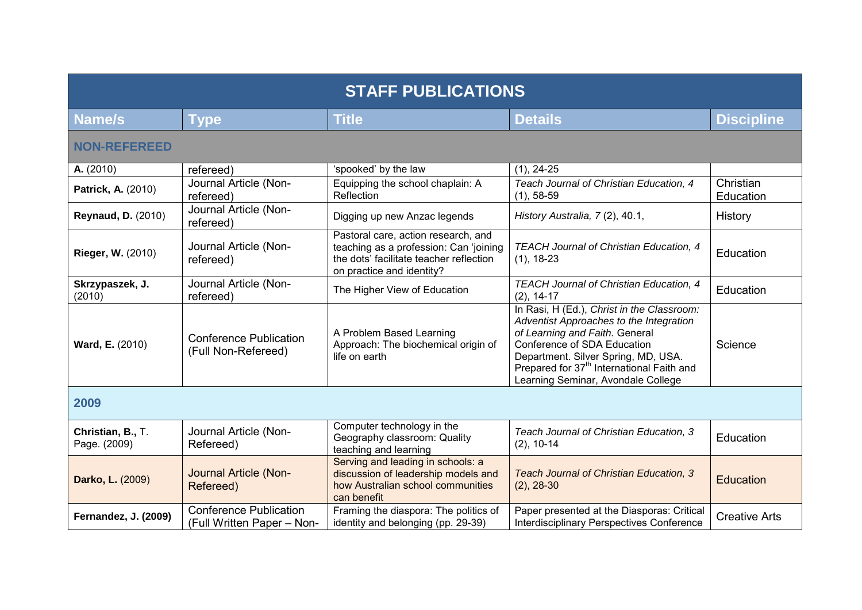| <b>STAFF PUBLICATIONS</b>         |                                                             |                                                                                                                                                       |                                                                                                                                                                                                                                                                                              |                        |  |
|-----------------------------------|-------------------------------------------------------------|-------------------------------------------------------------------------------------------------------------------------------------------------------|----------------------------------------------------------------------------------------------------------------------------------------------------------------------------------------------------------------------------------------------------------------------------------------------|------------------------|--|
| Name/s                            | <b>Type</b>                                                 | <b>Title</b>                                                                                                                                          | <b>Details</b>                                                                                                                                                                                                                                                                               | <b>Discipline</b>      |  |
| <b>NON-REFEREED</b>               |                                                             |                                                                                                                                                       |                                                                                                                                                                                                                                                                                              |                        |  |
| A. (2010)                         | refereed)                                                   | 'spooked' by the law                                                                                                                                  | $(1), 24-25$                                                                                                                                                                                                                                                                                 |                        |  |
| Patrick, A. (2010)                | Journal Article (Non-<br>refereed)                          | Equipping the school chaplain: A<br>Reflection                                                                                                        | Teach Journal of Christian Education, 4<br>$(1), 58-59$                                                                                                                                                                                                                                      | Christian<br>Education |  |
| <b>Reynaud, D. (2010)</b>         | Journal Article (Non-<br>refereed)                          | Digging up new Anzac legends                                                                                                                          | History Australia, 7(2), 40.1,                                                                                                                                                                                                                                                               | History                |  |
| <b>Rieger, W. (2010)</b>          | Journal Article (Non-<br>refereed)                          | Pastoral care, action research, and<br>teaching as a profession: Can 'joining<br>the dots' facilitate teacher reflection<br>on practice and identity? | TEACH Journal of Christian Education, 4<br>$(1), 18-23$                                                                                                                                                                                                                                      | Education              |  |
| Skrzypaszek, J.<br>(2010)         | Journal Article (Non-<br>refereed)                          | The Higher View of Education                                                                                                                          | TEACH Journal of Christian Education, 4<br>$(2), 14-17$                                                                                                                                                                                                                                      | Education              |  |
| Ward, E. (2010)                   | <b>Conference Publication</b><br>(Full Non-Refereed)        | A Problem Based Learning<br>Approach: The biochemical origin of<br>life on earth                                                                      | In Rasi, H (Ed.), Christ in the Classroom:<br>Adventist Approaches to the Integration<br>of Learning and Faith. General<br>Conference of SDA Education<br>Department. Silver Spring, MD, USA.<br>Prepared for 37 <sup>th</sup> International Faith and<br>Learning Seminar, Avondale College | Science                |  |
| 2009                              |                                                             |                                                                                                                                                       |                                                                                                                                                                                                                                                                                              |                        |  |
| Christian, B., T.<br>Page. (2009) | Journal Article (Non-<br>Refereed)                          | Computer technology in the<br>Geography classroom: Quality<br>teaching and learning                                                                   | Teach Journal of Christian Education, 3<br>$(2), 10-14$                                                                                                                                                                                                                                      | Education              |  |
| Darko, L. (2009)                  | Journal Article (Non-<br>Refereed)                          | Serving and leading in schools: a<br>discussion of leadership models and<br>how Australian school communities<br>can benefit                          | Teach Journal of Christian Education, 3<br>$(2), 28-30$                                                                                                                                                                                                                                      | <b>Education</b>       |  |
| <b>Fernandez, J. (2009)</b>       | <b>Conference Publication</b><br>(Full Written Paper - Non- | Framing the diaspora: The politics of<br>identity and belonging (pp. 29-39)                                                                           | Paper presented at the Diasporas: Critical<br><b>Interdisciplinary Perspectives Conference</b>                                                                                                                                                                                               | <b>Creative Arts</b>   |  |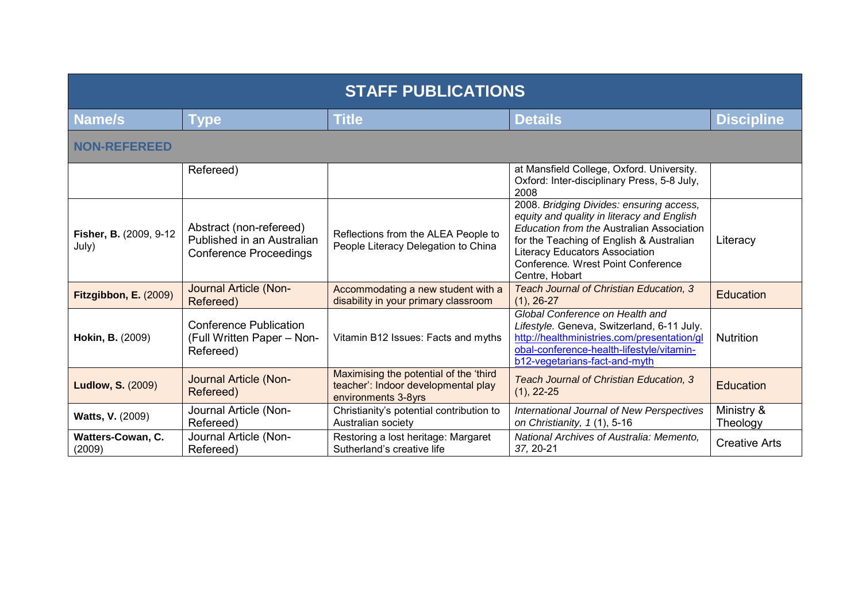| <b>STAFF PUBLICATIONS</b>        |                                                                                        |                                                                                                      |                                                                                                                                                                                                                                                                                  |                        |
|----------------------------------|----------------------------------------------------------------------------------------|------------------------------------------------------------------------------------------------------|----------------------------------------------------------------------------------------------------------------------------------------------------------------------------------------------------------------------------------------------------------------------------------|------------------------|
| <b>Name/s</b>                    | <b>Type</b>                                                                            | <b>Title</b>                                                                                         | <b>Details</b>                                                                                                                                                                                                                                                                   | <b>Discipline</b>      |
| <b>NON-REFEREED</b>              |                                                                                        |                                                                                                      |                                                                                                                                                                                                                                                                                  |                        |
|                                  | Refereed)                                                                              |                                                                                                      | at Mansfield College, Oxford. University.<br>Oxford: Inter-disciplinary Press, 5-8 July,<br>2008                                                                                                                                                                                 |                        |
| Fisher, B. (2009, 9-12)<br>July) | Abstract (non-refereed)<br>Published in an Australian<br><b>Conference Proceedings</b> | Reflections from the ALEA People to<br>People Literacy Delegation to China                           | 2008. Bridging Divides: ensuring access,<br>equity and quality in literacy and English<br>Education from the Australian Association<br>for the Teaching of English & Australian<br><b>Literacy Educators Association</b><br>Conference. Wrest Point Conference<br>Centre, Hobart | Literacy               |
| Fitzgibbon, E. (2009)            | Journal Article (Non-<br>Refereed)                                                     | Accommodating a new student with a<br>disability in your primary classroom                           | Teach Journal of Christian Education, 3<br>$(1), 26-27$                                                                                                                                                                                                                          | <b>Education</b>       |
| Hokin, B. (2009)                 | <b>Conference Publication</b><br>(Full Written Paper - Non-<br>Refereed)               | Vitamin B12 Issues: Facts and myths                                                                  | Global Conference on Health and<br>Lifestyle. Geneva, Switzerland, 6-11 July.<br>http://healthministries.com/presentation/ql<br>obal-conference-health-lifestyle/vitamin-<br>b12-vegetarians-fact-and-myth                                                                       | <b>Nutrition</b>       |
| <b>Ludlow, S. (2009)</b>         | Journal Article (Non-<br>Refereed)                                                     | Maximising the potential of the 'third<br>teacher': Indoor developmental play<br>environments 3-8yrs | Teach Journal of Christian Education, 3<br>$(1), 22-25$                                                                                                                                                                                                                          | <b>Education</b>       |
| <b>Watts, V. (2009)</b>          | Journal Article (Non-<br>Refereed)                                                     | Christianity's potential contribution to<br>Australian society                                       | International Journal of New Perspectives<br>on Christianity, 1(1), 5-16                                                                                                                                                                                                         | Ministry &<br>Theology |
| Watters-Cowan, C.<br>(2009)      | Journal Article (Non-<br>Refereed)                                                     | Restoring a lost heritage: Margaret<br>Sutherland's creative life                                    | National Archives of Australia: Memento,<br>37, 20-21                                                                                                                                                                                                                            | <b>Creative Arts</b>   |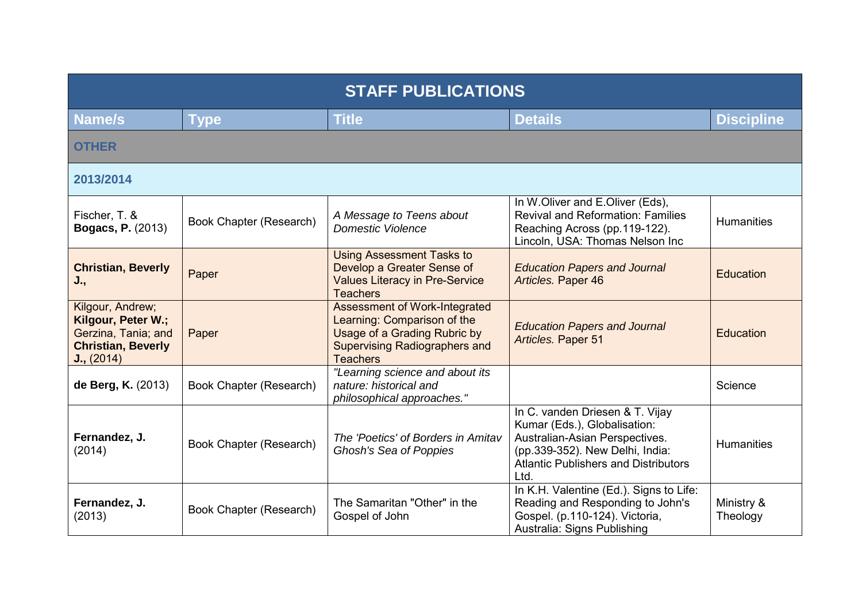| <b>STAFF PUBLICATIONS</b>                                                                                |                         |                                                                                                                                                  |                                                                                                                                                                                             |                        |
|----------------------------------------------------------------------------------------------------------|-------------------------|--------------------------------------------------------------------------------------------------------------------------------------------------|---------------------------------------------------------------------------------------------------------------------------------------------------------------------------------------------|------------------------|
| <b>Name/s</b>                                                                                            | Type                    | <b>Title</b>                                                                                                                                     | <b>Details</b>                                                                                                                                                                              | <b>Discipline</b>      |
| <b>OTHER</b>                                                                                             |                         |                                                                                                                                                  |                                                                                                                                                                                             |                        |
| 2013/2014                                                                                                |                         |                                                                                                                                                  |                                                                                                                                                                                             |                        |
| Fischer, T. &<br><b>Bogacs, P. (2013)</b>                                                                | Book Chapter (Research) | A Message to Teens about<br><b>Domestic Violence</b>                                                                                             | In W.Oliver and E.Oliver (Eds),<br><b>Revival and Reformation: Families</b><br>Reaching Across (pp.119-122).<br>Lincoln, USA: Thomas Nelson Inc                                             | <b>Humanities</b>      |
| <b>Christian, Beverly</b><br>J.,                                                                         | Paper                   | <b>Using Assessment Tasks to</b><br>Develop a Greater Sense of<br><b>Values Literacy in Pre-Service</b><br><b>Teachers</b>                       | <b>Education Papers and Journal</b><br>Articles. Paper 46                                                                                                                                   | <b>Education</b>       |
| Kilgour, Andrew;<br>Kilgour, Peter W.;<br>Gerzina, Tania; and<br><b>Christian, Beverly</b><br>J., (2014) | Paper                   | Assessment of Work-Integrated<br>Learning: Comparison of the<br>Usage of a Grading Rubric by<br>Supervising Radiographers and<br><b>Teachers</b> | <b>Education Papers and Journal</b><br>Articles. Paper 51                                                                                                                                   | Education              |
| de Berg, K. (2013)                                                                                       | Book Chapter (Research) | "Learning science and about its<br>nature: historical and<br>philosophical approaches."                                                          |                                                                                                                                                                                             | Science                |
| Fernandez, J.<br>(2014)                                                                                  | Book Chapter (Research) | The 'Poetics' of Borders in Amitav<br>Ghosh's Sea of Poppies                                                                                     | In C. vanden Driesen & T. Vijay<br>Kumar (Eds.), Globalisation:<br>Australian-Asian Perspectives.<br>(pp.339-352). New Delhi, India:<br><b>Atlantic Publishers and Distributors</b><br>Ltd. | <b>Humanities</b>      |
| Fernandez, J.<br>(2013)                                                                                  | Book Chapter (Research) | The Samaritan "Other" in the<br>Gospel of John                                                                                                   | In K.H. Valentine (Ed.). Signs to Life:<br>Reading and Responding to John's<br>Gospel. (p.110-124). Victoria,<br>Australia: Signs Publishing                                                | Ministry &<br>Theology |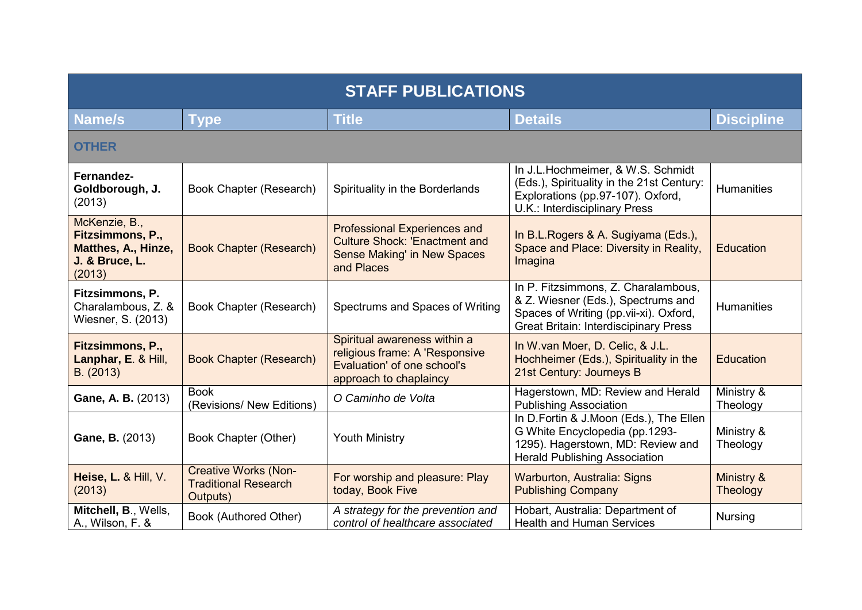| <b>STAFF PUBLICATIONS</b>                                                            |                                                                        |                                                                                                                          |                                                                                                                                                                     |                        |
|--------------------------------------------------------------------------------------|------------------------------------------------------------------------|--------------------------------------------------------------------------------------------------------------------------|---------------------------------------------------------------------------------------------------------------------------------------------------------------------|------------------------|
| <b>Name/s</b>                                                                        | <b>Type</b>                                                            | <b>Title</b>                                                                                                             | <b>Details</b>                                                                                                                                                      | <b>Discipline</b>      |
| <b>OTHER</b>                                                                         |                                                                        |                                                                                                                          |                                                                                                                                                                     |                        |
| Fernandez-<br>Goldborough, J.<br>(2013)                                              | Book Chapter (Research)                                                | Spirituality in the Borderlands                                                                                          | In J.L.Hochmeimer, & W.S. Schmidt<br>(Eds.), Spirituality in the 21st Century:<br>Explorations (pp.97-107). Oxford,<br>U.K.: Interdisciplinary Press                | <b>Humanities</b>      |
| McKenzie, B.,<br>Fitzsimmons, P.,<br>Matthes, A., Hinze,<br>J. & Bruce, L.<br>(2013) | <b>Book Chapter (Research)</b>                                         | Professional Experiences and<br><b>Culture Shock: 'Enactment and</b><br><b>Sense Making' in New Spaces</b><br>and Places | In B.L. Rogers & A. Sugiyama (Eds.),<br>Space and Place: Diversity in Reality,<br>Imagina                                                                           | <b>Education</b>       |
| Fitzsimmons, P.<br>Charalambous, Z. &<br>Wiesner, S. (2013)                          | Book Chapter (Research)                                                | Spectrums and Spaces of Writing                                                                                          | In P. Fitzsimmons, Z. Charalambous,<br>& Z. Wiesner (Eds.), Spectrums and<br>Spaces of Writing (pp.vii-xi). Oxford,<br><b>Great Britain: Interdiscipinary Press</b> | <b>Humanities</b>      |
| Fitzsimmons, P.,<br>Lanphar, E. & Hill,<br>B. (2013)                                 | <b>Book Chapter (Research)</b>                                         | Spiritual awareness within a<br>religious frame: A 'Responsive<br>Evaluation' of one school's<br>approach to chaplaincy  | In W.van Moer, D. Celic, & J.L.<br>Hochheimer (Eds.), Spirituality in the<br>21st Century: Journeys B                                                               | <b>Education</b>       |
| Gane, A. B. (2013)                                                                   | <b>Book</b><br>(Revisions/ New Editions)                               | O Caminho de Volta                                                                                                       | Hagerstown, MD: Review and Herald<br><b>Publishing Association</b>                                                                                                  | Ministry &<br>Theology |
| Gane, B. (2013)                                                                      | Book Chapter (Other)                                                   | <b>Youth Ministry</b>                                                                                                    | In D.Fortin & J.Moon (Eds.), The Ellen<br>G White Encyclopedia (pp.1293-<br>1295). Hagerstown, MD: Review and<br><b>Herald Publishing Association</b>               | Ministry &<br>Theology |
| Heise, L. & Hill, V.<br>(2013)                                                       | <b>Creative Works (Non-</b><br><b>Traditional Research</b><br>Outputs) | For worship and pleasure: Play<br>today, Book Five                                                                       | Warburton, Australia: Signs<br><b>Publishing Company</b>                                                                                                            | Ministry &<br>Theology |
| Mitchell, B., Wells,<br>A., Wilson, F. &                                             | Book (Authored Other)                                                  | A strategy for the prevention and<br>control of healthcare associated                                                    | Hobart, Australia: Department of<br><b>Health and Human Services</b>                                                                                                | <b>Nursing</b>         |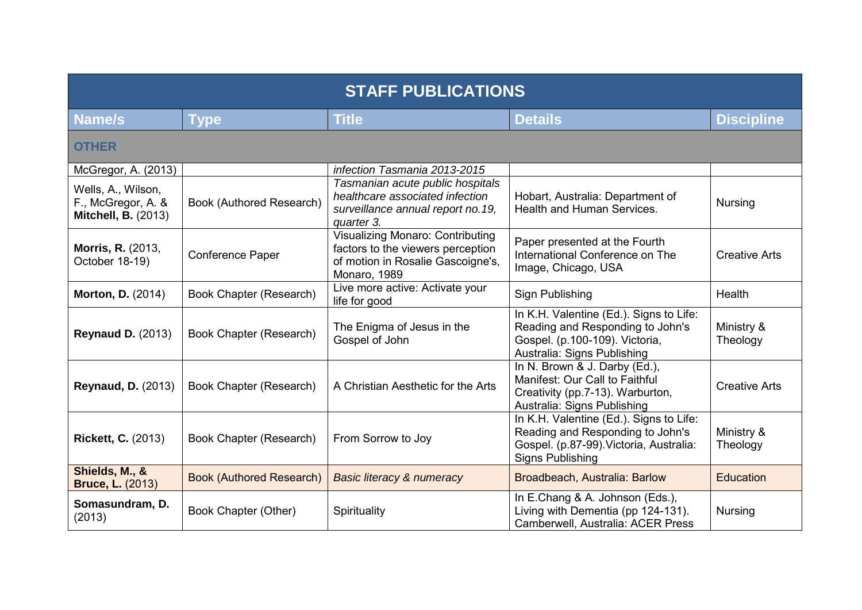| <b>STAFF PUBLICATIONS</b>                                              |                                 |                                                                                                                            |                                                                                                                                                   |                        |  |
|------------------------------------------------------------------------|---------------------------------|----------------------------------------------------------------------------------------------------------------------------|---------------------------------------------------------------------------------------------------------------------------------------------------|------------------------|--|
| <b>Name/s</b>                                                          | Type                            | <b>Title</b>                                                                                                               | <b>Details</b>                                                                                                                                    | <b>Discipline</b>      |  |
| <b>OTHER</b>                                                           |                                 |                                                                                                                            |                                                                                                                                                   |                        |  |
| McGregor, A. (2013)                                                    |                                 | infection Tasmania 2013-2015                                                                                               |                                                                                                                                                   |                        |  |
| Wells, A., Wilson,<br>F., McGregor, A. &<br><b>Mitchell, B. (2013)</b> | Book (Authored Research)        | Tasmanian acute public hospitals<br>healthcare associated infection<br>surveillance annual report no. 19,<br>quarter 3.    | Hobart, Australia: Department of<br><b>Health and Human Services.</b>                                                                             | <b>Nursing</b>         |  |
| <b>Morris, R. (2013,</b><br>October 18-19)                             | Conference Paper                | Visualizing Monaro: Contributing<br>factors to the viewers perception<br>of motion in Rosalie Gascoigne's,<br>Monaro, 1989 | Paper presented at the Fourth<br>International Conference on The<br>Image, Chicago, USA                                                           | <b>Creative Arts</b>   |  |
| <b>Morton, D. (2014)</b>                                               | Book Chapter (Research)         | Live more active: Activate your<br>life for good                                                                           | Sign Publishing                                                                                                                                   | Health                 |  |
| <b>Reynaud D. (2013)</b>                                               | Book Chapter (Research)         | The Enigma of Jesus in the<br>Gospel of John                                                                               | In K.H. Valentine (Ed.). Signs to Life:<br>Reading and Responding to John's<br>Gospel. (p.100-109). Victoria,<br>Australia: Signs Publishing      | Ministry &<br>Theology |  |
| <b>Reynaud, D. (2013)</b>                                              | Book Chapter (Research)         | A Christian Aesthetic for the Arts                                                                                         | In N. Brown & J. Darby (Ed.),<br>Manifest: Our Call to Faithful<br>Creativity (pp.7-13). Warburton,<br>Australia: Signs Publishing                | <b>Creative Arts</b>   |  |
| <b>Rickett, C. (2013)</b>                                              | Book Chapter (Research)         | From Sorrow to Joy                                                                                                         | In K.H. Valentine (Ed.). Signs to Life:<br>Reading and Responding to John's<br>Gospel. (p.87-99). Victoria, Australia:<br><b>Signs Publishing</b> | Ministry &<br>Theology |  |
| Shields, M., &<br><b>Bruce, L. (2013)</b>                              | <b>Book (Authored Research)</b> | <b>Basic literacy &amp; numeracy</b>                                                                                       | Broadbeach, Australia: Barlow                                                                                                                     | <b>Education</b>       |  |
| Somasundram, D.<br>(2013)                                              | Book Chapter (Other)            | Spirituality                                                                                                               | In E.Chang & A. Johnson (Eds.),<br>Living with Dementia (pp 124-131).<br>Camberwell, Australia: ACER Press                                        | <b>Nursing</b>         |  |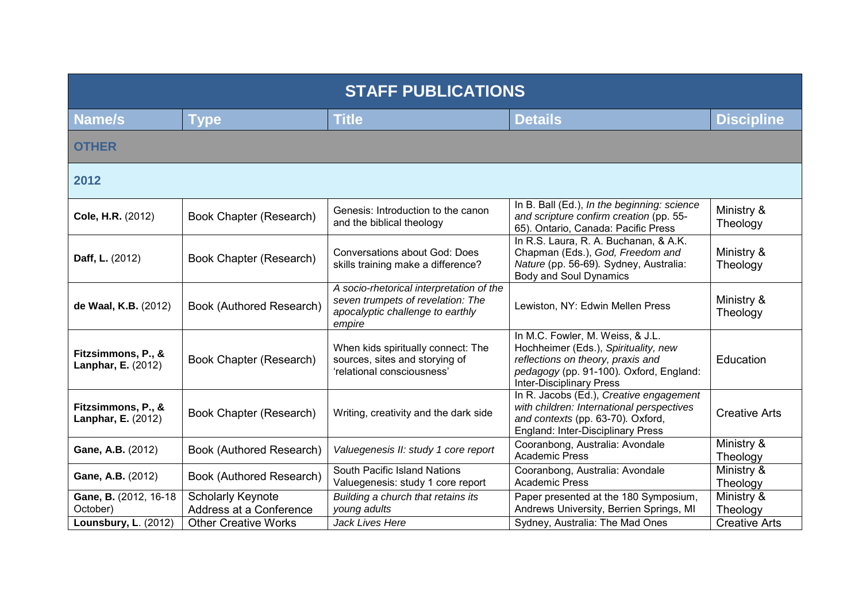| <b>STAFF PUBLICATIONS</b>                       |                                                     |                                                                                                                             |                                                                                                                                                                                             |                        |
|-------------------------------------------------|-----------------------------------------------------|-----------------------------------------------------------------------------------------------------------------------------|---------------------------------------------------------------------------------------------------------------------------------------------------------------------------------------------|------------------------|
| <b>Name/s</b>                                   | <b>Type</b>                                         | <b>Title</b>                                                                                                                | <b>Details</b>                                                                                                                                                                              | <b>Discipline</b>      |
| <b>OTHER</b>                                    |                                                     |                                                                                                                             |                                                                                                                                                                                             |                        |
| 2012                                            |                                                     |                                                                                                                             |                                                                                                                                                                                             |                        |
| Cole, H.R. (2012)                               | Book Chapter (Research)                             | Genesis: Introduction to the canon<br>and the biblical theology                                                             | In B. Ball (Ed.), In the beginning: science<br>and scripture confirm creation (pp. 55-<br>65). Ontario, Canada: Pacific Press                                                               | Ministry &<br>Theology |
| Daff, L. (2012)                                 | Book Chapter (Research)                             | <b>Conversations about God: Does</b><br>skills training make a difference?                                                  | In R.S. Laura, R. A. Buchanan, & A.K.<br>Chapman (Eds.), God, Freedom and<br>Nature (pp. 56-69). Sydney, Australia:<br><b>Body and Soul Dynamics</b>                                        | Ministry &<br>Theology |
| de Waal, K.B. (2012)                            | Book (Authored Research)                            | A socio-rhetorical interpretation of the<br>seven trumpets of revelation: The<br>apocalyptic challenge to earthly<br>empire | Lewiston, NY: Edwin Mellen Press                                                                                                                                                            | Ministry &<br>Theology |
| Fitzsimmons, P., &<br><b>Lanphar, E. (2012)</b> | Book Chapter (Research)                             | When kids spiritually connect: The<br>sources, sites and storying of<br>'relational consciousness'                          | In M.C. Fowler, M. Weiss, & J.L.<br>Hochheimer (Eds.), Spirituality, new<br>reflections on theory, praxis and<br>pedagogy (pp. 91-100). Oxford, England:<br><b>Inter-Disciplinary Press</b> | Education              |
| Fitzsimmons, P., &<br><b>Lanphar, E. (2012)</b> | Book Chapter (Research)                             | Writing, creativity and the dark side                                                                                       | In R. Jacobs (Ed.), Creative engagement<br>with children: International perspectives<br>and contexts (pp. 63-70). Oxford,<br>England: Inter-Disciplinary Press                              | <b>Creative Arts</b>   |
| Gane, A.B. (2012)                               | Book (Authored Research)                            | Valuegenesis II: study 1 core report                                                                                        | Cooranbong, Australia: Avondale<br><b>Academic Press</b>                                                                                                                                    | Ministry &<br>Theology |
| Gane, A.B. (2012)                               | Book (Authored Research)                            | South Pacific Island Nations<br>Valuegenesis: study 1 core report                                                           | Cooranbong, Australia: Avondale<br><b>Academic Press</b>                                                                                                                                    | Ministry &<br>Theology |
| Gane, B. (2012, 16-18)<br>October)              | <b>Scholarly Keynote</b><br>Address at a Conference | Building a church that retains its<br>young adults                                                                          | Paper presented at the 180 Symposium,<br>Andrews University, Berrien Springs, MI                                                                                                            | Ministry &<br>Theology |
| <b>Lounsbury, L. (2012)</b>                     | <b>Other Creative Works</b>                         | Jack Lives Here                                                                                                             | Sydney, Australia: The Mad Ones                                                                                                                                                             | <b>Creative Arts</b>   |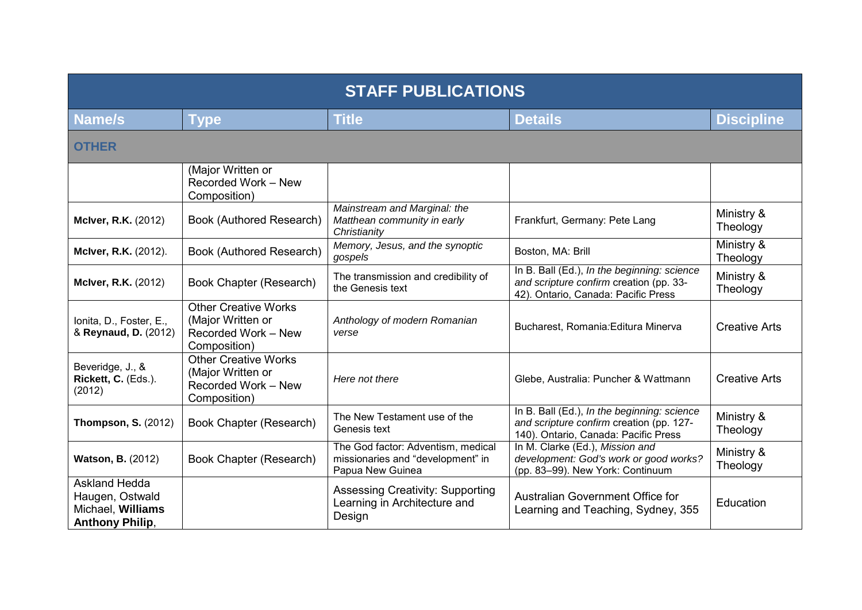| <b>STAFF PUBLICATIONS</b>                                                              |                                                                                         |                                                                                             |                                                                                                                                 |                        |
|----------------------------------------------------------------------------------------|-----------------------------------------------------------------------------------------|---------------------------------------------------------------------------------------------|---------------------------------------------------------------------------------------------------------------------------------|------------------------|
| Name/s                                                                                 | <b>Type</b>                                                                             | <b>Title</b>                                                                                | <b>Details</b>                                                                                                                  | <b>Discipline</b>      |
| <b>OTHER</b>                                                                           |                                                                                         |                                                                                             |                                                                                                                                 |                        |
|                                                                                        | (Major Written or<br>Recorded Work - New<br>Composition)                                |                                                                                             |                                                                                                                                 |                        |
| <b>McIver, R.K. (2012)</b>                                                             | Book (Authored Research)                                                                | Mainstream and Marginal: the<br>Matthean community in early<br>Christianity                 | Frankfurt, Germany: Pete Lang                                                                                                   | Ministry &<br>Theology |
| <b>McIver, R.K.</b> (2012).                                                            | Book (Authored Research)                                                                | Memory, Jesus, and the synoptic<br>gospels                                                  | Boston, MA: Brill                                                                                                               | Ministry &<br>Theology |
| <b>McIver, R.K. (2012)</b>                                                             | <b>Book Chapter (Research)</b>                                                          | The transmission and credibility of<br>the Genesis text                                     | In B. Ball (Ed.), In the beginning: science<br>and scripture confirm creation (pp. 33-<br>42). Ontario, Canada: Pacific Press   | Ministry &<br>Theology |
| Ionita, D., Foster, E.,<br>& Reynaud, D. (2012)                                        | <b>Other Creative Works</b><br>(Major Written or<br>Recorded Work - New<br>Composition) | Anthology of modern Romanian<br>verse                                                       | Bucharest, Romania: Editura Minerva                                                                                             | <b>Creative Arts</b>   |
| Beveridge, J., &<br>Rickett, C. (Eds.).<br>(2012)                                      | <b>Other Creative Works</b><br>(Major Written or<br>Recorded Work - New<br>Composition) | Here not there                                                                              | Glebe, Australia: Puncher & Wattmann                                                                                            | <b>Creative Arts</b>   |
| <b>Thompson, S. (2012)</b>                                                             | Book Chapter (Research)                                                                 | The New Testament use of the<br>Genesis text                                                | In B. Ball (Ed.), In the beginning: science<br>and scripture confirm creation (pp. 127-<br>140). Ontario, Canada: Pacific Press | Ministry &<br>Theology |
| <b>Watson, B. (2012)</b>                                                               | Book Chapter (Research)                                                                 | The God factor: Adventism, medical<br>missionaries and "development" in<br>Papua New Guinea | In M. Clarke (Ed.), Mission and<br>development: God's work or good works?<br>(pp. 83-99). New York: Continuum                   | Ministry &<br>Theology |
| <b>Askland Hedda</b><br>Haugen, Ostwald<br>Michael, Williams<br><b>Anthony Philip,</b> |                                                                                         | <b>Assessing Creativity: Supporting</b><br>Learning in Architecture and<br>Design           | Australian Government Office for<br>Learning and Teaching, Sydney, 355                                                          | Education              |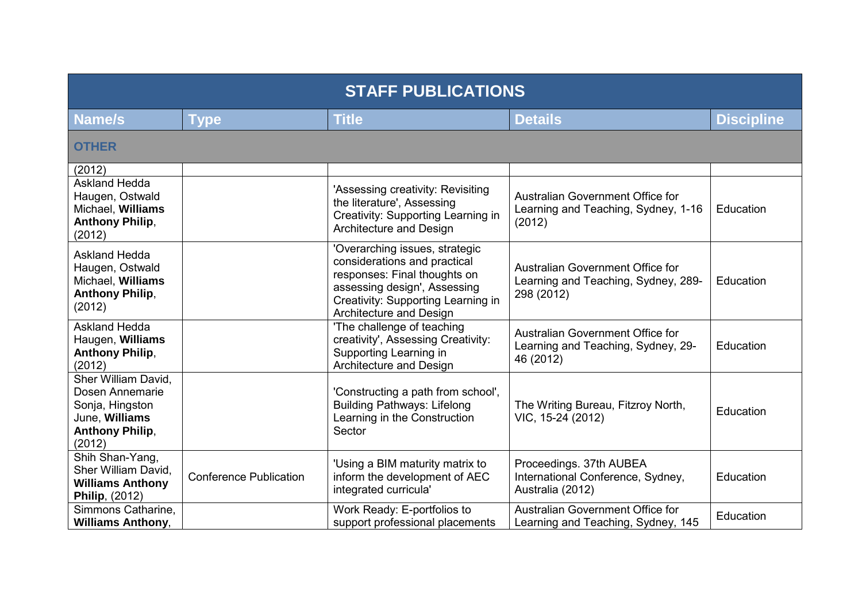| <b>STAFF PUBLICATIONS</b>                                                                                       |                               |                                                                                                                                                                                                 |                                                                                       |                   |
|-----------------------------------------------------------------------------------------------------------------|-------------------------------|-------------------------------------------------------------------------------------------------------------------------------------------------------------------------------------------------|---------------------------------------------------------------------------------------|-------------------|
| <b>Name/s</b>                                                                                                   | <b>Type</b>                   | <b>Title</b>                                                                                                                                                                                    | <b>Details</b>                                                                        | <b>Discipline</b> |
| <b>OTHER</b>                                                                                                    |                               |                                                                                                                                                                                                 |                                                                                       |                   |
| (2012)                                                                                                          |                               |                                                                                                                                                                                                 |                                                                                       |                   |
| <b>Askland Hedda</b><br>Haugen, Ostwald<br>Michael, Williams<br><b>Anthony Philip,</b><br>(2012)                |                               | 'Assessing creativity: Revisiting<br>the literature', Assessing<br>Creativity: Supporting Learning in<br>Architecture and Design                                                                | Australian Government Office for<br>Learning and Teaching, Sydney, 1-16<br>(2012)     | Education         |
| <b>Askland Hedda</b><br>Haugen, Ostwald<br>Michael, Williams<br><b>Anthony Philip,</b><br>(2012)                |                               | 'Overarching issues, strategic<br>considerations and practical<br>responses: Final thoughts on<br>assessing design', Assessing<br>Creativity: Supporting Learning in<br>Architecture and Design | Australian Government Office for<br>Learning and Teaching, Sydney, 289-<br>298 (2012) | Education         |
| <b>Askland Hedda</b><br>Haugen, Williams<br><b>Anthony Philip,</b><br>(2012)                                    |                               | 'The challenge of teaching<br>creativity', Assessing Creativity:<br>Supporting Learning in<br>Architecture and Design                                                                           | Australian Government Office for<br>Learning and Teaching, Sydney, 29-<br>46 (2012)   | Education         |
| Sher William David,<br>Dosen Annemarie<br>Sonja, Hingston<br>June, Williams<br><b>Anthony Philip,</b><br>(2012) |                               | 'Constructing a path from school',<br><b>Building Pathways: Lifelong</b><br>Learning in the Construction<br>Sector                                                                              | The Writing Bureau, Fitzroy North,<br>VIC, 15-24 (2012)                               | Education         |
| Shih Shan-Yang,<br>Sher William David,<br><b>Williams Anthony</b><br>Philip, (2012)                             | <b>Conference Publication</b> | 'Using a BIM maturity matrix to<br>inform the development of AEC<br>integrated curricula'                                                                                                       | Proceedings. 37th AUBEA<br>International Conference, Sydney,<br>Australia (2012)      | Education         |
| Simmons Catharine,<br><b>Williams Anthony,</b>                                                                  |                               | Work Ready: E-portfolios to<br>support professional placements                                                                                                                                  | Australian Government Office for<br>Learning and Teaching, Sydney, 145                | Education         |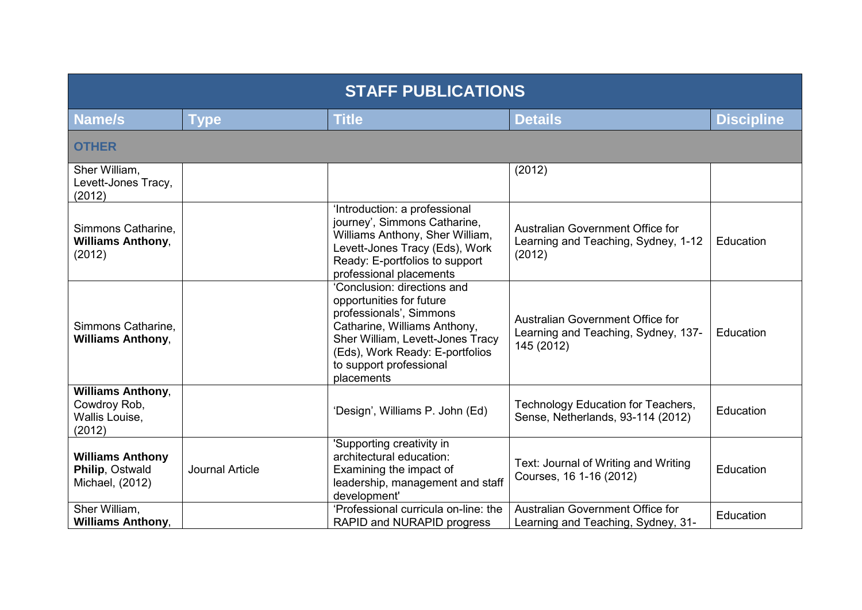| <b>STAFF PUBLICATIONS</b>                                            |                        |                                                                                                                                                                                                                                    |                                                                                       |                   |  |
|----------------------------------------------------------------------|------------------------|------------------------------------------------------------------------------------------------------------------------------------------------------------------------------------------------------------------------------------|---------------------------------------------------------------------------------------|-------------------|--|
| <b>Name/s</b>                                                        | <b>Type</b>            | <b>Title</b>                                                                                                                                                                                                                       | <b>Details</b>                                                                        | <b>Discipline</b> |  |
| <b>OTHER</b>                                                         |                        |                                                                                                                                                                                                                                    |                                                                                       |                   |  |
| Sher William,<br>Levett-Jones Tracy,<br>(2012)                       |                        |                                                                                                                                                                                                                                    | (2012)                                                                                |                   |  |
| Simmons Catharine,<br><b>Williams Anthony,</b><br>(2012)             |                        | 'Introduction: a professional<br>journey', Simmons Catharine,<br>Williams Anthony, Sher William,<br>Levett-Jones Tracy (Eds), Work<br>Ready: E-portfolios to support<br>professional placements                                    | Australian Government Office for<br>Learning and Teaching, Sydney, 1-12<br>(2012)     | Education         |  |
| Simmons Catharine.<br><b>Williams Anthony,</b>                       |                        | 'Conclusion: directions and<br>opportunities for future<br>professionals', Simmons<br>Catharine, Williams Anthony,<br>Sher William, Levett-Jones Tracy<br>(Eds), Work Ready: E-portfolios<br>to support professional<br>placements | Australian Government Office for<br>Learning and Teaching, Sydney, 137-<br>145 (2012) | Education         |  |
| <b>Williams Anthony,</b><br>Cowdroy Rob,<br>Wallis Louise,<br>(2012) |                        | 'Design', Williams P. John (Ed)                                                                                                                                                                                                    | Technology Education for Teachers,<br>Sense, Netherlands, 93-114 (2012)               | Education         |  |
| <b>Williams Anthony</b><br>Philip, Ostwald<br>Michael, (2012)        | <b>Journal Article</b> | 'Supporting creativity in<br>architectural education:<br>Examining the impact of<br>leadership, management and staff<br>development'                                                                                               | Text: Journal of Writing and Writing<br>Courses, 16 1-16 (2012)                       | Education         |  |
| Sher William,<br><b>Williams Anthony,</b>                            |                        | 'Professional curricula on-line: the<br>RAPID and NURAPID progress                                                                                                                                                                 | Australian Government Office for<br>Learning and Teaching, Sydney, 31-                | Education         |  |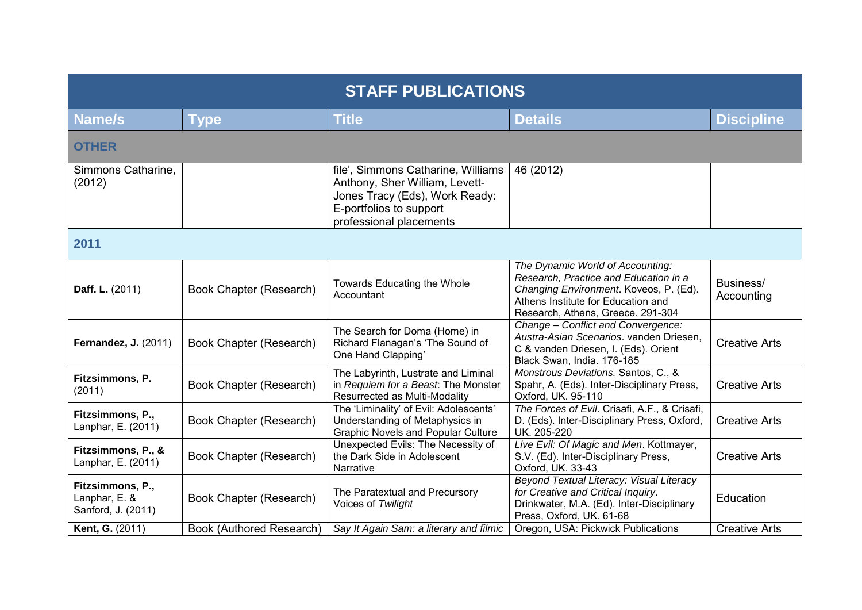| <b>STAFF PUBLICATIONS</b>                               |                          |                                                                                                                                                              |                                                                                                                                                                                                |                         |  |
|---------------------------------------------------------|--------------------------|--------------------------------------------------------------------------------------------------------------------------------------------------------------|------------------------------------------------------------------------------------------------------------------------------------------------------------------------------------------------|-------------------------|--|
| Name/s                                                  | <b>Type</b>              | <b>Title</b>                                                                                                                                                 | <b>Details</b>                                                                                                                                                                                 | <b>Discipline</b>       |  |
| <b>OTHER</b>                                            |                          |                                                                                                                                                              |                                                                                                                                                                                                |                         |  |
| Simmons Catharine.<br>(2012)                            |                          | file', Simmons Catharine, Williams<br>Anthony, Sher William, Levett-<br>Jones Tracy (Eds), Work Ready:<br>E-portfolios to support<br>professional placements | 46 (2012)                                                                                                                                                                                      |                         |  |
| 2011                                                    |                          |                                                                                                                                                              |                                                                                                                                                                                                |                         |  |
| Daff. L. (2011)                                         | Book Chapter (Research)  | Towards Educating the Whole<br>Accountant                                                                                                                    | The Dynamic World of Accounting:<br>Research, Practice and Education in a<br>Changing Environment. Koveos, P. (Ed).<br>Athens Institute for Education and<br>Research, Athens, Greece. 291-304 | Business/<br>Accounting |  |
| <b>Fernandez, J. (2011)</b>                             | Book Chapter (Research)  | The Search for Doma (Home) in<br>Richard Flanagan's 'The Sound of<br>One Hand Clapping'                                                                      | Change - Conflict and Convergence:<br>Austra-Asian Scenarios. vanden Driesen,<br>C & vanden Driesen, I. (Eds). Orient<br>Black Swan, India. 176-185                                            | <b>Creative Arts</b>    |  |
| Fitzsimmons, P.<br>(2011)                               | Book Chapter (Research)  | The Labyrinth, Lustrate and Liminal<br>in Requiem for a Beast. The Monster<br>Resurrected as Multi-Modality                                                  | Monstrous Deviations. Santos, C., &<br>Spahr, A. (Eds). Inter-Disciplinary Press,<br>Oxford, UK. 95-110                                                                                        | <b>Creative Arts</b>    |  |
| Fitzsimmons, P.,<br>Lanphar, E. (2011)                  | Book Chapter (Research)  | The 'Liminality' of Evil: Adolescents'<br>Understanding of Metaphysics in<br><b>Graphic Novels and Popular Culture</b>                                       | The Forces of Evil. Crisafi, A.F., & Crisafi,<br>D. (Eds). Inter-Disciplinary Press, Oxford,<br>UK. 205-220                                                                                    | <b>Creative Arts</b>    |  |
| Fitzsimmons, P., &<br>Lanphar, E. (2011)                | Book Chapter (Research)  | Unexpected Evils: The Necessity of<br>the Dark Side in Adolescent<br>Narrative                                                                               | Live Evil: Of Magic and Men. Kottmayer,<br>S.V. (Ed). Inter-Disciplinary Press,<br>Oxford, UK. 33-43                                                                                           | <b>Creative Arts</b>    |  |
| Fitzsimmons, P.,<br>Lanphar, E. &<br>Sanford, J. (2011) | Book Chapter (Research)  | The Paratextual and Precursory<br>Voices of Twilight                                                                                                         | Beyond Textual Literacy: Visual Literacy<br>for Creative and Critical Inquiry.<br>Drinkwater, M.A. (Ed). Inter-Disciplinary<br>Press, Oxford, UK. 61-68                                        | Education               |  |
| Kent, G. (2011)                                         | Book (Authored Research) | Say It Again Sam: a literary and filmic                                                                                                                      | Oregon, USA: Pickwick Publications                                                                                                                                                             | <b>Creative Arts</b>    |  |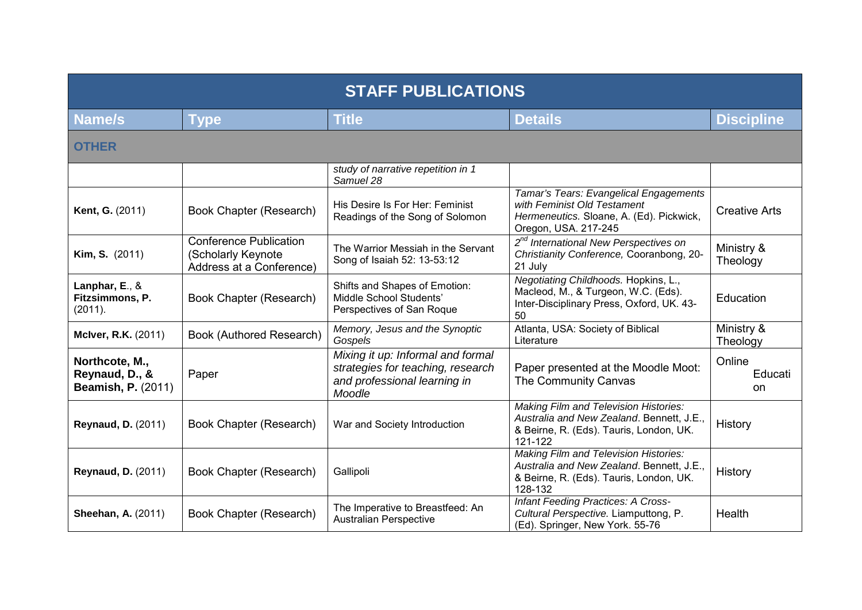| <b>STAFF PUBLICATIONS</b>                                     |                                                                                 |                                                                                                                  |                                                                                                                                                 |                         |  |
|---------------------------------------------------------------|---------------------------------------------------------------------------------|------------------------------------------------------------------------------------------------------------------|-------------------------------------------------------------------------------------------------------------------------------------------------|-------------------------|--|
| Name/s                                                        | <b>Type</b>                                                                     | <b>Title</b>                                                                                                     | <b>Details</b>                                                                                                                                  | <b>Discipline</b>       |  |
| <b>OTHER</b>                                                  |                                                                                 |                                                                                                                  |                                                                                                                                                 |                         |  |
|                                                               |                                                                                 | study of narrative repetition in 1<br>Samuel 28                                                                  |                                                                                                                                                 |                         |  |
| <b>Kent, G. (2011)</b>                                        | Book Chapter (Research)                                                         | His Desire Is For Her: Feminist<br>Readings of the Song of Solomon                                               | Tamar's Tears: Evangelical Engagements<br>with Feminist Old Testament<br>Hermeneutics. Sloane, A. (Ed). Pickwick,<br>Oregon, USA. 217-245       | <b>Creative Arts</b>    |  |
| <b>Kim, S.</b> (2011)                                         | <b>Conference Publication</b><br>(Scholarly Keynote<br>Address at a Conference) | The Warrior Messiah in the Servant<br>Song of Isaiah 52: 13-53:12                                                | 2 <sup>nd</sup> International New Perspectives on<br>Christianity Conference, Cooranbong, 20-<br>21 July                                        | Ministry &<br>Theology  |  |
| Lanphar, E., &<br>Fitzsimmons, P.<br>(2011).                  | Book Chapter (Research)                                                         | Shifts and Shapes of Emotion:<br>Middle School Students'<br>Perspectives of San Roque                            | Negotiating Childhoods. Hopkins, L.,<br>Macleod, M., & Turgeon, W.C. (Eds).<br>Inter-Disciplinary Press, Oxford, UK. 43-<br>50                  | Education               |  |
| <b>McIver, R.K.</b> (2011)                                    | Book (Authored Research)                                                        | Memory, Jesus and the Synoptic<br>Gospels                                                                        | Atlanta, USA: Society of Biblical<br>Literature                                                                                                 | Ministry &<br>Theology  |  |
| Northcote, M.,<br>Reynaud, D., &<br><b>Beamish, P. (2011)</b> | Paper                                                                           | Mixing it up: Informal and formal<br>strategies for teaching, research<br>and professional learning in<br>Moodle | Paper presented at the Moodle Moot:<br>The Community Canvas                                                                                     | Online<br>Educati<br>on |  |
| <b>Reynaud, D. (2011)</b>                                     | Book Chapter (Research)                                                         | War and Society Introduction                                                                                     | <b>Making Film and Television Histories:</b><br>Australia and New Zealand. Bennett, J.E.,<br>& Beirne, R. (Eds). Tauris, London, UK.<br>121-122 | History                 |  |
| <b>Reynaud, D. (2011)</b>                                     | Book Chapter (Research)                                                         | Gallipoli                                                                                                        | <b>Making Film and Television Histories:</b><br>Australia and New Zealand. Bennett, J.E.,<br>& Beirne, R. (Eds). Tauris, London, UK.<br>128-132 | History                 |  |
| <b>Sheehan, A. (2011)</b>                                     | Book Chapter (Research)                                                         | The Imperative to Breastfeed: An<br><b>Australian Perspective</b>                                                | <b>Infant Feeding Practices: A Cross-</b><br>Cultural Perspective. Liamputtong, P.<br>(Ed). Springer, New York. 55-76                           | Health                  |  |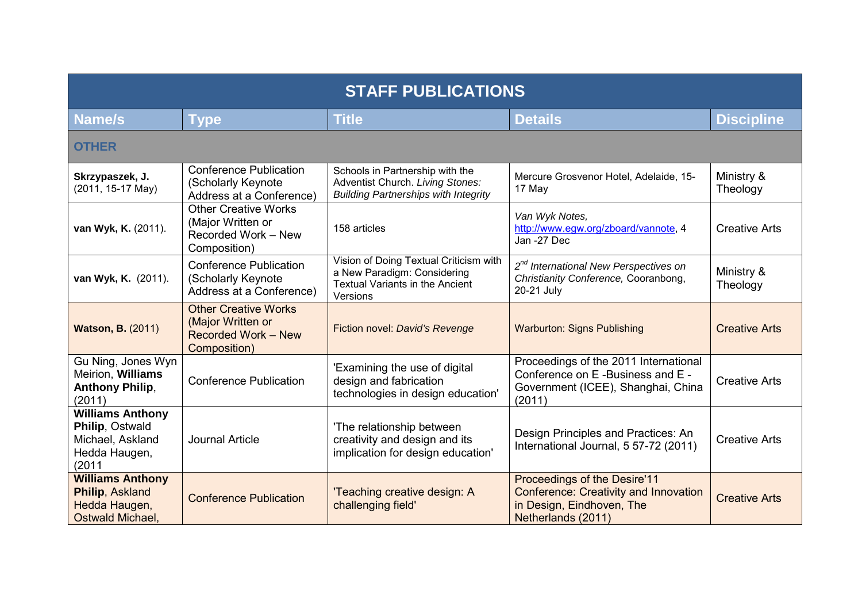| <b>STAFF PUBLICATIONS</b>                                                                 |                                                                                                |                                                                                                                             |                                                                                                                                 |                        |
|-------------------------------------------------------------------------------------------|------------------------------------------------------------------------------------------------|-----------------------------------------------------------------------------------------------------------------------------|---------------------------------------------------------------------------------------------------------------------------------|------------------------|
| <b>Name/s</b>                                                                             | Type                                                                                           | <b>Title</b>                                                                                                                | <b>Details</b>                                                                                                                  | <b>Discipline</b>      |
| <b>OTHER</b>                                                                              |                                                                                                |                                                                                                                             |                                                                                                                                 |                        |
| Skrzypaszek, J.<br>(2011, 15-17 May)                                                      | <b>Conference Publication</b><br>(Scholarly Keynote<br>Address at a Conference)                | Schools in Partnership with the<br>Adventist Church. Living Stones:<br><b>Building Partnerships with Integrity</b>          | Mercure Grosvenor Hotel, Adelaide, 15-<br>17 May                                                                                | Ministry &<br>Theology |
| van Wyk, K. (2011).                                                                       | <b>Other Creative Works</b><br>(Major Written or<br>Recorded Work - New<br>Composition)        | 158 articles                                                                                                                | Van Wyk Notes,<br>http://www.egw.org/zboard/vannote, 4<br>Jan -27 Dec                                                           | <b>Creative Arts</b>   |
| van Wyk, K. (2011).                                                                       | <b>Conference Publication</b><br>(Scholarly Keynote<br>Address at a Conference)                | Vision of Doing Textual Criticism with<br>a New Paradigm: Considering<br><b>Textual Variants in the Ancient</b><br>Versions | 2 <sup>nd</sup> International New Perspectives on<br>Christianity Conference, Cooranbong,<br>20-21 July                         | Ministry &<br>Theology |
| <b>Watson, B. (2011)</b>                                                                  | <b>Other Creative Works</b><br>(Major Written or<br><b>Recorded Work - New</b><br>Composition) | Fiction novel: David's Revenge                                                                                              | <b>Warburton: Signs Publishing</b>                                                                                              | <b>Creative Arts</b>   |
| Gu Ning, Jones Wyn<br>Meirion, Williams<br><b>Anthony Philip,</b><br>(2011)               | <b>Conference Publication</b>                                                                  | 'Examining the use of digital<br>design and fabrication<br>technologies in design education'                                | Proceedings of the 2011 International<br>Conference on E-Business and E-<br>Government (ICEE), Shanghai, China<br>(2011)        | <b>Creative Arts</b>   |
| <b>Williams Anthony</b><br>Philip, Ostwald<br>Michael, Askland<br>Hedda Haugen,<br>(2011) | <b>Journal Article</b>                                                                         | 'The relationship between<br>creativity and design and its<br>implication for design education'                             | Design Principles and Practices: An<br>International Journal, 5 57-72 (2011)                                                    | <b>Creative Arts</b>   |
| <b>Williams Anthony</b><br>Philip, Askland<br>Hedda Haugen,<br><b>Ostwald Michael,</b>    | <b>Conference Publication</b>                                                                  | 'Teaching creative design: A<br>challenging field'                                                                          | Proceedings of the Desire'11<br><b>Conference: Creativity and Innovation</b><br>in Design, Eindhoven, The<br>Netherlands (2011) | <b>Creative Arts</b>   |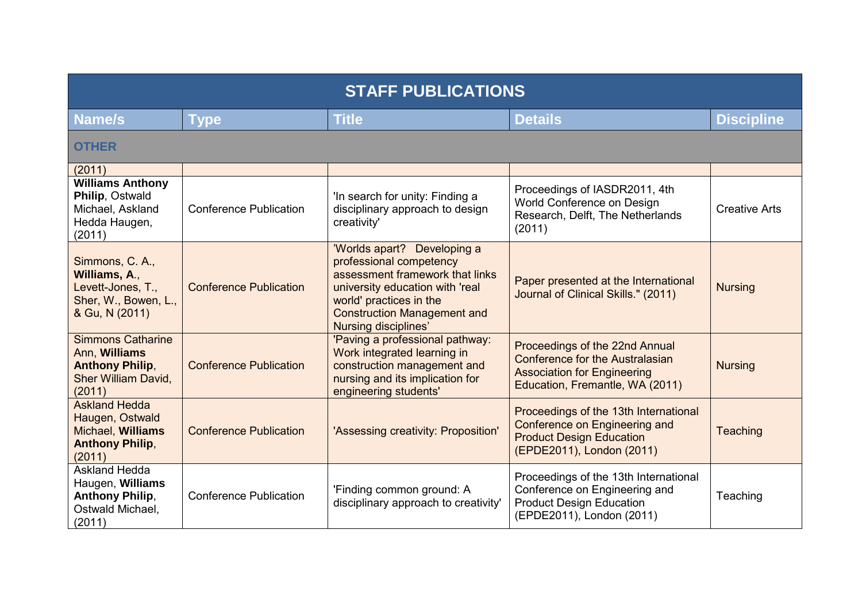| <b>STAFF PUBLICATIONS</b>                                                                                   |                               |                                                                                                                                                                                                                              |                                                                                                                                                   |                      |
|-------------------------------------------------------------------------------------------------------------|-------------------------------|------------------------------------------------------------------------------------------------------------------------------------------------------------------------------------------------------------------------------|---------------------------------------------------------------------------------------------------------------------------------------------------|----------------------|
| Name/s                                                                                                      | <b>Type</b>                   | <b>Title</b>                                                                                                                                                                                                                 | <b>Details</b>                                                                                                                                    | <b>Discipline</b>    |
| <b>OTHER</b>                                                                                                |                               |                                                                                                                                                                                                                              |                                                                                                                                                   |                      |
| (2011)                                                                                                      |                               |                                                                                                                                                                                                                              |                                                                                                                                                   |                      |
| <b>Williams Anthony</b><br>Philip, Ostwald<br>Michael, Askland<br>Hedda Haugen,<br>(2011)                   | <b>Conference Publication</b> | 'In search for unity: Finding a<br>disciplinary approach to design<br>creativity'                                                                                                                                            | Proceedings of IASDR2011, 4th<br>World Conference on Design<br>Research, Delft, The Netherlands<br>(2011)                                         | <b>Creative Arts</b> |
| Simmons, C. A.,<br>Williams, A.,<br>Levett-Jones, T.,<br>Sher, W., Bowen, L.,<br>& Gu, N (2011)             | <b>Conference Publication</b> | 'Worlds apart? Developing a<br>professional competency<br>assessment framework that links<br>university education with 'real<br>world' practices in the<br><b>Construction Management and</b><br><b>Nursing disciplines'</b> | Paper presented at the International<br>Journal of Clinical Skills." (2011)                                                                       | <b>Nursing</b>       |
| <b>Simmons Catharine</b><br>Ann, Williams<br><b>Anthony Philip,</b><br><b>Sher William David,</b><br>(2011) | <b>Conference Publication</b> | 'Paving a professional pathway:<br>Work integrated learning in<br>construction management and<br>nursing and its implication for<br>engineering students'                                                                    | Proceedings of the 22nd Annual<br><b>Conference for the Australasian</b><br><b>Association for Engineering</b><br>Education, Fremantle, WA (2011) | <b>Nursing</b>       |
| <b>Askland Hedda</b><br>Haugen, Ostwald<br>Michael, Williams<br><b>Anthony Philip,</b><br>(2011)            | <b>Conference Publication</b> | 'Assessing creativity: Proposition'                                                                                                                                                                                          | Proceedings of the 13th International<br><b>Conference on Engineering and</b><br><b>Product Design Education</b><br>(EPDE2011), London (2011)     | Teaching             |
| <b>Askland Hedda</b><br>Haugen, Williams<br><b>Anthony Philip,</b><br>Ostwald Michael,<br>(2011)            | <b>Conference Publication</b> | 'Finding common ground: A<br>disciplinary approach to creativity                                                                                                                                                             | Proceedings of the 13th International<br>Conference on Engineering and<br><b>Product Design Education</b><br>(EPDE2011), London (2011)            | Teaching             |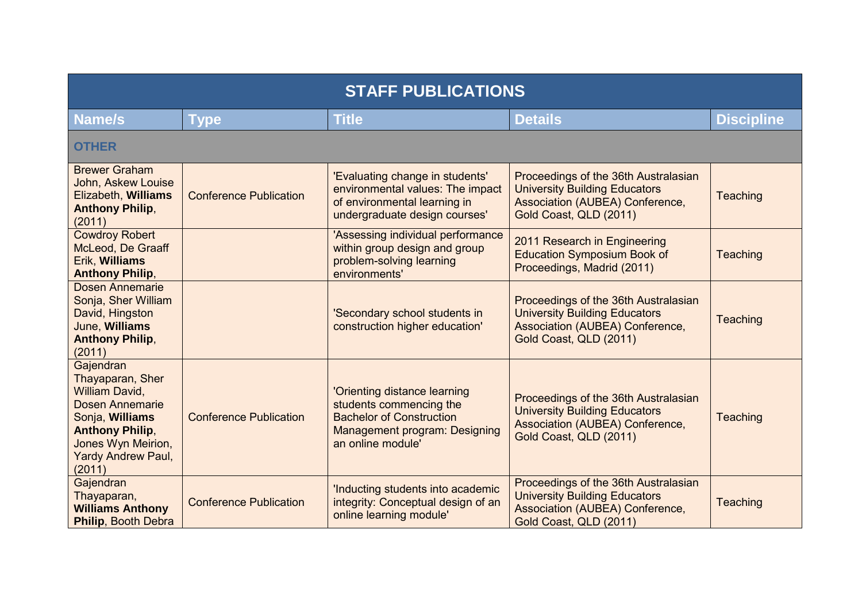| <b>STAFF PUBLICATIONS</b>                                                                                                                                                    |                               |                                                                                                                                                  |                                                                                                                                           |                   |
|------------------------------------------------------------------------------------------------------------------------------------------------------------------------------|-------------------------------|--------------------------------------------------------------------------------------------------------------------------------------------------|-------------------------------------------------------------------------------------------------------------------------------------------|-------------------|
| <b>Name/s</b>                                                                                                                                                                | Type                          | <b>Title</b>                                                                                                                                     | <b>Details</b>                                                                                                                            | <b>Discipline</b> |
| <b>OTHER</b>                                                                                                                                                                 |                               |                                                                                                                                                  |                                                                                                                                           |                   |
| <b>Brewer Graham</b><br>John, Askew Louise<br>Elizabeth, Williams<br><b>Anthony Philip,</b><br>(2011)                                                                        | <b>Conference Publication</b> | 'Evaluating change in students'<br>environmental values: The impact<br>of environmental learning in<br>undergraduate design courses'             | Proceedings of the 36th Australasian<br><b>University Building Educators</b><br>Association (AUBEA) Conference,<br>Gold Coast, QLD (2011) | Teaching          |
| <b>Cowdroy Robert</b><br>McLeod, De Graaff<br>Erik, Williams<br><b>Anthony Philip,</b>                                                                                       |                               | 'Assessing individual performance<br>within group design and group<br>problem-solving learning<br>environments'                                  | 2011 Research in Engineering<br><b>Education Symposium Book of</b><br>Proceedings, Madrid (2011)                                          | Teaching          |
| <b>Dosen Annemarie</b><br>Sonja, Sher William<br>David, Hingston<br>June, Williams<br><b>Anthony Philip,</b><br>(2011)                                                       |                               | 'Secondary school students in<br>construction higher education'                                                                                  | Proceedings of the 36th Australasian<br><b>University Building Educators</b><br>Association (AUBEA) Conference,<br>Gold Coast, QLD (2011) | Teaching          |
| Gajendran<br>Thayaparan, Sher<br>William David,<br><b>Dosen Annemarie</b><br>Sonja, Williams<br><b>Anthony Philip,</b><br>Jones Wyn Meirion,<br>Yardy Andrew Paul,<br>(2011) | <b>Conference Publication</b> | 'Orienting distance learning<br>students commencing the<br><b>Bachelor of Construction</b><br>Management program: Designing<br>an online module' | Proceedings of the 36th Australasian<br><b>University Building Educators</b><br>Association (AUBEA) Conference,<br>Gold Coast, QLD (2011) | <b>Teaching</b>   |
| Gajendran<br>Thayaparan,<br><b>Williams Anthony</b><br>Philip, Booth Debra                                                                                                   | <b>Conference Publication</b> | 'Inducting students into academic<br>integrity: Conceptual design of an<br>online learning module'                                               | Proceedings of the 36th Australasian<br><b>University Building Educators</b><br>Association (AUBEA) Conference,<br>Gold Coast, QLD (2011) | Teaching          |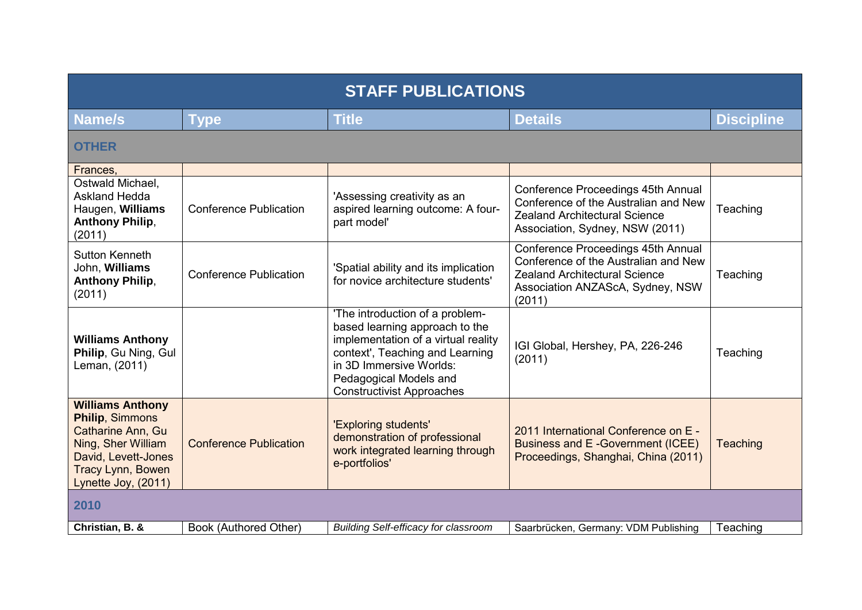| <b>STAFF PUBLICATIONS</b>                                                                                                                                              |                               |                                                                                                                                                                                                                                      |                                                                                                                                                                  |                   |  |
|------------------------------------------------------------------------------------------------------------------------------------------------------------------------|-------------------------------|--------------------------------------------------------------------------------------------------------------------------------------------------------------------------------------------------------------------------------------|------------------------------------------------------------------------------------------------------------------------------------------------------------------|-------------------|--|
| <b>Name/s</b>                                                                                                                                                          | <b>Type</b>                   | <b>Title</b>                                                                                                                                                                                                                         | <b>Details</b>                                                                                                                                                   | <b>Discipline</b> |  |
| <b>OTHER</b>                                                                                                                                                           |                               |                                                                                                                                                                                                                                      |                                                                                                                                                                  |                   |  |
| Frances,                                                                                                                                                               |                               |                                                                                                                                                                                                                                      |                                                                                                                                                                  |                   |  |
| Ostwald Michael,<br><b>Askland Hedda</b><br>Haugen, Williams<br><b>Anthony Philip,</b><br>(2011)                                                                       | <b>Conference Publication</b> | 'Assessing creativity as an<br>aspired learning outcome: A four-<br>part model'                                                                                                                                                      | Conference Proceedings 45th Annual<br>Conference of the Australian and New<br><b>Zealand Architectural Science</b><br>Association, Sydney, NSW (2011)            | Teaching          |  |
| Sutton Kenneth<br>John, Williams<br><b>Anthony Philip,</b><br>(2011)                                                                                                   | <b>Conference Publication</b> | 'Spatial ability and its implication<br>for novice architecture students'                                                                                                                                                            | Conference Proceedings 45th Annual<br>Conference of the Australian and New<br><b>Zealand Architectural Science</b><br>Association ANZAScA, Sydney, NSW<br>(2011) | Teaching          |  |
| <b>Williams Anthony</b><br>Philip, Gu Ning, Gul<br>Leman, (2011)                                                                                                       |                               | 'The introduction of a problem-<br>based learning approach to the<br>implementation of a virtual reality<br>context', Teaching and Learning<br>in 3D Immersive Worlds:<br>Pedagogical Models and<br><b>Constructivist Approaches</b> | IGI Global, Hershey, PA, 226-246<br>(2011)                                                                                                                       | Teaching          |  |
| <b>Williams Anthony</b><br><b>Philip, Simmons</b><br>Catharine Ann, Gu<br>Ning, Sher William<br>David, Levett-Jones<br><b>Tracy Lynn, Bowen</b><br>Lynette Joy, (2011) | <b>Conference Publication</b> | 'Exploring students'<br>demonstration of professional<br>work integrated learning through<br>e-portfolios'                                                                                                                           | 2011 International Conference on E -<br>Business and E-Government (ICEE)<br>Proceedings, Shanghai, China (2011)                                                  | Teaching          |  |
| 2010                                                                                                                                                                   |                               |                                                                                                                                                                                                                                      |                                                                                                                                                                  |                   |  |
| Christian, B. &                                                                                                                                                        | Book (Authored Other)         | <b>Building Self-efficacy for classroom</b>                                                                                                                                                                                          | Saarbrücken, Germany: VDM Publishing                                                                                                                             | Teaching          |  |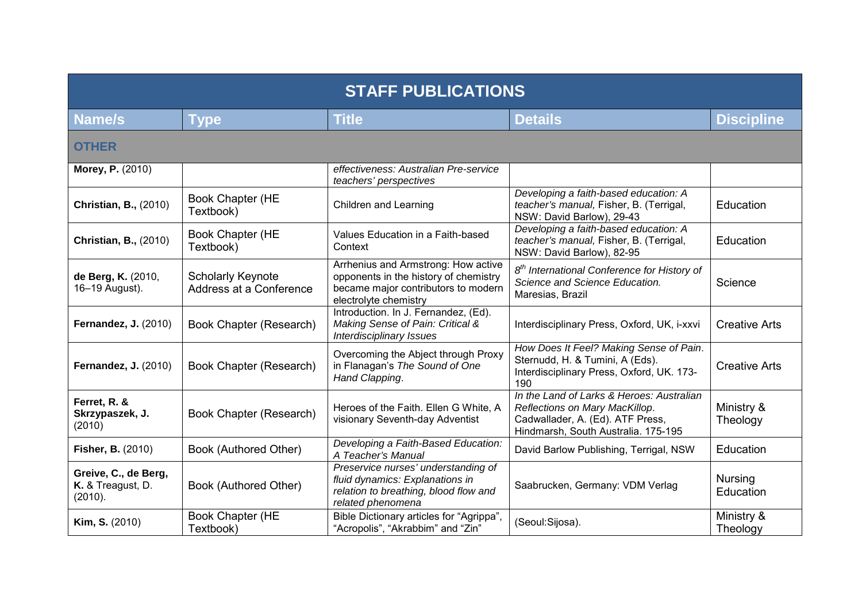| <b>STAFF PUBLICATIONS</b>                            |                                                     |                                                                                                                                              |                                                                                                                                                        |                             |
|------------------------------------------------------|-----------------------------------------------------|----------------------------------------------------------------------------------------------------------------------------------------------|--------------------------------------------------------------------------------------------------------------------------------------------------------|-----------------------------|
| Name/s                                               | Type                                                | <b>Title</b>                                                                                                                                 | <b>Details</b>                                                                                                                                         | <b>Discipline</b>           |
| <b>OTHER</b>                                         |                                                     |                                                                                                                                              |                                                                                                                                                        |                             |
| Morey, P. (2010)                                     |                                                     | effectiveness: Australian Pre-service<br>teachers' perspectives                                                                              |                                                                                                                                                        |                             |
| <b>Christian, B., (2010)</b>                         | Book Chapter (HE<br>Textbook)                       | Children and Learning                                                                                                                        | Developing a faith-based education: A<br>teacher's manual, Fisher, B. (Terrigal,<br>NSW: David Barlow), 29-43                                          | Education                   |
| <b>Christian, B., (2010)</b>                         | Book Chapter (HE<br>Textbook)                       | Values Education in a Faith-based<br>Context                                                                                                 | Developing a faith-based education: A<br>teacher's manual, Fisher, B. (Terrigal,<br>NSW: David Barlow), 82-95                                          | Education                   |
| de Berg, K. (2010,<br>16-19 August).                 | <b>Scholarly Keynote</b><br>Address at a Conference | Arrhenius and Armstrong: How active<br>opponents in the history of chemistry<br>became major contributors to modern<br>electrolyte chemistry | 8 <sup>th</sup> International Conference for History of<br>Science and Science Education.<br>Maresias, Brazil                                          | Science                     |
| <b>Fernandez, J. (2010)</b>                          | Book Chapter (Research)                             | Introduction. In J. Fernandez, (Ed).<br>Making Sense of Pain: Critical &<br><b>Interdisciplinary Issues</b>                                  | Interdisciplinary Press, Oxford, UK, i-xxvi                                                                                                            | <b>Creative Arts</b>        |
| <b>Fernandez, J. (2010)</b>                          | Book Chapter (Research)                             | Overcoming the Abject through Proxy<br>in Flanagan's The Sound of One<br>Hand Clapping.                                                      | How Does It Feel? Making Sense of Pain.<br>Sternudd, H. & Tumini, A (Eds).<br>Interdisciplinary Press, Oxford, UK. 173-<br>190                         | <b>Creative Arts</b>        |
| Ferret, R. &<br>Skrzypaszek, J.<br>(2010)            | Book Chapter (Research)                             | Heroes of the Faith. Ellen G White, A<br>visionary Seventh-day Adventist                                                                     | In the Land of Larks & Heroes: Australian<br>Reflections on Mary MacKillop.<br>Cadwallader, A. (Ed). ATF Press,<br>Hindmarsh, South Australia. 175-195 | Ministry &<br>Theology      |
| <b>Fisher, B. (2010)</b>                             | Book (Authored Other)                               | Developing a Faith-Based Education:<br>A Teacher's Manual                                                                                    | David Barlow Publishing, Terrigal, NSW                                                                                                                 | Education                   |
| Greive, C., de Berg,<br>K. & Treagust, D.<br>(2010). | Book (Authored Other)                               | Preservice nurses' understanding of<br>fluid dynamics: Explanations in<br>relation to breathing, blood flow and<br>related phenomena         | Saabrucken, Germany: VDM Verlag                                                                                                                        | <b>Nursing</b><br>Education |
| Kim, S. (2010)                                       | Book Chapter (HE<br>Textbook)                       | Bible Dictionary articles for "Agrippa",<br>"Acropolis", "Akrabbim" and "Zin"                                                                | (Seoul:Sijosa).                                                                                                                                        | Ministry &<br>Theology      |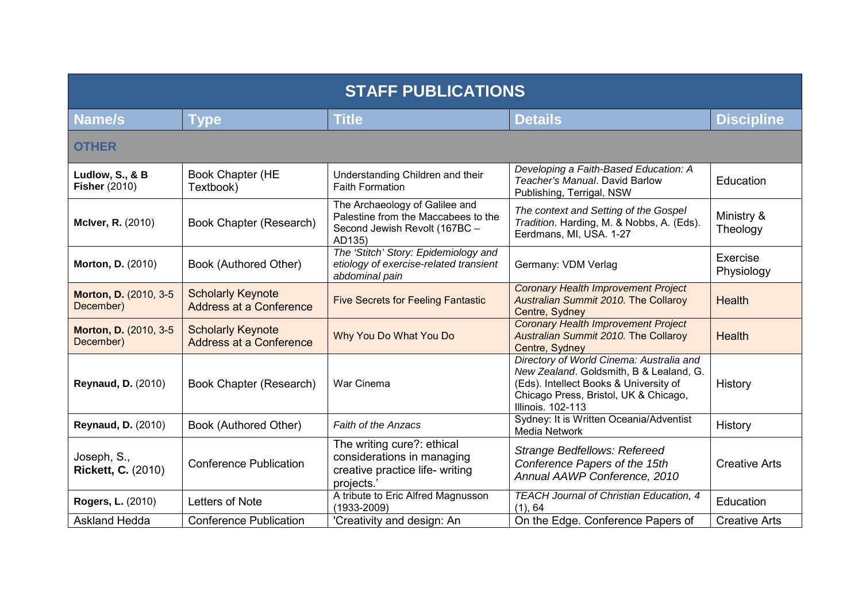| <b>STAFF PUBLICATIONS</b>                |                                                            |                                                                                                                  |                                                                                                                                                                                                    |                        |
|------------------------------------------|------------------------------------------------------------|------------------------------------------------------------------------------------------------------------------|----------------------------------------------------------------------------------------------------------------------------------------------------------------------------------------------------|------------------------|
| Name/s                                   | <b>Type</b>                                                | <b>Title</b>                                                                                                     | <b>Details</b>                                                                                                                                                                                     | <b>Discipline</b>      |
| <b>OTHER</b>                             |                                                            |                                                                                                                  |                                                                                                                                                                                                    |                        |
| Ludlow, S., & B<br><b>Fisher (2010)</b>  | Book Chapter (HE<br>Textbook)                              | Understanding Children and their<br><b>Faith Formation</b>                                                       | Developing a Faith-Based Education: A<br>Teacher's Manual. David Barlow<br>Publishing, Terrigal, NSW                                                                                               | <b>Education</b>       |
| McIver, R. (2010)                        | Book Chapter (Research)                                    | The Archaeology of Galilee and<br>Palestine from the Maccabees to the<br>Second Jewish Revolt (167BC -<br>AD135) | The context and Setting of the Gospel<br>Tradition. Harding, M. & Nobbs, A. (Eds).<br>Eerdmans, MI, USA. 1-27                                                                                      | Ministry &<br>Theology |
| Morton, D. (2010)                        | Book (Authored Other)                                      | The 'Stitch' Story: Epidemiology and<br>etiology of exercise-related transient<br>abdominal pain                 | Germany: VDM Verlag                                                                                                                                                                                | Exercise<br>Physiology |
| Morton, D. (2010, 3-5)<br>December)      | <b>Scholarly Keynote</b><br>Address at a Conference        | <b>Five Secrets for Feeling Fantastic</b>                                                                        | <b>Coronary Health Improvement Project</b><br>Australian Summit 2010. The Collaroy<br>Centre, Sydney                                                                                               | Health                 |
| Morton, D. (2010, 3-5<br>December)       | <b>Scholarly Keynote</b><br><b>Address at a Conference</b> | Why You Do What You Do                                                                                           | <b>Coronary Health Improvement Project</b><br>Australian Summit 2010. The Collaroy<br>Centre, Sydney                                                                                               | <b>Health</b>          |
| <b>Reynaud, D. (2010)</b>                | Book Chapter (Research)                                    | War Cinema                                                                                                       | Directory of World Cinema: Australia and<br>New Zealand. Goldsmith, B & Lealand, G.<br>(Eds). Intellect Books & University of<br>Chicago Press, Bristol, UK & Chicago,<br><b>Illinois. 102-113</b> | History                |
| <b>Reynaud, D. (2010)</b>                | Book (Authored Other)                                      | <b>Faith of the Anzacs</b>                                                                                       | Sydney: It is Written Oceania/Adventist<br><b>Media Network</b>                                                                                                                                    | History                |
| Joseph, S.,<br><b>Rickett, C. (2010)</b> | <b>Conference Publication</b>                              | The writing cure?: ethical<br>considerations in managing<br>creative practice life- writing<br>projects.'        | <b>Strange Bedfellows: Refereed</b><br>Conference Papers of the 15th<br>Annual AAWP Conference, 2010                                                                                               | <b>Creative Arts</b>   |
| Rogers, L. (2010)                        | Letters of Note                                            | A tribute to Eric Alfred Magnusson<br>$(1933 - 2009)$                                                            | <b>TEACH Journal of Christian Education, 4</b><br>(1), 64                                                                                                                                          | Education              |
| <b>Askland Hedda</b>                     | <b>Conference Publication</b>                              | 'Creativity and design: An                                                                                       | On the Edge. Conference Papers of                                                                                                                                                                  | <b>Creative Arts</b>   |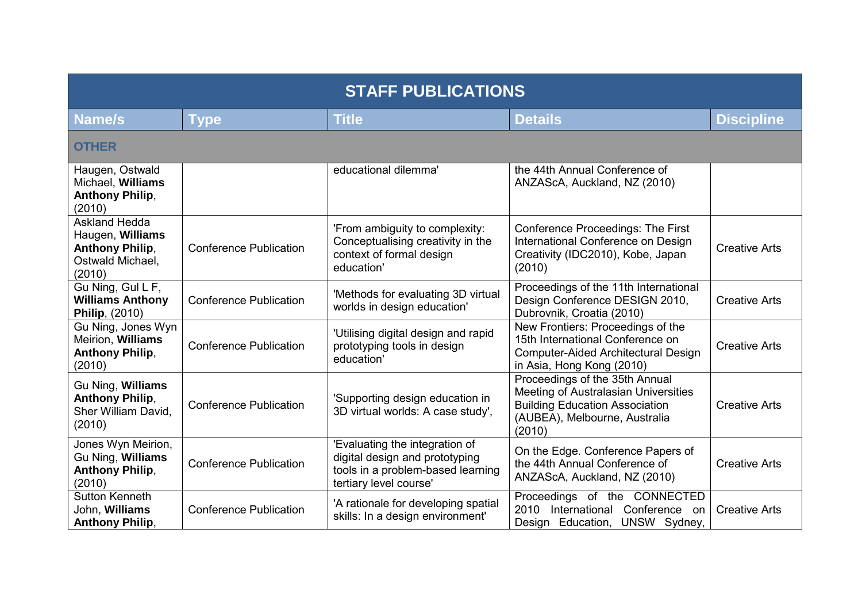| <b>STAFF PUBLICATIONS</b>                                                                        |                               |                                                                                                                                 |                                                                                                                                                            |                      |
|--------------------------------------------------------------------------------------------------|-------------------------------|---------------------------------------------------------------------------------------------------------------------------------|------------------------------------------------------------------------------------------------------------------------------------------------------------|----------------------|
| <b>Name/s</b>                                                                                    | <b>Type</b>                   | <b>Title</b>                                                                                                                    | <b>Details</b>                                                                                                                                             | <b>Discipline</b>    |
| <b>OTHER</b>                                                                                     |                               |                                                                                                                                 |                                                                                                                                                            |                      |
| Haugen, Ostwald<br>Michael, Williams<br><b>Anthony Philip,</b><br>(2010)                         |                               | educational dilemma'                                                                                                            | the 44th Annual Conference of<br>ANZAScA, Auckland, NZ (2010)                                                                                              |                      |
| <b>Askland Hedda</b><br>Haugen, Williams<br><b>Anthony Philip,</b><br>Ostwald Michael,<br>(2010) | <b>Conference Publication</b> | 'From ambiguity to complexity:<br>Conceptualising creativity in the<br>context of formal design<br>education'                   | <b>Conference Proceedings: The First</b><br>International Conference on Design<br>Creativity (IDC2010), Kobe, Japan<br>(2010)                              | <b>Creative Arts</b> |
| Gu Ning, Gul L F,<br><b>Williams Anthony</b><br>Philip, (2010)                                   | <b>Conference Publication</b> | 'Methods for evaluating 3D virtual<br>worlds in design education'                                                               | Proceedings of the 11th International<br>Design Conference DESIGN 2010,<br>Dubrovnik, Croatia (2010)                                                       | <b>Creative Arts</b> |
| Gu Ning, Jones Wyn<br>Meirion, Williams<br><b>Anthony Philip,</b><br>(2010)                      | <b>Conference Publication</b> | 'Utilising digital design and rapid<br>prototyping tools in design<br>education'                                                | New Frontiers: Proceedings of the<br>15th International Conference on<br>Computer-Aided Architectural Design<br>in Asia, Hong Kong (2010)                  | <b>Creative Arts</b> |
| Gu Ning, Williams<br><b>Anthony Philip,</b><br>Sher William David,<br>(2010)                     | <b>Conference Publication</b> | 'Supporting design education in<br>3D virtual worlds: A case study',                                                            | Proceedings of the 35th Annual<br>Meeting of Australasian Universities<br><b>Building Education Association</b><br>(AUBEA), Melbourne, Australia<br>(2010) | <b>Creative Arts</b> |
| Jones Wyn Meirion,<br>Gu Ning, Williams<br><b>Anthony Philip,</b><br>(2010)                      | <b>Conference Publication</b> | 'Evaluating the integration of<br>digital design and prototyping<br>tools in a problem-based learning<br>tertiary level course' | On the Edge. Conference Papers of<br>the 44th Annual Conference of<br>ANZAScA, Auckland, NZ (2010)                                                         | <b>Creative Arts</b> |
| <b>Sutton Kenneth</b><br>John, Williams<br><b>Anthony Philip,</b>                                | <b>Conference Publication</b> | 'A rationale for developing spatial<br>skills: In a design environment'                                                         | Proceedings of the CONNECTED<br>2010 International Conference on<br>Design Education, UNSW Sydney,                                                         | <b>Creative Arts</b> |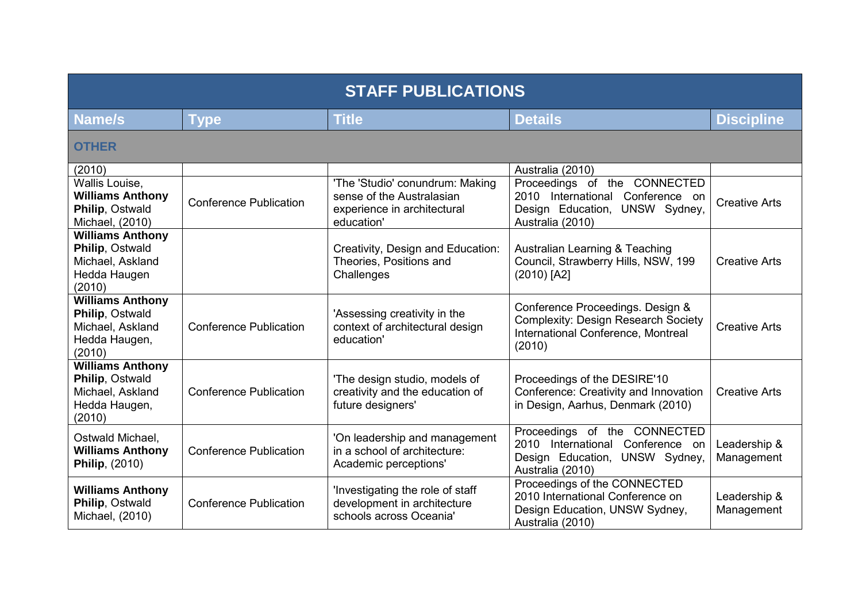| <b>STAFF PUBLICATIONS</b>                                                                 |                               |                                                                                                           |                                                                                                                                |                            |
|-------------------------------------------------------------------------------------------|-------------------------------|-----------------------------------------------------------------------------------------------------------|--------------------------------------------------------------------------------------------------------------------------------|----------------------------|
| Name/s                                                                                    | <b>Type</b>                   | <b>Title</b>                                                                                              | <b>Details</b>                                                                                                                 | <b>Discipline</b>          |
| <b>OTHER</b>                                                                              |                               |                                                                                                           |                                                                                                                                |                            |
| (2010)                                                                                    |                               |                                                                                                           | Australia (2010)                                                                                                               |                            |
| Wallis Louise,<br><b>Williams Anthony</b><br>Philip, Ostwald<br>Michael, (2010)           | <b>Conference Publication</b> | 'The 'Studio' conundrum: Making<br>sense of the Australasian<br>experience in architectural<br>education' | Proceedings of the CONNECTED<br>2010 International Conference on<br>Design Education, UNSW Sydney,<br>Australia (2010)         | <b>Creative Arts</b>       |
| <b>Williams Anthony</b><br>Philip, Ostwald<br>Michael, Askland<br>Hedda Haugen<br>(2010)  |                               | Creativity, Design and Education:<br>Theories, Positions and<br>Challenges                                | Australian Learning & Teaching<br>Council, Strawberry Hills, NSW, 199<br>(2010) [A2]                                           | <b>Creative Arts</b>       |
| <b>Williams Anthony</b><br>Philip, Ostwald<br>Michael, Askland<br>Hedda Haugen,<br>(2010) | <b>Conference Publication</b> | 'Assessing creativity in the<br>context of architectural design<br>education'                             | Conference Proceedings. Design &<br><b>Complexity: Design Research Society</b><br>International Conference, Montreal<br>(2010) | <b>Creative Arts</b>       |
| <b>Williams Anthony</b><br>Philip, Ostwald<br>Michael, Askland<br>Hedda Haugen,<br>(2010) | <b>Conference Publication</b> | 'The design studio, models of<br>creativity and the education of<br>future designers'                     | Proceedings of the DESIRE'10<br>Conference: Creativity and Innovation<br>in Design, Aarhus, Denmark (2010)                     | <b>Creative Arts</b>       |
| Ostwald Michael,<br><b>Williams Anthony</b><br><b>Philip, (2010)</b>                      | <b>Conference Publication</b> | 'On leadership and management<br>in a school of architecture:<br>Academic perceptions'                    | Proceedings of the CONNECTED<br>2010 International Conference on<br>Design Education, UNSW Sydney,<br>Australia (2010)         | Leadership &<br>Management |
| <b>Williams Anthony</b><br>Philip, Ostwald<br>Michael, (2010)                             | <b>Conference Publication</b> | 'Investigating the role of staff<br>development in architecture<br>schools across Oceania'                | Proceedings of the CONNECTED<br>2010 International Conference on<br>Design Education, UNSW Sydney,<br>Australia (2010)         | Leadership &<br>Management |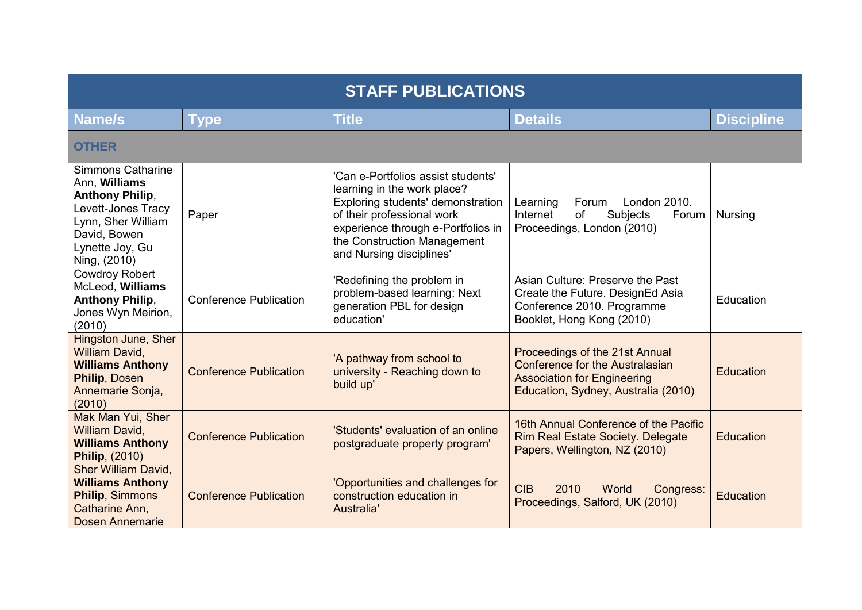| <b>STAFF PUBLICATIONS</b>                                                                                                                                          |                               |                                                                                                                                                                                                                                       |                                                                                                                                                       |                   |
|--------------------------------------------------------------------------------------------------------------------------------------------------------------------|-------------------------------|---------------------------------------------------------------------------------------------------------------------------------------------------------------------------------------------------------------------------------------|-------------------------------------------------------------------------------------------------------------------------------------------------------|-------------------|
| <b>Name/s</b>                                                                                                                                                      | <b>Type</b>                   | <b>Title</b>                                                                                                                                                                                                                          | <b>Details</b>                                                                                                                                        | <b>Discipline</b> |
| <b>OTHER</b>                                                                                                                                                       |                               |                                                                                                                                                                                                                                       |                                                                                                                                                       |                   |
| <b>Simmons Catharine</b><br>Ann, Williams<br><b>Anthony Philip,</b><br>Levett-Jones Tracy<br>Lynn, Sher William<br>David, Bowen<br>Lynette Joy, Gu<br>Ning, (2010) | Paper                         | 'Can e-Portfolios assist students'<br>learning in the work place?<br>Exploring students' demonstration<br>of their professional work<br>experience through e-Portfolios in<br>the Construction Management<br>and Nursing disciplines' | London 2010.<br>Learning<br>Forum<br>Internet<br>Subjects<br>of<br>Forum<br>Proceedings, London (2010)                                                | <b>Nursing</b>    |
| <b>Cowdroy Robert</b><br>McLeod, Williams<br><b>Anthony Philip,</b><br>Jones Wyn Meirion,<br>(2010)                                                                | <b>Conference Publication</b> | 'Redefining the problem in<br>problem-based learning: Next<br>generation PBL for design<br>education'                                                                                                                                 | Asian Culture: Preserve the Past<br>Create the Future. DesignEd Asia<br>Conference 2010. Programme<br>Booklet, Hong Kong (2010)                       | Education         |
| Hingston June, Sher<br>William David,<br><b>Williams Anthony</b><br>Philip, Dosen<br>Annemarie Sonja,<br>(2010)                                                    | <b>Conference Publication</b> | 'A pathway from school to<br>university - Reaching down to<br>build up'                                                                                                                                                               | Proceedings of the 21st Annual<br><b>Conference for the Australasian</b><br><b>Association for Engineering</b><br>Education, Sydney, Australia (2010) | <b>Education</b>  |
| Mak Man Yui, Sher<br>William David,<br><b>Williams Anthony</b><br><b>Philip, (2010)</b>                                                                            | <b>Conference Publication</b> | 'Students' evaluation of an online<br>postgraduate property program'                                                                                                                                                                  | 16th Annual Conference of the Pacific<br>Rim Real Estate Society. Delegate<br>Papers, Wellington, NZ (2010)                                           | Education         |
| <b>Sher William David,</b><br><b>Williams Anthony</b><br><b>Philip, Simmons</b><br>Catharine Ann,<br><b>Dosen Annemarie</b>                                        | <b>Conference Publication</b> | 'Opportunities and challenges for<br>construction education in<br>Australia'                                                                                                                                                          | <b>CIB</b><br>2010<br>World<br>Congress:<br>Proceedings, Salford, UK (2010)                                                                           | Education         |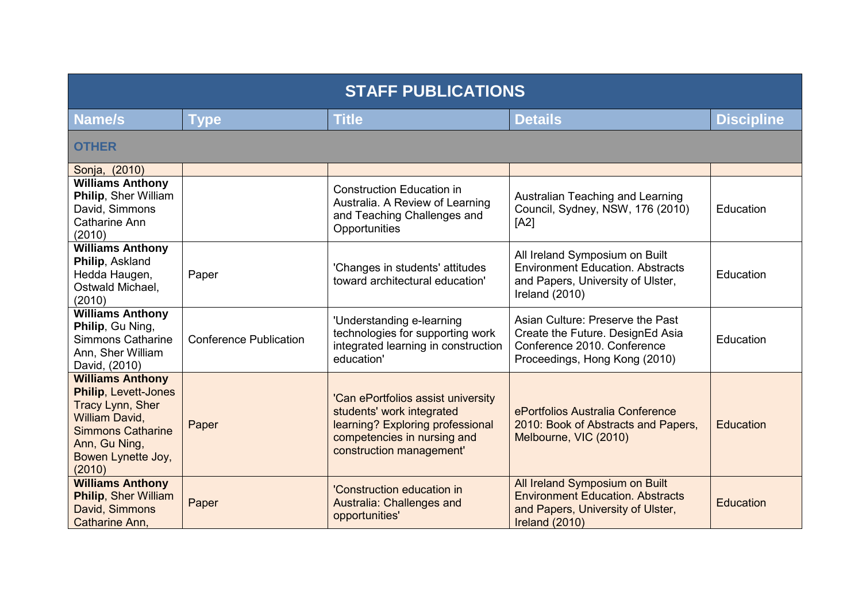| <b>STAFF PUBLICATIONS</b>                                                                                                                                                 |                               |                                                                                                                                                                |                                                                                                                                      |                   |
|---------------------------------------------------------------------------------------------------------------------------------------------------------------------------|-------------------------------|----------------------------------------------------------------------------------------------------------------------------------------------------------------|--------------------------------------------------------------------------------------------------------------------------------------|-------------------|
| Name/s                                                                                                                                                                    | <b>Type</b>                   | <b>Title</b>                                                                                                                                                   | <b>Details</b>                                                                                                                       | <b>Discipline</b> |
| <b>OTHER</b>                                                                                                                                                              |                               |                                                                                                                                                                |                                                                                                                                      |                   |
| Sonja, (2010)                                                                                                                                                             |                               |                                                                                                                                                                |                                                                                                                                      |                   |
| <b>Williams Anthony</b><br>Philip, Sher William<br>David, Simmons<br>Catharine Ann<br>(2010)                                                                              |                               | <b>Construction Education in</b><br>Australia. A Review of Learning<br>and Teaching Challenges and<br>Opportunities                                            | Australian Teaching and Learning<br>Council, Sydney, NSW, 176 (2010)<br>[A2]                                                         | Education         |
| <b>Williams Anthony</b><br>Philip, Askland<br>Hedda Haugen,<br>Ostwald Michael,<br>(2010)                                                                                 | Paper                         | 'Changes in students' attitudes<br>toward architectural education'                                                                                             | All Ireland Symposium on Built<br><b>Environment Education. Abstracts</b><br>and Papers, University of Ulster,<br>Ireland $(2010)$   | Education         |
| <b>Williams Anthony</b><br>Philip, Gu Ning,<br><b>Simmons Catharine</b><br>Ann, Sher William<br>David, (2010)                                                             | <b>Conference Publication</b> | 'Understanding e-learning<br>technologies for supporting work<br>integrated learning in construction<br>education'                                             | Asian Culture: Preserve the Past<br>Create the Future. DesignEd Asia<br>Conference 2010. Conference<br>Proceedings, Hong Kong (2010) | Education         |
| <b>Williams Anthony</b><br><b>Philip, Levett-Jones</b><br>Tracy Lynn, Sher<br>William David,<br><b>Simmons Catharine</b><br>Ann, Gu Ning,<br>Bowen Lynette Joy,<br>(2010) | Paper                         | 'Can ePortfolios assist university<br>students' work integrated<br>learning? Exploring professional<br>competencies in nursing and<br>construction management' | ePortfolios Australia Conference<br>2010: Book of Abstracts and Papers,<br>Melbourne, VIC (2010)                                     | <b>Education</b>  |
| <b>Williams Anthony</b><br><b>Philip, Sher William</b><br>David, Simmons<br>Catharine Ann,                                                                                | Paper                         | 'Construction education in<br>Australia: Challenges and<br>opportunities'                                                                                      | All Ireland Symposium on Built<br><b>Environment Education, Abstracts</b><br>and Papers, University of Ulster,<br>Ireland (2010)     | Education         |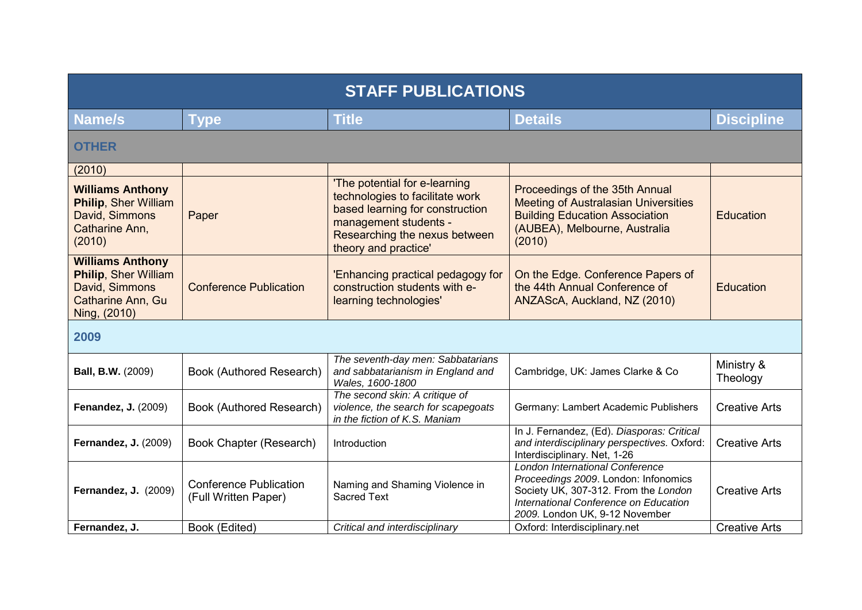| <b>STAFF PUBLICATIONS</b>                                                                                     |                                                       |                                                                                                                                                                                       |                                                                                                                                                                                            |                        |
|---------------------------------------------------------------------------------------------------------------|-------------------------------------------------------|---------------------------------------------------------------------------------------------------------------------------------------------------------------------------------------|--------------------------------------------------------------------------------------------------------------------------------------------------------------------------------------------|------------------------|
| <b>Name/s</b>                                                                                                 | <b>Type</b>                                           | <b>Title</b>                                                                                                                                                                          | <b>Details</b>                                                                                                                                                                             | <b>Discipline</b>      |
| <b>OTHER</b>                                                                                                  |                                                       |                                                                                                                                                                                       |                                                                                                                                                                                            |                        |
| (2010)                                                                                                        |                                                       |                                                                                                                                                                                       |                                                                                                                                                                                            |                        |
| <b>Williams Anthony</b><br><b>Philip, Sher William</b><br>David, Simmons<br>Catharine Ann,<br>(2010)          | Paper                                                 | 'The potential for e-learning<br>technologies to facilitate work<br>based learning for construction<br>management students -<br>Researching the nexus between<br>theory and practice' | Proceedings of the 35th Annual<br><b>Meeting of Australasian Universities</b><br><b>Building Education Association</b><br>(AUBEA), Melbourne, Australia<br>(2010)                          | <b>Education</b>       |
| <b>Williams Anthony</b><br><b>Philip, Sher William</b><br>David, Simmons<br>Catharine Ann, Gu<br>Ning, (2010) | <b>Conference Publication</b>                         | 'Enhancing practical pedagogy for<br>construction students with e-<br>learning technologies'                                                                                          | On the Edge. Conference Papers of<br>the 44th Annual Conference of<br>ANZAScA, Auckland, NZ (2010)                                                                                         | Education              |
| 2009                                                                                                          |                                                       |                                                                                                                                                                                       |                                                                                                                                                                                            |                        |
| <b>Ball, B.W.</b> (2009)                                                                                      | Book (Authored Research)                              | The seventh-day men: Sabbatarians<br>and sabbatarianism in England and<br>Wales, 1600-1800                                                                                            | Cambridge, UK: James Clarke & Co                                                                                                                                                           | Ministry &<br>Theology |
| <b>Fenandez, J. (2009)</b>                                                                                    | Book (Authored Research)                              | The second skin: A critique of<br>violence, the search for scapegoats<br>in the fiction of K.S. Maniam                                                                                | Germany: Lambert Academic Publishers                                                                                                                                                       | <b>Creative Arts</b>   |
| <b>Fernandez, J. (2009)</b>                                                                                   | Book Chapter (Research)                               | Introduction                                                                                                                                                                          | In J. Fernandez, (Ed). Diasporas: Critical<br>and interdisciplinary perspectives. Oxford:<br>Interdisciplinary. Net, 1-26                                                                  | <b>Creative Arts</b>   |
| <b>Fernandez, J. (2009)</b>                                                                                   | <b>Conference Publication</b><br>(Full Written Paper) | Naming and Shaming Violence in<br><b>Sacred Text</b>                                                                                                                                  | London International Conference<br>Proceedings 2009. London: Infonomics<br>Society UK, 307-312. From the London<br>International Conference on Education<br>2009. London UK, 9-12 November | <b>Creative Arts</b>   |
| Fernandez, J.                                                                                                 | Book (Edited)                                         | Critical and interdisciplinary                                                                                                                                                        | Oxford: Interdisciplinary.net                                                                                                                                                              | <b>Creative Arts</b>   |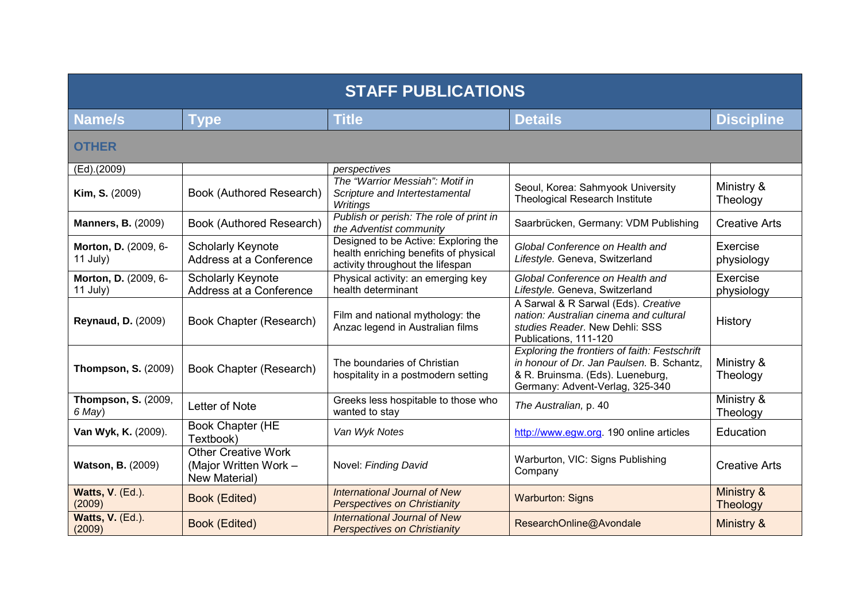| <b>STAFF PUBLICATIONS</b>            |                                                                      |                                                                                                                   |                                                                                                                                                                   |                               |
|--------------------------------------|----------------------------------------------------------------------|-------------------------------------------------------------------------------------------------------------------|-------------------------------------------------------------------------------------------------------------------------------------------------------------------|-------------------------------|
| <b>Name/s</b>                        | Type                                                                 | <b>Title</b>                                                                                                      | <b>Details</b>                                                                                                                                                    | <b>Discipline</b>             |
| <b>OTHER</b>                         |                                                                      |                                                                                                                   |                                                                                                                                                                   |                               |
| (Ed).(2009)                          |                                                                      | perspectives                                                                                                      |                                                                                                                                                                   |                               |
| Kim, S. (2009)                       | Book (Authored Research)                                             | The "Warrior Messiah": Motif in<br>Scripture and Intertestamental<br>Writings                                     | Seoul, Korea: Sahmyook University<br><b>Theological Research Institute</b>                                                                                        | Ministry &<br>Theology        |
| <b>Manners, B. (2009)</b>            | Book (Authored Research)                                             | Publish or perish: The role of print in<br>the Adventist community                                                | Saarbrücken, Germany: VDM Publishing                                                                                                                              | <b>Creative Arts</b>          |
| Morton, D. (2009, 6-<br>$11$ July)   | <b>Scholarly Keynote</b><br>Address at a Conference                  | Designed to be Active: Exploring the<br>health enriching benefits of physical<br>activity throughout the lifespan | Global Conference on Health and<br>Lifestyle. Geneva, Switzerland                                                                                                 | Exercise<br>physiology        |
| Morton, D. (2009, 6-<br>$11$ July)   | <b>Scholarly Keynote</b><br>Address at a Conference                  | Physical activity: an emerging key<br>health determinant                                                          | Global Conference on Health and<br>Lifestyle. Geneva, Switzerland                                                                                                 | Exercise<br>physiology        |
| <b>Reynaud, D. (2009)</b>            | Book Chapter (Research)                                              | Film and national mythology: the<br>Anzac legend in Australian films                                              | A Sarwal & R Sarwal (Eds). Creative<br>nation: Australian cinema and cultural<br>studies Reader. New Dehli: SSS<br>Publications, 111-120                          | History                       |
| <b>Thompson, S. (2009)</b>           | Book Chapter (Research)                                              | The boundaries of Christian<br>hospitality in a postmodern setting                                                | Exploring the frontiers of faith: Festschrift<br>in honour of Dr. Jan Paulsen. B. Schantz,<br>& R. Bruinsma. (Eds). Lueneburg,<br>Germany: Advent-Verlag, 325-340 | Ministry &<br>Theology        |
| <b>Thompson, S. (2009,</b><br>6 May) | Letter of Note                                                       | Greeks less hospitable to those who<br>wanted to stay                                                             | The Australian, p. 40                                                                                                                                             | Ministry &<br>Theology        |
| Van Wyk, K. (2009).                  | Book Chapter (HE<br>Textbook)                                        | Van Wyk Notes                                                                                                     | http://www.egw.org. 190 online articles                                                                                                                           | <b>Education</b>              |
| <b>Watson, B. (2009)</b>             | <b>Other Creative Work</b><br>(Major Written Work -<br>New Material) | Novel: Finding David                                                                                              | Warburton, VIC: Signs Publishing<br>Company                                                                                                                       | <b>Creative Arts</b>          |
| <b>Watts, V. (Ed.).</b><br>(2009)    | <b>Book (Edited)</b>                                                 | International Journal of New<br><b>Perspectives on Christianity</b>                                               | <b>Warburton: Signs</b>                                                                                                                                           | Ministry &<br><b>Theology</b> |
| Watts, V. (Ed.).<br>(2009)           | <b>Book (Edited)</b>                                                 | International Journal of New<br><b>Perspectives on Christianity</b>                                               | ResearchOnline@Avondale                                                                                                                                           | Ministry &                    |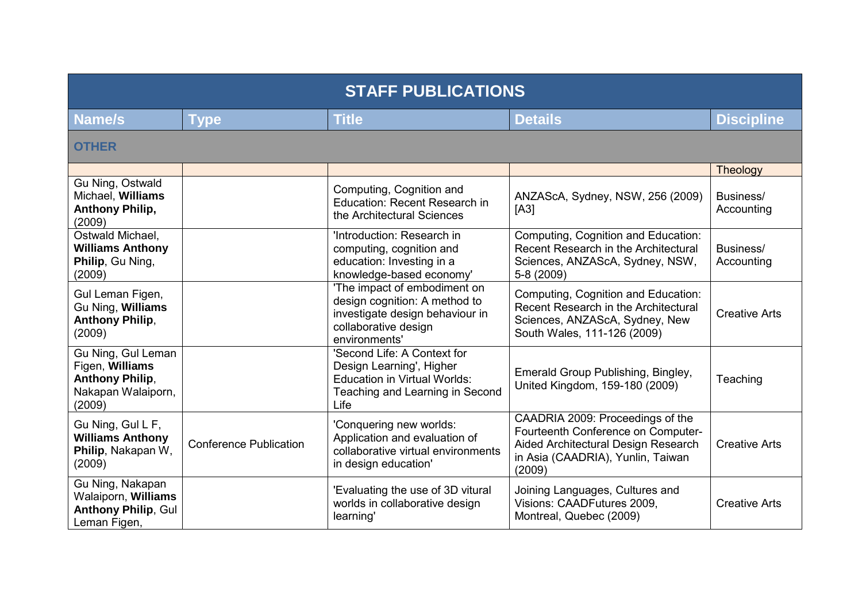| <b>STAFF PUBLICATIONS</b>                                                                       |                               |                                                                                                                                           |                                                                                                                                                              |                         |
|-------------------------------------------------------------------------------------------------|-------------------------------|-------------------------------------------------------------------------------------------------------------------------------------------|--------------------------------------------------------------------------------------------------------------------------------------------------------------|-------------------------|
| Name/s                                                                                          | <b>Type</b>                   | <b>Title</b>                                                                                                                              | <b>Details</b>                                                                                                                                               | <b>Discipline</b>       |
| <b>OTHER</b>                                                                                    |                               |                                                                                                                                           |                                                                                                                                                              |                         |
|                                                                                                 |                               |                                                                                                                                           |                                                                                                                                                              | Theology                |
| Gu Ning, Ostwald<br>Michael, Williams<br><b>Anthony Philip,</b><br>(2009)                       |                               | Computing, Cognition and<br><b>Education: Recent Research in</b><br>the Architectural Sciences                                            | ANZAScA, Sydney, NSW, 256 (2009)<br>[A3]                                                                                                                     | Business/<br>Accounting |
| Ostwald Michael,<br><b>Williams Anthony</b><br>Philip, Gu Ning,<br>(2009)                       |                               | 'Introduction: Research in<br>computing, cognition and<br>education: Investing in a<br>knowledge-based economy'                           | Computing, Cognition and Education:<br>Recent Research in the Architectural<br>Sciences, ANZAScA, Sydney, NSW,<br>5-8 (2009)                                 | Business/<br>Accounting |
| Gul Leman Figen,<br>Gu Ning, Williams<br><b>Anthony Philip,</b><br>(2009)                       |                               | 'The impact of embodiment on<br>design cognition: A method to<br>investigate design behaviour in<br>collaborative design<br>environments' | Computing, Cognition and Education:<br>Recent Research in the Architectural<br>Sciences, ANZAScA, Sydney, New<br>South Wales, 111-126 (2009)                 | <b>Creative Arts</b>    |
| Gu Ning, Gul Leman<br>Figen, Williams<br><b>Anthony Philip,</b><br>Nakapan Walaiporn,<br>(2009) |                               | 'Second Life: A Context for<br>Design Learning', Higher<br><b>Education in Virtual Worlds:</b><br>Teaching and Learning in Second<br>Life | Emerald Group Publishing, Bingley,<br>United Kingdom, 159-180 (2009)                                                                                         | Teaching                |
| Gu Ning, Gul L F,<br><b>Williams Anthony</b><br>Philip, Nakapan W,<br>(2009)                    | <b>Conference Publication</b> | 'Conquering new worlds:<br>Application and evaluation of<br>collaborative virtual environments<br>in design education'                    | CAADRIA 2009: Proceedings of the<br>Fourteenth Conference on Computer-<br>Aided Architectural Design Research<br>in Asia (CAADRIA), Yunlin, Taiwan<br>(2009) | <b>Creative Arts</b>    |
| Gu Ning, Nakapan<br>Walaiporn, Williams<br><b>Anthony Philip, Gul</b><br>Leman Figen,           |                               | 'Evaluating the use of 3D vitural<br>worlds in collaborative design<br>learning'                                                          | Joining Languages, Cultures and<br>Visions: CAADFutures 2009,<br>Montreal, Quebec (2009)                                                                     | <b>Creative Arts</b>    |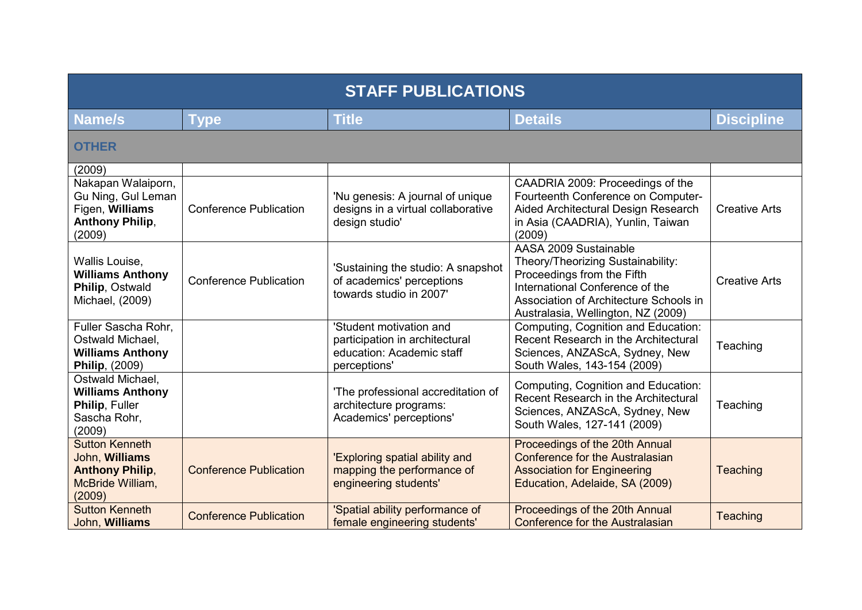| <b>STAFF PUBLICATIONS</b>                                                                                 |                               |                                                                                                        |                                                                                                                                                                                                             |                      |
|-----------------------------------------------------------------------------------------------------------|-------------------------------|--------------------------------------------------------------------------------------------------------|-------------------------------------------------------------------------------------------------------------------------------------------------------------------------------------------------------------|----------------------|
| Name/s                                                                                                    | Type                          | <b>Title</b>                                                                                           | <b>Details</b>                                                                                                                                                                                              | <b>Discipline</b>    |
| <b>OTHER</b>                                                                                              |                               |                                                                                                        |                                                                                                                                                                                                             |                      |
| (2009)<br>Nakapan Walaiporn,<br>Gu Ning, Gul Leman<br>Figen, Williams<br><b>Anthony Philip,</b><br>(2009) | <b>Conference Publication</b> | 'Nu genesis: A journal of unique<br>designs in a virtual collaborative<br>design studio'               | CAADRIA 2009: Proceedings of the<br>Fourteenth Conference on Computer-<br>Aided Architectural Design Research<br>in Asia (CAADRIA), Yunlin, Taiwan<br>(2009)                                                | <b>Creative Arts</b> |
| Wallis Louise,<br><b>Williams Anthony</b><br>Philip, Ostwald<br>Michael, (2009)                           | <b>Conference Publication</b> | 'Sustaining the studio: A snapshot<br>of academics' perceptions<br>towards studio in 2007'             | AASA 2009 Sustainable<br>Theory/Theorizing Sustainability:<br>Proceedings from the Fifth<br>International Conference of the<br>Association of Architecture Schools in<br>Australasia, Wellington, NZ (2009) | <b>Creative Arts</b> |
| Fuller Sascha Rohr,<br>Ostwald Michael,<br><b>Williams Anthony</b><br><b>Philip, (2009)</b>               |                               | 'Student motivation and<br>participation in architectural<br>education: Academic staff<br>perceptions' | Computing, Cognition and Education:<br>Recent Research in the Architectural<br>Sciences, ANZAScA, Sydney, New<br>South Wales, 143-154 (2009)                                                                | Teaching             |
| Ostwald Michael,<br><b>Williams Anthony</b><br>Philip, Fuller<br>Sascha Rohr,<br>(2009)                   |                               | 'The professional accreditation of<br>architecture programs:<br>Academics' perceptions'                | Computing, Cognition and Education:<br>Recent Research in the Architectural<br>Sciences, ANZAScA, Sydney, New<br>South Wales, 127-141 (2009)                                                                | Teaching             |
| <b>Sutton Kenneth</b><br>John, Williams<br><b>Anthony Philip,</b><br>McBride William,<br>(2009)           | <b>Conference Publication</b> | 'Exploring spatial ability and<br>mapping the performance of<br>engineering students'                  | Proceedings of the 20th Annual<br>Conference for the Australasian<br><b>Association for Engineering</b><br>Education, Adelaide, SA (2009)                                                                   | Teaching             |
| <b>Sutton Kenneth</b><br>John, Williams                                                                   | <b>Conference Publication</b> | 'Spatial ability performance of<br>female engineering students'                                        | Proceedings of the 20th Annual<br><b>Conference for the Australasian</b>                                                                                                                                    | Teaching             |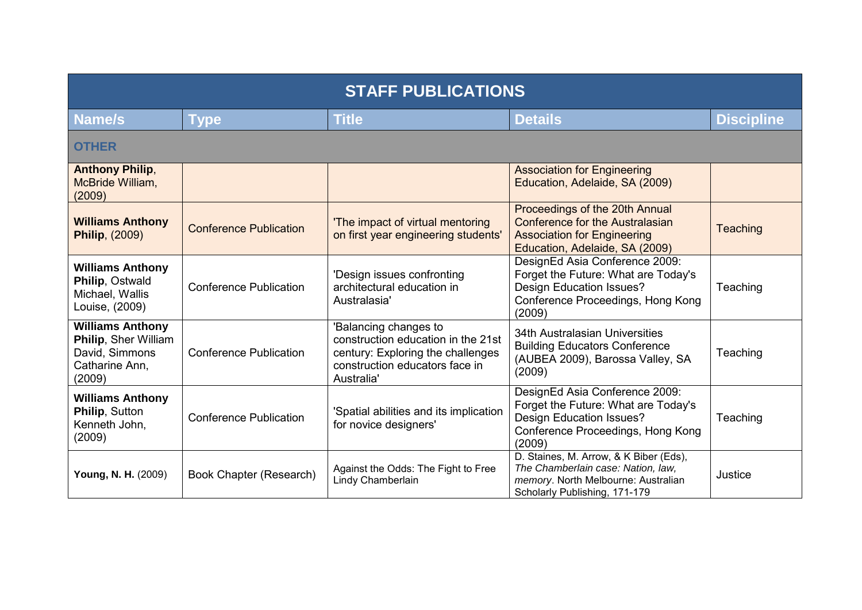| <b>STAFF PUBLICATIONS</b>                                                                     |                               |                                                                                                                                                  |                                                                                                                                                         |                   |
|-----------------------------------------------------------------------------------------------|-------------------------------|--------------------------------------------------------------------------------------------------------------------------------------------------|---------------------------------------------------------------------------------------------------------------------------------------------------------|-------------------|
| Name/s                                                                                        | <b>Type</b>                   | <b>Title</b>                                                                                                                                     | <b>Details</b>                                                                                                                                          | <b>Discipline</b> |
| <b>OTHER</b>                                                                                  |                               |                                                                                                                                                  |                                                                                                                                                         |                   |
| <b>Anthony Philip,</b><br>McBride William,<br>(2009)                                          |                               |                                                                                                                                                  | <b>Association for Engineering</b><br>Education, Adelaide, SA (2009)                                                                                    |                   |
| <b>Williams Anthony</b><br><b>Philip, (2009)</b>                                              | <b>Conference Publication</b> | 'The impact of virtual mentoring<br>on first year engineering students'                                                                          | Proceedings of the 20th Annual<br>Conference for the Australasian<br><b>Association for Engineering</b><br>Education, Adelaide, SA (2009)               | Teaching          |
| <b>Williams Anthony</b><br>Philip, Ostwald<br>Michael, Wallis<br>Louise, (2009)               | <b>Conference Publication</b> | 'Design issues confronting<br>architectural education in<br>Australasia'                                                                         | DesignEd Asia Conference 2009:<br>Forget the Future: What are Today's<br><b>Design Education Issues?</b><br>Conference Proceedings, Hong Kong<br>(2009) | Teaching          |
| <b>Williams Anthony</b><br>Philip, Sher William<br>David, Simmons<br>Catharine Ann,<br>(2009) | <b>Conference Publication</b> | 'Balancing changes to<br>construction education in the 21st<br>century: Exploring the challenges<br>construction educators face in<br>Australia' | 34th Australasian Universities<br><b>Building Educators Conference</b><br>(AUBEA 2009), Barossa Valley, SA<br>(2009)                                    | Teaching          |
| <b>Williams Anthony</b><br>Philip, Sutton<br>Kenneth John,<br>(2009)                          | <b>Conference Publication</b> | 'Spatial abilities and its implication<br>for novice designers'                                                                                  | DesignEd Asia Conference 2009:<br>Forget the Future: What are Today's<br><b>Design Education Issues?</b><br>Conference Proceedings, Hong Kong<br>(2009) | Teaching          |
| Young, N. H. (2009)                                                                           | Book Chapter (Research)       | Against the Odds: The Fight to Free<br>Lindy Chamberlain                                                                                         | D. Staines, M. Arrow, & K Biber (Eds),<br>The Chamberlain case: Nation, law,<br>memory. North Melbourne: Australian<br>Scholarly Publishing, 171-179    | Justice           |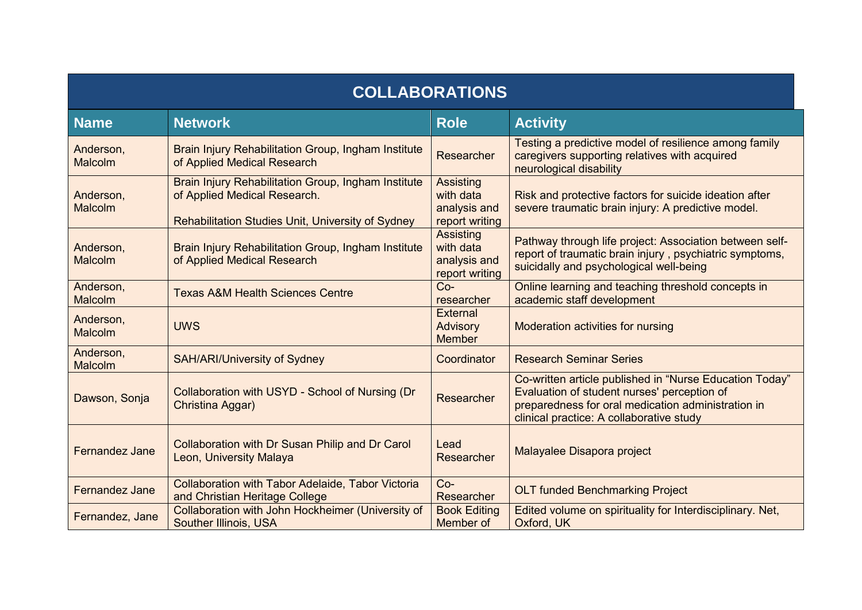| <b>COLLABORATIONS</b>       |                                                                                                                                          |                                                                 |                                                                                                                                                                                                          |  |
|-----------------------------|------------------------------------------------------------------------------------------------------------------------------------------|-----------------------------------------------------------------|----------------------------------------------------------------------------------------------------------------------------------------------------------------------------------------------------------|--|
| <b>Name</b>                 | <b>Network</b>                                                                                                                           | <b>Role</b>                                                     | <b>Activity</b>                                                                                                                                                                                          |  |
| Anderson,<br>Malcolm        | Brain Injury Rehabilitation Group, Ingham Institute<br>of Applied Medical Research                                                       | Researcher                                                      | Testing a predictive model of resilience among family<br>caregivers supporting relatives with acquired<br>neurological disability                                                                        |  |
| Anderson,<br><b>Malcolm</b> | Brain Injury Rehabilitation Group, Ingham Institute<br>of Applied Medical Research.<br>Rehabilitation Studies Unit, University of Sydney | <b>Assisting</b><br>with data<br>analysis and<br>report writing | Risk and protective factors for suicide ideation after<br>severe traumatic brain injury: A predictive model.                                                                                             |  |
| Anderson,<br>Malcolm        | Brain Injury Rehabilitation Group, Ingham Institute<br>of Applied Medical Research                                                       | <b>Assisting</b><br>with data<br>analysis and<br>report writing | Pathway through life project: Association between self-<br>report of traumatic brain injury, psychiatric symptoms,<br>suicidally and psychological well-being                                            |  |
| Anderson,<br>Malcolm        | <b>Texas A&amp;M Health Sciences Centre</b>                                                                                              | $Co-$<br>researcher                                             | Online learning and teaching threshold concepts in<br>academic staff development                                                                                                                         |  |
| Anderson,<br>Malcolm        | <b>UWS</b>                                                                                                                               | <b>External</b><br>Advisory<br><b>Member</b>                    | Moderation activities for nursing                                                                                                                                                                        |  |
| Anderson,<br>Malcolm        | <b>SAH/ARI/University of Sydney</b>                                                                                                      | Coordinator                                                     | <b>Research Seminar Series</b>                                                                                                                                                                           |  |
| Dawson, Sonja               | Collaboration with USYD - School of Nursing (Dr<br>Christina Aggar)                                                                      | Researcher                                                      | Co-written article published in "Nurse Education Today"<br>Evaluation of student nurses' perception of<br>preparedness for oral medication administration in<br>clinical practice: A collaborative study |  |
| Fernandez Jane              | Collaboration with Dr Susan Philip and Dr Carol<br>Leon, University Malaya                                                               | Lead<br>Researcher                                              | Malayalee Disapora project                                                                                                                                                                               |  |
| Fernandez Jane              | <b>Collaboration with Tabor Adelaide, Tabor Victoria</b><br>and Christian Heritage College                                               | $Co-$<br>Researcher                                             | <b>OLT funded Benchmarking Project</b>                                                                                                                                                                   |  |
| Fernandez, Jane             | Collaboration with John Hockheimer (University of<br><b>Souther Illinois, USA</b>                                                        | <b>Book Editing</b><br>Member of                                | Edited volume on spirituality for Interdisciplinary. Net,<br>Oxford, UK                                                                                                                                  |  |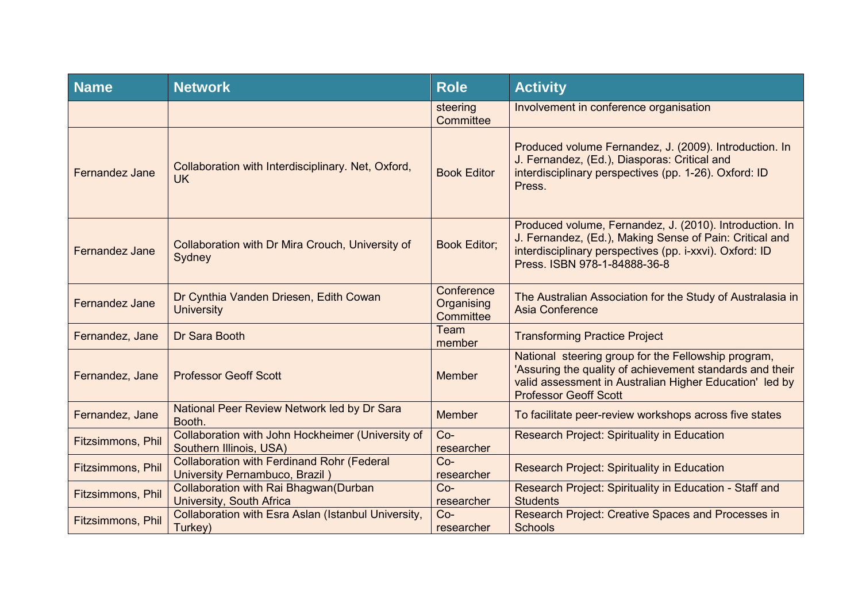| <b>Name</b>              | <b>Network</b>                                                                      | <b>Role</b>                           | <b>Activity</b>                                                                                                                                                                                               |
|--------------------------|-------------------------------------------------------------------------------------|---------------------------------------|---------------------------------------------------------------------------------------------------------------------------------------------------------------------------------------------------------------|
|                          |                                                                                     | steering<br>Committee                 | Involvement in conference organisation                                                                                                                                                                        |
| Fernandez Jane           | Collaboration with Interdisciplinary. Net, Oxford,<br><b>UK</b>                     | <b>Book Editor</b>                    | Produced volume Fernandez, J. (2009). Introduction. In<br>J. Fernandez, (Ed.), Diasporas: Critical and<br>interdisciplinary perspectives (pp. 1-26). Oxford: ID<br>Press.                                     |
| Fernandez Jane           | Collaboration with Dr Mira Crouch, University of<br>Sydney                          | <b>Book Editor;</b>                   | Produced volume, Fernandez, J. (2010). Introduction. In<br>J. Fernandez, (Ed.), Making Sense of Pain: Critical and<br>interdisciplinary perspectives (pp. i-xxvi). Oxford: ID<br>Press. ISBN 978-1-84888-36-8 |
| <b>Fernandez Jane</b>    | Dr Cynthia Vanden Driesen, Edith Cowan<br><b>University</b>                         | Conference<br>Organising<br>Committee | The Australian Association for the Study of Australasia in<br>Asia Conference                                                                                                                                 |
| Fernandez, Jane          | Dr Sara Booth                                                                       | Team<br>member                        | <b>Transforming Practice Project</b>                                                                                                                                                                          |
| Fernandez, Jane          | <b>Professor Geoff Scott</b>                                                        | <b>Member</b>                         | National steering group for the Fellowship program,<br>'Assuring the quality of achievement standards and their<br>valid assessment in Australian Higher Education' led by<br><b>Professor Geoff Scott</b>    |
| Fernandez, Jane          | National Peer Review Network led by Dr Sara<br>Booth.                               | <b>Member</b>                         | To facilitate peer-review workshops across five states                                                                                                                                                        |
| Fitzsimmons, Phil        | Collaboration with John Hockheimer (University of<br>Southern Illinois, USA)        | $Co-$<br>researcher                   | <b>Research Project: Spirituality in Education</b>                                                                                                                                                            |
| <b>Fitzsimmons, Phil</b> | <b>Collaboration with Ferdinand Rohr (Federal</b><br>University Pernambuco, Brazil) | $Co-$<br>researcher                   | <b>Research Project: Spirituality in Education</b>                                                                                                                                                            |
| Fitzsimmons, Phil        | Collaboration with Rai Bhagwan (Durban<br><b>University, South Africa</b>           | $Co-$<br>researcher                   | Research Project: Spirituality in Education - Staff and<br><b>Students</b>                                                                                                                                    |
| Fitzsimmons, Phil        | Collaboration with Esra Aslan (Istanbul University,<br>Turkey)                      | $Co-$<br>researcher                   | Research Project: Creative Spaces and Processes in<br><b>Schools</b>                                                                                                                                          |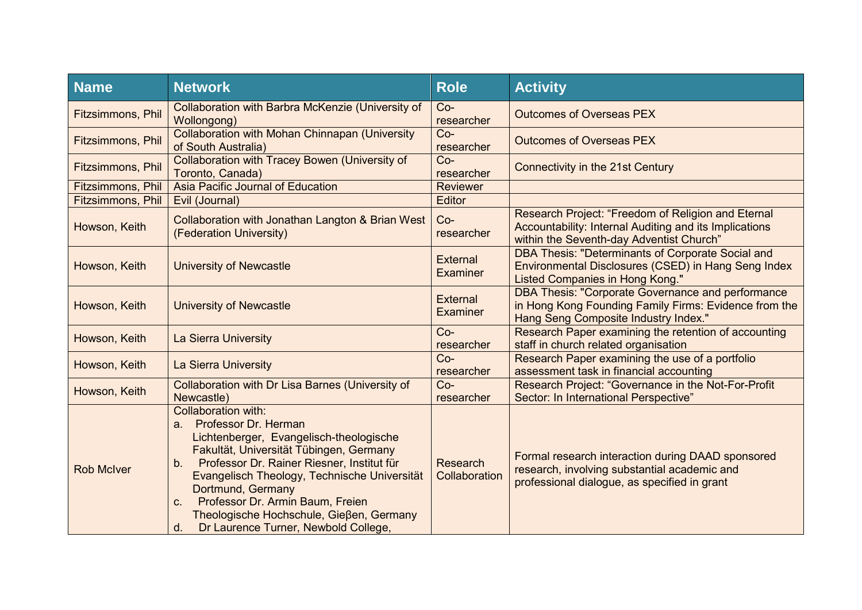| <b>Name</b>              | <b>Network</b>                                                                                                                                                                                                                                                                                                                                                                                                   | <b>Role</b>                      | <b>Activity</b>                                                                                                                                           |
|--------------------------|------------------------------------------------------------------------------------------------------------------------------------------------------------------------------------------------------------------------------------------------------------------------------------------------------------------------------------------------------------------------------------------------------------------|----------------------------------|-----------------------------------------------------------------------------------------------------------------------------------------------------------|
| Fitzsimmons, Phil        | Collaboration with Barbra McKenzie (University of<br>Wollongong)                                                                                                                                                                                                                                                                                                                                                 | $Co-$<br>researcher              | <b>Outcomes of Overseas PEX</b>                                                                                                                           |
| Fitzsimmons, Phil        | <b>Collaboration with Mohan Chinnapan (University</b><br>of South Australia)                                                                                                                                                                                                                                                                                                                                     | $Co-$<br>researcher              | <b>Outcomes of Overseas PEX</b>                                                                                                                           |
| Fitzsimmons, Phil        | <b>Collaboration with Tracey Bowen (University of</b><br>Toronto, Canada)                                                                                                                                                                                                                                                                                                                                        | $Co-$<br>researcher              | Connectivity in the 21st Century                                                                                                                          |
| <b>Fitzsimmons, Phil</b> | Asia Pacific Journal of Education                                                                                                                                                                                                                                                                                                                                                                                | <b>Reviewer</b>                  |                                                                                                                                                           |
| <b>Fitzsimmons, Phil</b> | Evil (Journal)                                                                                                                                                                                                                                                                                                                                                                                                   | Editor                           |                                                                                                                                                           |
| Howson, Keith            | Collaboration with Jonathan Langton & Brian West<br>(Federation University)                                                                                                                                                                                                                                                                                                                                      | $Co-$<br>researcher              | Research Project: "Freedom of Religion and Eternal<br>Accountability: Internal Auditing and its Implications<br>within the Seventh-day Adventist Church"  |
| Howson, Keith            | <b>University of Newcastle</b>                                                                                                                                                                                                                                                                                                                                                                                   | <b>External</b><br>Examiner      | DBA Thesis: "Determinants of Corporate Social and<br>Environmental Disclosures (CSED) in Hang Seng Index<br>Listed Companies in Hong Kong."               |
| Howson, Keith            | <b>University of Newcastle</b>                                                                                                                                                                                                                                                                                                                                                                                   | External<br><b>Examiner</b>      | <b>DBA Thesis: "Corporate Governance and performance</b><br>in Hong Kong Founding Family Firms: Evidence from the<br>Hang Seng Composite Industry Index." |
| Howson, Keith            | La Sierra University                                                                                                                                                                                                                                                                                                                                                                                             | $Co-$<br>researcher              | Research Paper examining the retention of accounting<br>staff in church related organisation                                                              |
| Howson, Keith            | La Sierra University                                                                                                                                                                                                                                                                                                                                                                                             | $Co-$<br>researcher              | Research Paper examining the use of a portfolio<br>assessment task in financial accounting                                                                |
| Howson, Keith            | <b>Collaboration with Dr Lisa Barnes (University of</b><br>Newcastle)                                                                                                                                                                                                                                                                                                                                            | $Co-$<br>researcher              | Research Project: "Governance in the Not-For-Profit<br>Sector: In International Perspective"                                                              |
| <b>Rob McIver</b>        | Collaboration with:<br>Professor Dr. Herman<br>a.<br>Lichtenberger, Evangelisch-theologische<br>Fakultät, Universität Tübingen, Germany<br>Professor Dr. Rainer Riesner, Institut für<br>b <sub>1</sub><br>Evangelisch Theology, Technische Universität<br>Dortmund, Germany<br>Professor Dr. Armin Baum, Freien<br>C.<br>Theologische Hochschule, Gießen, Germany<br>Dr Laurence Turner, Newbold College,<br>d. | <b>Research</b><br>Collaboration | Formal research interaction during DAAD sponsored<br>research, involving substantial academic and<br>professional dialogue, as specified in grant         |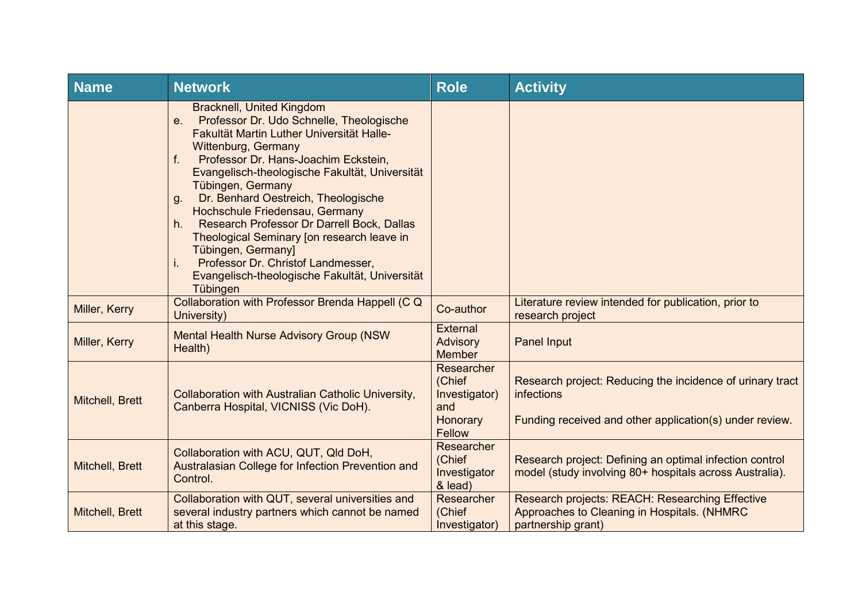| <b>Name</b>     | <b>Network</b>                                                                                                                                                                                                                                                                                                                                                                                                                                                                                                                                                                                        | <b>Role</b>                                                        | <b>Activity</b>                                                                                                                    |
|-----------------|-------------------------------------------------------------------------------------------------------------------------------------------------------------------------------------------------------------------------------------------------------------------------------------------------------------------------------------------------------------------------------------------------------------------------------------------------------------------------------------------------------------------------------------------------------------------------------------------------------|--------------------------------------------------------------------|------------------------------------------------------------------------------------------------------------------------------------|
|                 | <b>Bracknell, United Kingdom</b><br>Professor Dr. Udo Schnelle, Theologische<br>$e_{\cdot}$<br>Fakultät Martin Luther Universität Halle-<br>Wittenburg, Germany<br>Professor Dr. Hans-Joachim Eckstein,<br>f.<br>Evangelisch-theologische Fakultät, Universität<br>Tübingen, Germany<br>Dr. Benhard Oestreich, Theologische<br>g.<br>Hochschule Friedensau, Germany<br>Research Professor Dr Darrell Bock, Dallas<br>h.<br>Theological Seminary [on research leave in<br>Tübingen, Germany]<br>Professor Dr. Christof Landmesser,<br>İ.<br>Evangelisch-theologische Fakultät, Universität<br>Tübingen |                                                                    |                                                                                                                                    |
| Miller, Kerry   | Collaboration with Professor Brenda Happell (C Q<br>University)                                                                                                                                                                                                                                                                                                                                                                                                                                                                                                                                       | Co-author                                                          | Literature review intended for publication, prior to<br>research project                                                           |
| Miller, Kerry   | <b>Mental Health Nurse Advisory Group (NSW)</b><br>Health)                                                                                                                                                                                                                                                                                                                                                                                                                                                                                                                                            | <b>External</b><br>Advisory<br><b>Member</b>                       | Panel Input                                                                                                                        |
| Mitchell, Brett | Collaboration with Australian Catholic University,<br>Canberra Hospital, VICNISS (Vic DoH).                                                                                                                                                                                                                                                                                                                                                                                                                                                                                                           | Researcher<br>(Chief<br>Investigator)<br>and<br>Honorary<br>Fellow | Research project: Reducing the incidence of urinary tract<br>infections<br>Funding received and other application(s) under review. |
| Mitchell, Brett | Collaboration with ACU, QUT, QId DoH,<br>Australasian College for Infection Prevention and<br>Control.                                                                                                                                                                                                                                                                                                                                                                                                                                                                                                | Researcher<br>(Chief<br>Investigator<br>& lead)                    | Research project: Defining an optimal infection control<br>model (study involving 80+ hospitals across Australia).                 |
| Mitchell, Brett | Collaboration with QUT, several universities and<br>several industry partners which cannot be named<br>at this stage.                                                                                                                                                                                                                                                                                                                                                                                                                                                                                 | Researcher<br>(Chief<br>Investigator)                              | Research projects: REACH: Researching Effective<br>Approaches to Cleaning in Hospitals. (NHMRC<br>partnership grant)               |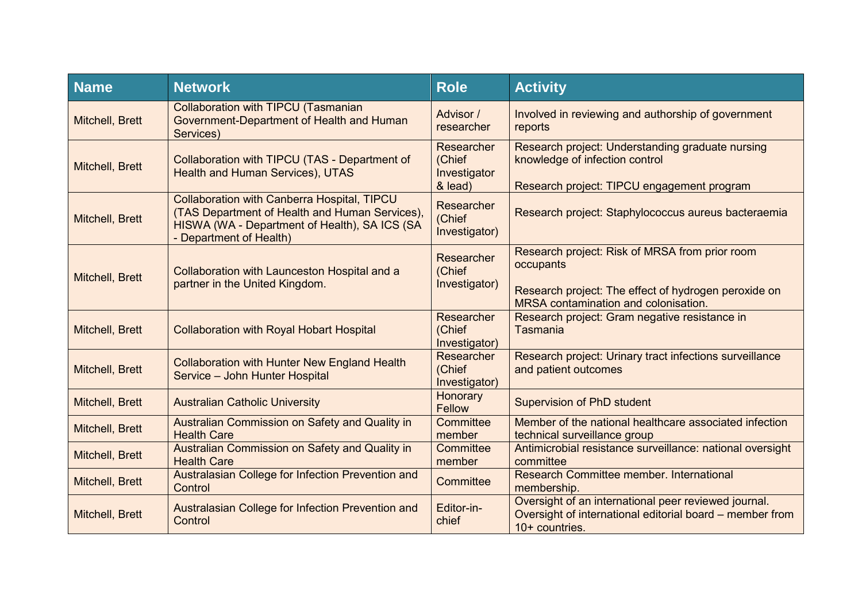| <b>Name</b>     | <b>Network</b>                                                                                                                                                                   | <b>Role</b>                                     | <b>Activity</b>                                                                                                                                             |
|-----------------|----------------------------------------------------------------------------------------------------------------------------------------------------------------------------------|-------------------------------------------------|-------------------------------------------------------------------------------------------------------------------------------------------------------------|
| Mitchell, Brett | <b>Collaboration with TIPCU (Tasmanian</b><br>Government-Department of Health and Human<br>Services)                                                                             | Advisor /<br>researcher                         | Involved in reviewing and authorship of government<br>reports                                                                                               |
| Mitchell, Brett | Collaboration with TIPCU (TAS - Department of<br><b>Health and Human Services), UTAS</b>                                                                                         | Researcher<br>(Chief<br>Investigator<br>& lead) | Research project: Understanding graduate nursing<br>knowledge of infection control<br>Research project: TIPCU engagement program                            |
| Mitchell, Brett | <b>Collaboration with Canberra Hospital, TIPCU</b><br>(TAS Department of Health and Human Services),<br>HISWA (WA - Department of Health), SA ICS (SA<br>- Department of Health) | Researcher<br>(Chief<br>Investigator)           | Research project: Staphylococcus aureus bacteraemia                                                                                                         |
| Mitchell, Brett | Collaboration with Launceston Hospital and a<br>partner in the United Kingdom.                                                                                                   | Researcher<br>(Chief<br>Investigator)           | Research project: Risk of MRSA from prior room<br>occupants<br>Research project: The effect of hydrogen peroxide on<br>MRSA contamination and colonisation. |
| Mitchell, Brett | <b>Collaboration with Royal Hobart Hospital</b>                                                                                                                                  | Researcher<br>(Chief<br>Investigator)           | Research project: Gram negative resistance in<br>Tasmania                                                                                                   |
| Mitchell, Brett | <b>Collaboration with Hunter New England Health</b><br>Service - John Hunter Hospital                                                                                            | Researcher<br>(Chief<br>Investigator)           | Research project: Urinary tract infections surveillance<br>and patient outcomes                                                                             |
| Mitchell, Brett | <b>Australian Catholic University</b>                                                                                                                                            | Honorary<br><b>Fellow</b>                       | Supervision of PhD student                                                                                                                                  |
| Mitchell, Brett | Australian Commission on Safety and Quality in<br><b>Health Care</b>                                                                                                             | Committee<br>member                             | Member of the national healthcare associated infection<br>technical surveillance group                                                                      |
| Mitchell, Brett | Australian Commission on Safety and Quality in<br><b>Health Care</b>                                                                                                             | Committee<br>member                             | Antimicrobial resistance surveillance: national oversight<br>committee                                                                                      |
| Mitchell, Brett | Australasian College for Infection Prevention and<br>Control                                                                                                                     | Committee                                       | Research Committee member. International<br>membership.                                                                                                     |
| Mitchell, Brett | Australasian College for Infection Prevention and<br>Control                                                                                                                     | Editor-in-<br>chief                             | Oversight of an international peer reviewed journal.<br>Oversight of international editorial board – member from<br>10+ countries.                          |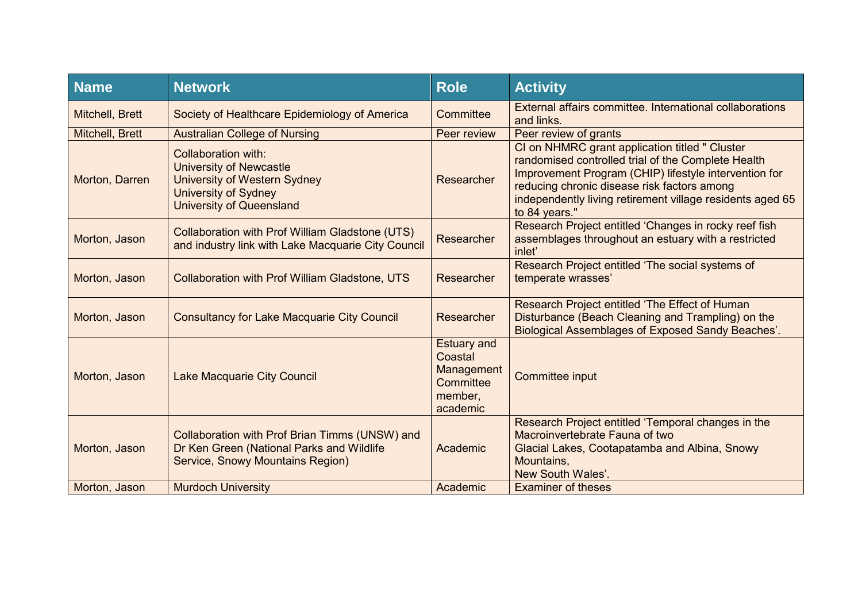| <b>Name</b>     | <b>Network</b>                                                                                                                                          | <b>Role</b>                                                                     | <b>Activity</b>                                                                                                                                                                                                                                                                            |
|-----------------|---------------------------------------------------------------------------------------------------------------------------------------------------------|---------------------------------------------------------------------------------|--------------------------------------------------------------------------------------------------------------------------------------------------------------------------------------------------------------------------------------------------------------------------------------------|
| Mitchell, Brett | Society of Healthcare Epidemiology of America                                                                                                           | Committee                                                                       | External affairs committee. International collaborations<br>and links.                                                                                                                                                                                                                     |
| Mitchell, Brett | <b>Australian College of Nursing</b>                                                                                                                    | Peer review                                                                     | Peer review of grants                                                                                                                                                                                                                                                                      |
| Morton, Darren  | Collaboration with:<br><b>University of Newcastle</b><br>University of Western Sydney<br><b>University of Sydney</b><br><b>University of Queensland</b> | Researcher                                                                      | CI on NHMRC grant application titled " Cluster<br>randomised controlled trial of the Complete Health<br>Improvement Program (CHIP) lifestyle intervention for<br>reducing chronic disease risk factors among<br>independently living retirement village residents aged 65<br>to 84 years." |
| Morton, Jason   | <b>Collaboration with Prof William Gladstone (UTS)</b><br>and industry link with Lake Macquarie City Council                                            | Researcher                                                                      | Research Project entitled 'Changes in rocky reef fish<br>assemblages throughout an estuary with a restricted<br>inlet'                                                                                                                                                                     |
| Morton, Jason   | <b>Collaboration with Prof William Gladstone, UTS</b>                                                                                                   | Researcher                                                                      | Research Project entitled 'The social systems of<br>temperate wrasses'                                                                                                                                                                                                                     |
| Morton, Jason   | <b>Consultancy for Lake Macquarie City Council</b>                                                                                                      | Researcher                                                                      | Research Project entitled 'The Effect of Human<br>Disturbance (Beach Cleaning and Trampling) on the<br>Biological Assemblages of Exposed Sandy Beaches'.                                                                                                                                   |
| Morton, Jason   | Lake Macquarie City Council                                                                                                                             | <b>Estuary and</b><br>Coastal<br>Management<br>Committee<br>member,<br>academic | Committee input                                                                                                                                                                                                                                                                            |
| Morton, Jason   | Collaboration with Prof Brian Timms (UNSW) and<br>Dr Ken Green (National Parks and Wildlife<br>Service, Snowy Mountains Region)                         | Academic                                                                        | Research Project entitled 'Temporal changes in the<br>Macroinvertebrate Fauna of two<br>Glacial Lakes, Cootapatamba and Albina, Snowy<br>Mountains,<br>New South Wales'.                                                                                                                   |
| Morton, Jason   | <b>Murdoch University</b>                                                                                                                               | Academic                                                                        | <b>Examiner of theses</b>                                                                                                                                                                                                                                                                  |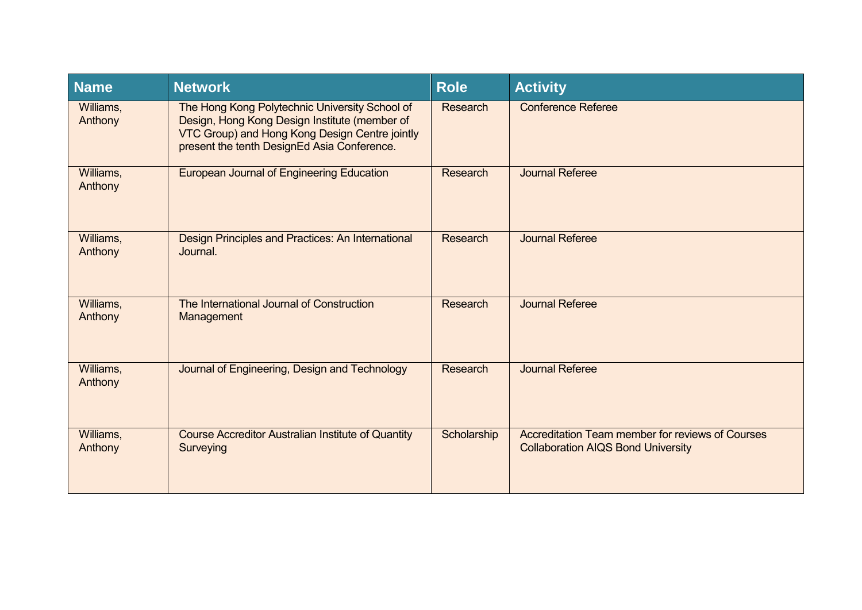| <b>Name</b>          | <b>Network</b>                                                                                                                                                                                   | <b>Role</b>     | <b>Activity</b>                                                                               |
|----------------------|--------------------------------------------------------------------------------------------------------------------------------------------------------------------------------------------------|-----------------|-----------------------------------------------------------------------------------------------|
| Williams,<br>Anthony | The Hong Kong Polytechnic University School of<br>Design, Hong Kong Design Institute (member of<br>VTC Group) and Hong Kong Design Centre jointly<br>present the tenth DesignEd Asia Conference. | <b>Research</b> | <b>Conference Referee</b>                                                                     |
| Williams,<br>Anthony | <b>European Journal of Engineering Education</b>                                                                                                                                                 | <b>Research</b> | <b>Journal Referee</b>                                                                        |
| Williams,<br>Anthony | Design Principles and Practices: An International<br>Journal.                                                                                                                                    | <b>Research</b> | <b>Journal Referee</b>                                                                        |
| Williams,<br>Anthony | The International Journal of Construction<br>Management                                                                                                                                          | <b>Research</b> | <b>Journal Referee</b>                                                                        |
| Williams,<br>Anthony | Journal of Engineering, Design and Technology                                                                                                                                                    | <b>Research</b> | <b>Journal Referee</b>                                                                        |
| Williams,<br>Anthony | <b>Course Accreditor Australian Institute of Quantity</b><br>Surveying                                                                                                                           | Scholarship     | Accreditation Team member for reviews of Courses<br><b>Collaboration AIQS Bond University</b> |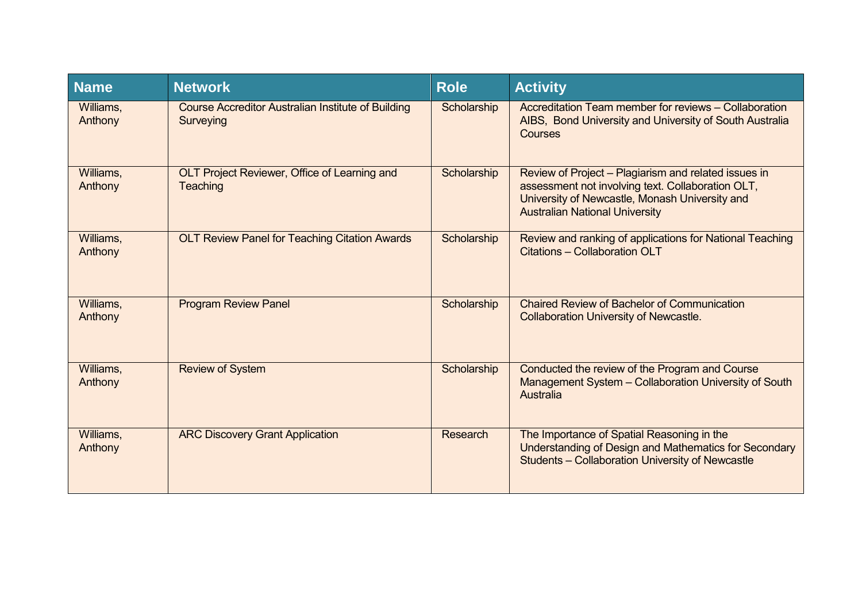| <b>Name</b>          | <b>Network</b>                                                         | <b>Role</b> | <b>Activity</b>                                                                                                                                                                                      |
|----------------------|------------------------------------------------------------------------|-------------|------------------------------------------------------------------------------------------------------------------------------------------------------------------------------------------------------|
| Williams,<br>Anthony | <b>Course Accreditor Australian Institute of Building</b><br>Surveying | Scholarship | Accreditation Team member for reviews - Collaboration<br>AIBS, Bond University and University of South Australia<br><b>Courses</b>                                                                   |
| Williams,<br>Anthony | OLT Project Reviewer, Office of Learning and<br>Teaching               | Scholarship | Review of Project - Plagiarism and related issues in<br>assessment not involving text. Collaboration OLT,<br>University of Newcastle, Monash University and<br><b>Australian National University</b> |
| Williams,<br>Anthony | <b>OLT Review Panel for Teaching Citation Awards</b>                   | Scholarship | Review and ranking of applications for National Teaching<br>Citations - Collaboration OLT                                                                                                            |
| Williams,<br>Anthony | <b>Program Review Panel</b>                                            | Scholarship | <b>Chaired Review of Bachelor of Communication</b><br><b>Collaboration University of Newcastle.</b>                                                                                                  |
| Williams,<br>Anthony | <b>Review of System</b>                                                | Scholarship | Conducted the review of the Program and Course<br>Management System - Collaboration University of South<br>Australia                                                                                 |
| Williams,<br>Anthony | <b>ARC Discovery Grant Application</b>                                 | Research    | The Importance of Spatial Reasoning in the<br>Understanding of Design and Mathematics for Secondary<br>Students - Collaboration University of Newcastle                                              |